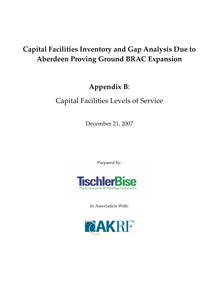# **Capital Facilities Inventory and Gap Analysis Due to Aberdeen Proving Ground BRAC Expansion**

# **Appendix B**:

# Capital Facilities Levels of Service

December 21, 2007

Prepared by:



In Association With:

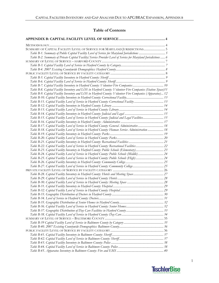# **Table of Contents**

| SUMMARY OF CAPITAL FACILITY LEVEL OF SERVICE FOR MARYLAND JURISDICTIONS 5                                     |  |
|---------------------------------------------------------------------------------------------------------------|--|
|                                                                                                               |  |
| Table B-2. Summary of Private Capital Facility/Service Provider Level of Service for Maryland Jurisdictions 6 |  |
|                                                                                                               |  |
|                                                                                                               |  |
|                                                                                                               |  |
|                                                                                                               |  |
|                                                                                                               |  |
|                                                                                                               |  |
|                                                                                                               |  |
| Table B-8. Capital Facility Inventory and LOS in Harford County: Volunteer Fire Companies (Station Space)11   |  |
| Table B-9. Capital Facility Inventory and LOS in Harford County: Volunteer Fire Companies (Apparatus) 12      |  |
|                                                                                                               |  |
| Table B-11. Capital Facility Level of Service in Harford County: Correctional Facility  13                    |  |
|                                                                                                               |  |
|                                                                                                               |  |
|                                                                                                               |  |
| Table B-15. Capital Facility Level of Service in Harford County: Judicial and Legal Facilities 15             |  |
|                                                                                                               |  |
| Table B-17. Capital Facility Level of Service in Harford County: General Administrative 18                    |  |
| Table B-18. Capital Facility Level of Service in Harford County: Human Service Administration  18             |  |
|                                                                                                               |  |
|                                                                                                               |  |
|                                                                                                               |  |
|                                                                                                               |  |
| Table B-22. Capital Facility Level of Service in Harford County: Recreational Facilities 22                   |  |
| Table B-23. Capital Facility Inventory in Harford County: Public Schools (Elementary) 23                      |  |
| Table B-24. Capital Facility Level of Service in Harford County: Public Schools (Middle) 24                   |  |
| Table B-25. Capital Facility Level of Service in Harford County: Public Schools (High) 24                     |  |
|                                                                                                               |  |
|                                                                                                               |  |
|                                                                                                               |  |
|                                                                                                               |  |
|                                                                                                               |  |
|                                                                                                               |  |
|                                                                                                               |  |
|                                                                                                               |  |
|                                                                                                               |  |
|                                                                                                               |  |
|                                                                                                               |  |
|                                                                                                               |  |
|                                                                                                               |  |
|                                                                                                               |  |
|                                                                                                               |  |
|                                                                                                               |  |
|                                                                                                               |  |
|                                                                                                               |  |
|                                                                                                               |  |
|                                                                                                               |  |
|                                                                                                               |  |
|                                                                                                               |  |
|                                                                                                               |  |

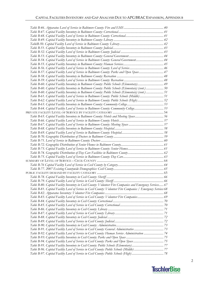| Table B-54. Capital Facility Level of Service in Baltimore County: General Government 44                        |  |
|-----------------------------------------------------------------------------------------------------------------|--|
|                                                                                                                 |  |
|                                                                                                                 |  |
| Table B-57. Capital Facility Level of Service in Baltimore County: Parks and Open Space 47                      |  |
|                                                                                                                 |  |
|                                                                                                                 |  |
| Table B-60. Capital Facility Inventory in Baltimore County: Public Schools (Elementary) 49                      |  |
| Table B-60. Capital Facility Inventory in Baltimore County: Public Schools (Elementary) (cont.) 50              |  |
| Table B-60. Capital Facility Inventory in Baltimore County: Public Schools (Elementary) (cont.) 51              |  |
| Table B-61. Capital Facility Level of Service in Baltimore County: Public Schools (Middle) 51                   |  |
| Table B-62. Capital Facility Level of Service in Baltimore County: Public Schools (High)52                      |  |
|                                                                                                                 |  |
| Table B-64. Capital Facility Level of Service in Baltimore County: Community College53                          |  |
|                                                                                                                 |  |
| Table B-65. Capital Facility Inventory in Baltimore County: Hotels and Meeting Space56                          |  |
|                                                                                                                 |  |
|                                                                                                                 |  |
|                                                                                                                 |  |
|                                                                                                                 |  |
|                                                                                                                 |  |
|                                                                                                                 |  |
|                                                                                                                 |  |
|                                                                                                                 |  |
|                                                                                                                 |  |
|                                                                                                                 |  |
|                                                                                                                 |  |
|                                                                                                                 |  |
|                                                                                                                 |  |
|                                                                                                                 |  |
|                                                                                                                 |  |
|                                                                                                                 |  |
| Table B-80. Capital Facility Inventory in Cecil County: Volunteer Fire Companies and Emergency Services 67      |  |
| Table B-81. Capital Facility Level of Service in Cecil County: Volunteer Fire Companies / Emergency Services 68 |  |
|                                                                                                                 |  |
| Table B-83. Capital Facility Level of Service in Cecil County: Volunteer Fire Companies 69                      |  |
|                                                                                                                 |  |
|                                                                                                                 |  |
|                                                                                                                 |  |
|                                                                                                                 |  |
|                                                                                                                 |  |
|                                                                                                                 |  |
|                                                                                                                 |  |
|                                                                                                                 |  |
| Table B-92. Capital Facility Level of Service in Cecil County: Human Service Administration  74                 |  |
|                                                                                                                 |  |
|                                                                                                                 |  |
|                                                                                                                 |  |
|                                                                                                                 |  |
|                                                                                                                 |  |

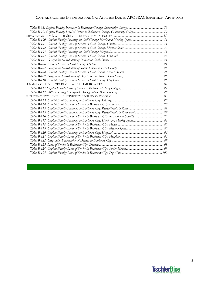| Table B-115. Capital Facility Inventory in Baltimore City: Recreational Facilities (cont.) 92 |  |
|-----------------------------------------------------------------------------------------------|--|
| Table B-116. Capital Facility Level of Service in Baltimore City: Recreational Facilities 93  |  |
| Table B-117. Capital Facility Inventory in Baltimore City: Hotels and Meeting Space 94        |  |
|                                                                                               |  |
|                                                                                               |  |
|                                                                                               |  |
|                                                                                               |  |
|                                                                                               |  |
|                                                                                               |  |
|                                                                                               |  |
|                                                                                               |  |

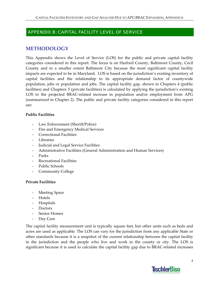# APPENDIX B: CAPITAL FACILITY LEVEL OF SERVICE

# **METHODOLOGY**

This Appendix shows the Level of Service (LOS) for the public and private capital facility categories considered in this report. The focus is on Harford County, Baltimore County, Cecil County and to a smaller extent Baltimore City because the most significant capital facility impacts are expected to be in Maryland. LOS is based on the jurisdiction's existing inventory of capital facilities and the relationship to its appropriate demand factor of countywide population, jobs or population and jobs. The capital facility gap, shown in Chapters 4 (public facilities) and Chapters 5 (private facilities) is calculated by applying the jurisdiction's existing LOS to the projected BRAC-related increase in population and/or employment from APG (summarized in Chapter 2). The public and private facility categories considered in this report are:

#### **Public Facilities**

- ‐ Law Enforcement (Sheriff/Police)
- ‐ Fire and Emergency Medical Services
- ‐ Correctional Facilities
- ‐ Libraries
- ‐ Judicial and Legal Service Facilities
- ‐ Administrative Facilities (General Administration and Human Services)
- ‐ Parks
- ‐ Recreational Facilities
- ‐ Public Schools
- ‐ Community College

#### **Private Facilities**

- ‐ Meeting Space
- ‐ Hotels
- ‐ Hospitals
- ‐ Doctors
- ‐ Senior Homes
- ‐ Day Care

The capital facility measurement unit is typically square feet, but other units such as beds and acres are used as applicable. The LOS can vary for the jurisdiction from any applicable State or other standards because it is a snapshot of the current relationship between the capital facility in the jurisdiction and the people who live and work in the county or city. The LOS is significant because it is used to calculate the capital facility gap due to BRAC-related increases

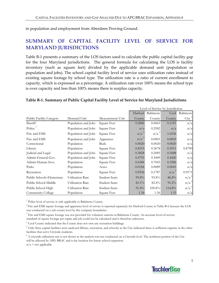in population and employment from Aberdeen Proving Ground.

# **SUMMARY OF CAPITAL FACILITY LEVEL OF SERVICE FOR MARYLAND JURISDICTIONS**

Table B-1 presents a summary of the LOS factors used to calculate the public capital facility gap for the four Maryland jurisdictions. The general formula for calculating the LOS is facility inventory (such as square feet) divided by the applicable demand unit (population or population and jobs). The school capital facility level of service uses utilization rates instead of existing square footage by school type. The utilization rate is a ratio of current enrollment to capacity, which is expressed as a percentage. A utilization rate over 100% means the school type is over capacity and less than 100% means there is surplus capacity.

#### **Table B‐1. Summary of Public Capital Facility Level of Service for Maryland Jurisdictions**

|                                 |                     |                      | Level of Service by Jurisdiction |                  |                  |                     |
|---------------------------------|---------------------|----------------------|----------------------------------|------------------|------------------|---------------------|
|                                 |                     |                      | Harford                          | Baltimore        | Cecil            | Baltimore           |
| <b>Public Facility Category</b> | Demand Unit         | Measurement Unit     | County                           | County           | County           | $City$ <sup>5</sup> |
| Sheriff                         | Population and Jobs | Square Feet          | 0.2006                           | 0.0063           | 0.1191           | n/a                 |
| Police                          | Population and Jobs | Square Feet          | n/a                              | 0.2582           | n/a              | n/a                 |
| Fire and EMS                    | Population and Jobs | Square Feet          | $n/a^2$                          | n/a <sup>3</sup> | 1.0236           | n/a                 |
| Fire and EMS                    | Population and Jobs | Apparatus            | n/a                              | 0.0001           | 0.0005           | n/a                 |
| Correctional                    | Population          | <b>Beds</b>          | 0.0020                           | 0.0020           | 0.0020           | n/a                 |
| Library                         | Population          | Square Feet          | 0.8315                           | 0.3678           | 0.5911           | 0.8790              |
| Judicial and Legal              | Population and Jobs | Square Feet          | 0.3828                           | 0.2085           | 0.5688           | n/a                 |
| Admin-General Gov.              | Population and Jobs | Square Feet          | 0.4793                           | 0.3449           | 0.4420           | n/a                 |
| Admin-Human Svcs.               | Population          | Square Feet          | 0.6384                           | 0.7043           | 0.2386           | n/a                 |
| Parks                           | Population          | Acres                | 0.0184                           | 0.0089           | 0.0043           | n/a                 |
| Recreation                      | Population          | Square Feet          | 0.9236                           | 0.1787           | n/a <sup>4</sup> | 0.9171              |
| Public Schools-Elementary       | Utilization Rate    | <b>Student Seats</b> | 95.8%                            | 93.8%            | 86.8%            | n/a <sup>6</sup>    |
| Public School-Middle            | Utilization Rate    | <b>Student Seats</b> | 83.1%                            | 82.4%            | $91.2\%$         | n/a <sup>6</sup>    |
| Public School-High              | Utilization Rate    | <b>Student Seats</b> | $91.4\%$                         | 100.8%           | 114.8%           | n/a'                |
| Community College               | Population          | Square Feet          | 1.34                             | 1.36             | 1.53             | n/a                 |

<sup>1</sup> Police level of service is only applicable to Baltimore County.

 $2$  Fire and EMS square footage and apparatus level of service is reported separately for Harford County in Table B-6 because the LOS was conducted on a sub county level by fire company boundaries.

<sup>3</sup> Fire and EMS square footage was not provided for volunteer stations in Baltimore County. An accurate level-of-service

standard of square footage per capita and job could not be calculated and is therefore unknown.

<sup>4</sup> Cecil County indicated that the County does not own any recreation buildings.

 $5$  Only three capital facilities were analyzed (library, recreation, and schools) as the City indicated there is sufficient capacity in the other facilities that serve Citywide residents.

 $6$  A citywide utilization rate is not shown as the analysis was not conducted on a Citywide level. The northeast portion of the City will be affected by APG BRAC and is the location for future school expansion.

 $n/a$  = not applicable

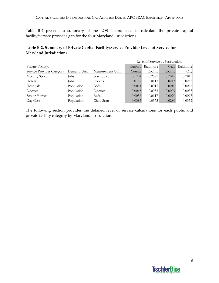Table B-2 presents a summary of the LOS factors used to calculate the private capital facility/service provider gap for the four Maryland jurisdictions.

## **Table B‐2. Summary of Private Capital Facility/Service Provider Level of Service for Maryland Jurisdictions**

|                           |             |                  | Level of Service by Jurisdiction |           |        |           |
|---------------------------|-------------|------------------|----------------------------------|-----------|--------|-----------|
| Private Facility/         |             |                  | Harford                          | Baltimore | Cecil  | Baltimore |
| Service Provider Category | Demand Unit | Measurement Unit | <b>County</b>                    | County    | County | City      |
| Meeting Space             | Jobs        | Square Feet      | 0.1704                           | 0.2571    | 0.7048 | 0.7813    |
| Hotels                    | <b>Jobs</b> | Rooms            | 0.0187                           | 0.0113    | 0.0243 | 0.0255    |
| Hospitals                 | Population  | <b>Beds</b>      | 0.0011                           | 0.0015    | 0.0010 | 0.0066    |
| Doctors                   | Population  | Doctors          | 0.0015                           | 0.0035    | 0.0009 | 0.0033    |
| Senior Homes              | Population  | <b>Beds</b>      | 0.0056                           | 0.0117    | 0.0070 | 0.0093    |
| Day Care                  | Population  | Child Seats      | 0.0383                           | 0.0373    | 0.0280 | 0.0352    |

The following section provides the detailed level of service calculations for each public and private facility category by Maryland jurisdiction.

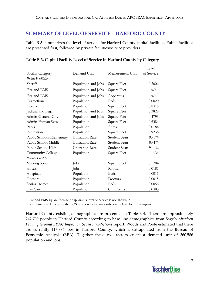# **SUMMARY OF LEVEL OF SERVICE – HARFORD COUNTY**

Table B-3 summarizes the level of service for Harford County capital facilities. Public facilities are presented first, followed by private facilities/service providers.

|                           |                         |                      | Level            |
|---------------------------|-------------------------|----------------------|------------------|
| <b>Facility Category</b>  | Demand Unit             | Measurement Unit     | of Service       |
| <b>Public Facilities</b>  |                         |                      |                  |
| Sheriff                   | Population and Jobs     | Square Feet          | 0.2006           |
| Fire and EMS              | Population and Jobs     | Square Feet          | n/a <sup>1</sup> |
| Fire and EMS              | Population and Jobs     | Apparatus            | n/a <sup>1</sup> |
| Correctional              | Population              | <b>Beds</b>          | 0.0020           |
| Library                   | Population              | Square Feet          | 0.8315           |
| Judicial and Legal        | Population and Jobs     | Square Feet          | 0.3828           |
| Admin-General Gov.        | Population and Jobs     | Square Feet          | 0.4793           |
| Admin-Human Svcs.         | Population              | Square Feet          | 0.6384           |
| Parks                     | Population              | Acres                | 0.0184           |
| Recreation                | Population              | Square Feet          | 0.9236           |
| Public Schools-Elementary | <b>Utilization Rate</b> | <b>Student Seats</b> | 95.8%            |
| Public School-Middle      | <b>Utilization Rate</b> | <b>Student Seats</b> | 83.1%            |
| Public School-High        | Utilization Rate        | <b>Student Seats</b> | 91.4%            |
| Community College         | Population              | Square Feet          | 1.34             |
| Private Facilities        |                         |                      |                  |
| Meeting Space             | Jobs                    | Square Feet          | 0.1704           |
| Hotels                    | Jobs                    | Rooms                | 0.0187           |
| Hospitals                 | Population              | <b>Beds</b>          | 0.0011           |
| Doctors                   | Population              | Doctors              | 0.0015           |
| Senior Homes              | Population              | <b>Beds</b>          | 0.0056           |
| Day Care                  | Population              | Child Seats          | 0.0383           |

#### **Table B‐3. Capital Facility Level of Service in Harford County by Category**

<sup>1</sup> Fire and EMS square footage or apparatus level of service is not shown in

this summary table because the LOS was conducted on a sub county level by fire company.

Harford County existing demographics are presented in Table B-4. There are approximately 242,700 people in Harford County according to base line demographics from Sage's *Aberdeen Proving Ground BRAC Impact on Seven Jurisdictions* report. Woods and Poole estimated that there are currently 117,886 jobs in Harford County, which is extrapolated from the Bureau of Economic Analysis (BEA). Together these two factors create a demand unit of 360,586 population and jobs.

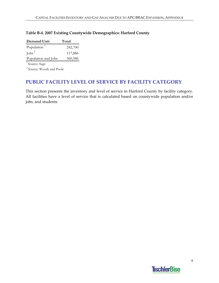| Demand Unit             | Total   |
|-------------------------|---------|
| Population <sup>1</sup> | 242,700 |
| $\int$ obs <sup>2</sup> | 117,886 |
| Population and Jobs     | 360,586 |

#### **Table B‐4. 2007 Existing Countywide Demographics: Harford County**

 $\overline{1}$  Source: Sage

2 Source: Woods and Poole

# **PUBLIC FACILITY LEVEL OF SERVICE BY FACILITY CATEGORY**

This section presents the inventory and level of service in Harford County by facility category. All facilities have a level of service that is calculated based on countywide population and/or jobs, and students.

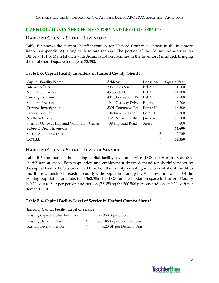# **HARFORD COUNTY SHERIFF INVENTORY AND LEVEL OF SERVICE**

## **HARFORD COUNTY SHERIFF INVENTORY**

Table B-5 shows the current sheriff inventory for Harford County as shown in the Inventory Report (Appendix A), along with square footage. The portion of the County Administration Office at 101 S. Main (shown with Administration Facilities in the Inventory) is added, bringing the total sheriff square footage to 72,350.

|  |  | Table B-5. Capital Facility Inventory in Harford County: Sheriff |  |
|--|--|------------------------------------------------------------------|--|
|  |  |                                                                  |  |

| <b>Capital Facility Name</b>                  | <b>Address</b>       | Location      | <b>Square Feet</b> |
|-----------------------------------------------|----------------------|---------------|--------------------|
| Internal Affairs                              | 206 Hayes Street     | Bel Air       | 1,500              |
| Main Headquarters                             | 45 South Main        | Bel Air       | 24,800             |
| Training Academy                              | 401 Thomas Run Rd    | Bel Air       | 2,500              |
| Southern Precinct                             | 1010 Gateway Drive   | Edgewood      | 2,700              |
| Criminal Investigation                        | 2201 Commerce Rd     | Forest Hill   | 16,200             |
| <b>Tactical Building</b>                      | 104 Industry Lane    | Forest Hill   | 4,800              |
| Northern Precinct                             | 3726 Norrisville Rd. | Jarrettsville | 12,500             |
| Sheriff's Office in Highland Community Center | 708 Highland Road    | <b>Street</b> | 600                |
| <b>Subtotal From Inventory</b>                |                      |               | 65,600             |
| Sheriff Admin/Records                         |                      | ┿             | 6,750              |
| <b>TOTAL</b>                                  |                      |               | 72,350             |

# **HARFORD COUNTY SHERIFF LEVEL OF SERVICE**

Table B-6 summarizes the existing capital facility level of service (LOS) for Harford County's sheriff station space. Both population and employment drives demand for sheriff services, so the capital facility LOS is calculated based on the County's existing inventory of sheriff facilities and the relationship to existing countywide population and jobs. As shown in Table B‐4 the existing population and jobs total 360,586. The LOS for sheriff station space in Harford County is 0.20 square feet per person and per job (72,359 sq ft / 360,586 persons and jobs = 0.20 sq ft per demand unit).

#### **Table B‐6. Capital Facility Level of Service in Harford County: Sheriff**

| <b>Existing Capital Facility Level of Service</b> |  |  |  |
|---------------------------------------------------|--|--|--|
|                                                   |  |  |  |

| <b>Existing Capital Facility Inventory</b> |        | 72,350 Square Feet          |
|--------------------------------------------|--------|-----------------------------|
| <b>Existing Demand Units</b>               | $\div$ | 360,586 Population and Jobs |
| Existing Level of Service                  | =      | 0.20 SF per Demand Unit     |

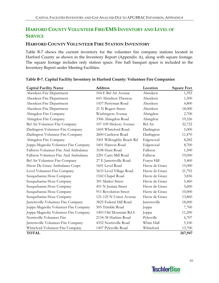# **HARFORD COUNTY VOLUNTEER FIRE/EMS INVENTORY AND LEVEL OF SERVICE**

## **HARFORD COUNTY VOLUNTEER FIRE STATION INVENTORY**

Table B-7 shows the current inventory for the volunteer fire company stations located in Harford County as shown in the Inventory Report (Appendix A), along with square footage. The square footage includes only station space. Fire hall banquet space is included in the Inventory Report under Meeting Facilities.

| <b>Capital Facility Name</b>          | <b>Address</b>           | Location       | <b>Square Feet</b> |
|---------------------------------------|--------------------------|----------------|--------------------|
| Aberdeen Fire Department              | 104 E Bel Air Avenue     | Aberdeen       | 1,392              |
| Aberdeen Fire Department              | 643 Aberdeen Thruway     | Aberdeen       | 1,500              |
| Aberdeen Fire Department              | 1437 Perryman Road       | Aberdeen       | 4,800              |
| Aberdeen Fire Department              | 21 N Rogers Street       | Aberdeen       | 18,000             |
| Abingdon Fire Company                 | Washington Avenue        | Abingdon       | 2,700              |
| Abingdon Fire Company                 | 3306 Abingdon Road       | Abingdon       | 19,526             |
| Bel Air Volunteer Fire Company        | 107-109 Hickory Avenue   | Bel Air        | 22,722             |
| Darlington Volunteer Fire Company     | 1605 Whiteford Road      | Darlington     | 5,000              |
| Darlington Volunteer Fire Company     | 2600 Castleton Road      | Darlington     | 11,470             |
| Abingdon Fire Company                 | 3301 Willoughby Beach Rd | Edgewood       | 8,282              |
| Joppa-Magnolia Volunteer Fire Company | 1601 Hanson Road         | Edgewood       | 8,700              |
| Fallston Volunteer Fire And Ambulance | 3108 Hunt Road           | Fallston       | 1,500              |
| Fallston Volunteer Fire And Ambulance | 2201 Carrs Mill Road     | Fallston       | 19,000             |
| Bel Air Volunteer Fire Company        | 27 E Jarrettsville Road  | Forest Hill    | 5,400              |
| Havre De Grace Ambulance Corps        | 1601 Level Road          | Havre de Grace | 15,000             |
| Level Volunteer Fire Company          | 3633 Level Village Road  | Havre de Grace | 21,792             |
| Susquehanna Hose Company              | 1542 Chapel Road         | Havre de Grace | 3,836              |
| Susquehanna Hose Company              | 301 Market Street        | Havre de Grace | 5,460              |
| Susquehanna Hose Company              | 451 N Juniata Street     | Havre de Grace | 5,600              |
| Susquehanna Hose Company              | 911 Revolution Street    | Havre de Grace | 10,000             |
| Susquehanna Hose Company              | 121-125 N Union Avenue   | Havre de Grace | 13,860             |
| Jarrettsville Volunteer Fire Company  | 3825 Federal Hill Road   | Jarrettsville  | 18,000             |
| Joppa-Magnolia Volunteer Fire Company | 505 Trimble Road         | Joppa          | 7,700              |
| Joppa-Magnolia Volunteer Fire Company | 1403 Old Mountain Rd S   | Joppa          | 11,200             |
| Norrisville Volunteer Fire            | 2134-38 Harkins Road     | Pylesville     | 6,707              |
| Jarrettsville Volunteer Fire Company  | 4352 Norrisville Road    | White Hall     | 5,100              |
| Whiteford Volunteer Fire Company      | 1407 Pylesville Road     | Whiteford      | 13,700             |
| <b>TOTAL</b>                          |                          |                | 267,947            |

# **Table B‐7. Capital Facility Inventory in Harford County: Volunteer Fire Companies**

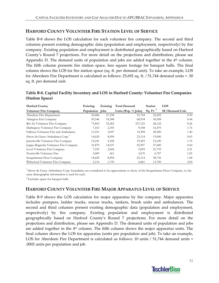# **HARFORD COUNTY VOLUNTEER FIRE STATION LEVEL OF SERVICE**

Table B-8 shows the LOS calculation for each volunteer fire company. The second and third columns present existing demographic data (population and employment, respectively) by fire company. Existing population and employment is distributed geographically based on Harford County's Round 7 projections. For more detail on the projections and distribution, please see Appendix D. The demand units of population and jobs are added together in the 4<sup>th</sup> column. The fifth column presents fire station space, less square footage for banquet halls. The final column shows the LOS for fire station space (sq. ft. per demand unit). To take an example, LOS for Aberdeen Fire Department is calculated as follows: 25,692 sq. ft. / 51,744 demand units = .50 sq. ft. per demand unit.

| Table B-8. Capital Facility Inventory and LOS in Harford County: Volunteer Fire Companies |  |
|-------------------------------------------------------------------------------------------|--|
| (Station Space)                                                                           |  |

| <b>Harford County</b>                 | Existing        | Existing | <b>Total Demand</b> | <b>Station</b> | <b>LOS</b>     |
|---------------------------------------|-----------------|----------|---------------------|----------------|----------------|
| <b>Volunteer Fire Company</b>         | Population Jobs |          | Units (Pop. % Jobs) | Sq. Ft. $2$    | SF/Demand Unit |
| Aberdeen Fire Department              | 24,486          | 27,258   | 51,744              | 25,692         | 0.50           |
| Abington Fire Company                 | 50,546          | 18,388   | 68,934              | 30,508         | 0.44           |
| Bel Air Volunteer Fire Company        | 71,843          | 35,282   | 107,125             | 28,122         | 0.26           |
| Darlington Volunteer Fire Company     | 7,163           | 2,185    | 9,348               | 16,470         | 1.76           |
| Fallston Volunteer Fire and Ambulance | 11,551          | 3,047    | 14,598              | 20,500         | 1.40           |
| Havre de Grace Ambulance Corp.        | 14,620          | 8,494    | 23,114              | 15,000         | 0.65           |
| Jarrettsville Volunteer Fire Company  | 15,241          | 4,184    | 19,425              | 23,100         | 1.19           |
| Joppa-Magnolia Volunteer Fire Company | 31,870          | 14,037   | 45,907              | 27,600         | 0.60           |
| Level Volunteer Fire Company          | 7,255           | 2,604    | 9,859               | 21,792         | 2.21           |
| Norrisville Volunteer Fire            | 3,009           | 661      | 3,670               | 6,707          | 1.83           |
| Susquehanna Hose Company              | 14,620          | 8,494    | 23,114              | 38,756         | 1.68           |
| Whiteford Volunteer Fire Company      | 5,116           | 1,745    | 6,861               | 13,700         | 2.00           |

<sup>1</sup> Havre de Grace Ambulance Corp. boundaries are considered to be approximate to those of the Susquehanna Hose Company, so the same demographic information is used for each.

 $2$  Excludes space for banquet halls.

#### **HARFORD COUNTY VOLUNTEER FIRE MAJOR APPARATUS LEVEL OF SERVICE**

Table B‐9 shows the LOS calculation for major apparatus by fire company. Major apparatus includes pumpers, ladder trucks, rescue trucks, tankers, brush units and ambulances. The second and third columns present existing demographic data (population and employment, respectively) by fire company. Existing population and employment is distributed geographically based on Harford County's Round 7 projections. For more detail on the projections and distribution, please see Appendix D. The demand units of population and jobs are added together in the  $4<sup>th</sup>$  column. The fifth column shows the major apparatus units. The final column shows the LOS for apparatus (units per population and job). To take an example, LOS for Aberdeen Fire Department is calculated as follows: 10 units / 51,744 demand units = .0002 units per population and job.

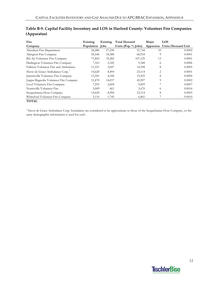| Fire                                  | Existing        | Existing | <b>Total Demand</b>   | Major          | LOS               |
|---------------------------------------|-----------------|----------|-----------------------|----------------|-------------------|
| Company                               | Population Jobs |          | Units (Pop. $%$ Jobs) | Apparatus      | Units/Demand Unit |
| Aberdeen Fire Department              | 24,486          | 27,258   | 51,744                | 10             | 0.0002            |
| Abington Fire Company                 | 50,546          | 18,388   | 68,934                | 9              | 0.0001            |
| Bel Air Volunteer Fire Company        | 71,843          | 35,282   | 107,125               | 13             | 0.0001            |
| Darlington Volunteer Fire Company     | 7,163           | 2,185    | 9,348                 | 6              | 0.0006            |
| Fallston Volunteer Fire and Ambulance | 11,551          | 3,047    | 14,598                | 8              | 0.0005            |
| Havre de Grace Ambulance Corp.        | 14,620          | 8,494    | 23,114                | $\overline{2}$ | 0.0001            |
| Jarrettsville Volunteer Fire Company  | 15,241          | 4,184    | 19,425                | 8              | 0.0004            |
| Joppa-Magnolia Volunteer Fire Company | 31,870          | 14,037   | 45,907                | 9              | 0.0002            |
| Level Volunteer Fire Company          | 7,255           | 2,604    | 9,859                 |                | 0.0007            |
| Norrisville Volunteer Fire            | 3,009           | 661      | 3,670                 | 6              | 0.0016            |
| Susquehanna Hose Company              | 14,620          | 8,494    | 23,114                | 8              | 0.0003            |
| Whiteford Volunteer Fire Company      | 5,116           | 1,745    | 6,861                 |                | 0.0010            |
| <b>TOTAL</b>                          |                 |          |                       |                |                   |

# **Table B‐9. Capital Facility Inventory and LOS in Harford County: Volunteer Fire Companies (Apparatus)**

<sup>1</sup> Havre de Grace Ambulance Corp. boundaries are considered to be approximate to those of the Susquehanna Hose Company, so the same demographic information is used for each.

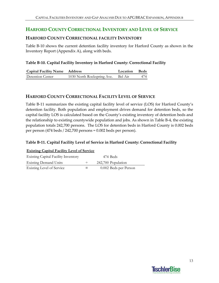# **HARFORD COUNTY CORRECTIONAL INVENTORY AND LEVEL OF SERVICE**

#### **HARFORD COUNTY CORRECTIONAL FACILITY INVENTORY**

Table B‐10 shows the current detention facility inventory for Harford County as shown in the Inventory Report (Appendix A), along with beds.

#### **Table B‐10. Capital Facility Inventory in Harford County: Correctional Facility**

| <b>Capital Facility Name Address</b> |                                    | Location Beds |     |
|--------------------------------------|------------------------------------|---------------|-----|
| Detention Center                     | 1030 North Rockspring Ave. Bel Air |               | 474 |

#### **HARFORD COUNTY CORRECTIONAL FACILITY LEVEL OF SERVICE**

Table B‐11 summarizes the existing capital facility level of service (LOS) for Harford County's detention facility. Both population and employment drives demand for detention beds, so the capital facility LOS is calculated based on the County's existing inventory of detention beds and the relationship to existing countywide population and jobs. As shown in Table B‐4, the existing population totals 242,700 persons. The LOS for detention beds in Harford County is 0.002 beds per person (474 beds / 242,700 persons = 0.002 beds per person).

#### **Table B‐11. Capital Facility Level of Service in Harford County: Correctional Facility**

| <b>Existing Capital Facility Level of Service</b> |   |                       |  |  |
|---------------------------------------------------|---|-----------------------|--|--|
| <b>Existing Capital Facility Inventory</b>        |   | 474 Beds              |  |  |
| <b>Existing Demand Units</b>                      | ÷ | 242,700 Population    |  |  |
| Existing Level of Service                         |   | 0.002 Beds per Person |  |  |

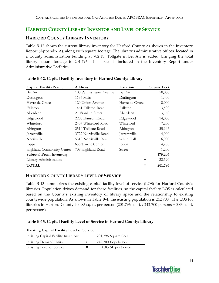# **HARFORD COUNTY LIBRARY INVENTOR AND LEVEL OF SERVICE**

# **HARFORD COUNTY LIBRARY INVENTORY**

Table B‐12 shows the current library inventory for Harford County as shown in the Inventory Report (Appendix A), along with square footage. The library's administrative offices, located in a County administration building at 702 N. Tollgate in Bel Air is added, bringing the total library square footage to 201,796. This space is included in the Inventory Report under Administrative Facilities.

| <b>Capital Facility Name</b>   | <b>Address</b>          | Location       | <b>Square Feet</b> |
|--------------------------------|-------------------------|----------------|--------------------|
| Bel Air                        | 100 Pennsylvania Avenue | Bel Air        | 50,000             |
| Darlington                     | 1134 Main               | Darlington     | 1,400              |
| Havre de Grace                 | 120 Union Avenue        | Havre de Grace | 8,000              |
| Fallston                       | 1461 Fallston Road      | Fallston       | 13,500             |
| Aberdeen                       | 21 Franklin Street      | Aberdeen       | 13,760             |
| Edgewood                       | 2205 Hanson Road        | Edgewood       | 14,000             |
| Whiteford                      | 2407 Whiteford Road     | Whiteford      | 7,200              |
| Abington                       | 2510 Tollgate Road      | Abington       | 35,946             |
| Jarretsville                   | 3722 Norrisville Road   | Jarrettsville  | 14,000             |
| Norrisville                    | 5310 Norrisville Road   | White Hall     | 6,000              |
| Joppa                          | 655 Towne Center        | Joppa          | 14,200             |
| Highland Community Center      | 708 Highland Road       | Street         | 1,200              |
| <b>Subtotal From Inventory</b> |                         |                | 179,206            |
| Library Administration         |                         | ٠              | 22,590             |
| <b>TOTAL</b>                   |                         |                | 201,796            |

#### **Table B‐12. Capital Facility Inventory in Harford County: Library**

#### **HARFORD COUNTY LIBRARY LEVEL OF SERVICE**

Table B‐13 summarizes the existing capital facility level of service (LOS) for Harford County's libraries. Population drives demand for these facilities, so the capital facility LOS is calculated based on the County's existing inventory of library space and the relationship to existing countywide population. As shown in Table B‐4, the existing population is 242,700. The LOS for libraries in Harford County is 0.83 sq. ft. per person (201,796 sq. ft. / 242,700 persons = 0.83 sq. ft. per person).

#### **Table B‐13. Capital Facility Level of Service in Harford County: Library**

| <b>Existing Capital Facility Level of Service</b> |   |                     |  |  |
|---------------------------------------------------|---|---------------------|--|--|
| <b>Existing Capital Facility Inventory</b>        |   | 201,796 Square Feet |  |  |
| <b>Existing Demand Units</b>                      | ÷ | 242,700 Population  |  |  |
| Existing Level of Service                         |   | 0.83 SF per Person  |  |  |

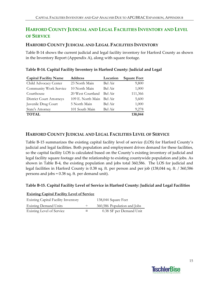# **HARFORD COUNTY JUDICIAL AND LEGAL FACILITIES INVENTORY AND LEVEL OF SERVICE**

# **HARFORD COUNTY JUDICIAL AND LEGAL FACILITIES INVENTORY**

Table B-14 shows the current judicial and legal facility inventory for Harford County as shown in the Inventory Report (Appendix A), along with square footage.

| <b>Capital Facility Name</b>    | <b>Address</b>    | Location | <b>Square Feet</b> |
|---------------------------------|-------------------|----------|--------------------|
| Child Advocacy Center           | 23 North Main     | Bel Air  | 9,800              |
| Community Work Service          | 10 North Main     | Bel Air  | 1,000              |
| Courthouse                      | 20 West Courtland | Bel Air  | 111,366            |
| <b>District Court Attorneys</b> | 109 E. North Main | Bel Air  | 5,600              |
| Juvenile Drug Court             | 5 North Main      | Bel Air  | 1,000              |
| State's Attorney                | 101 South Main    | Bel Air  | 9,278              |
| <b>TOTAL</b>                    |                   |          | 138,044            |

## **Table B‐14. Capital Facility Inventory in Harford County: Judicial and Legal**

# **HARFORD COUNTY JUDICIAL AND LEGAL FACILITIES LEVEL OF SERVICE**

Table B-15 summarizes the existing capital facility level of service (LOS) for Harford County's judicial and legal facilities. Both population and employment drives demand for these facilities, so the capital facility LOS is calculated based on the County's existing inventory of judicial and legal facility square footage and the relationship to existing countywide population and jobs. As shown in Table B‐4, the existing population and jobs total 360,586. The LOS for judicial and legal facilities in Harford County is 0.38 sq. ft. per person and per job (138,044 sq. ft. / 360,586 persons and jobs = 0.38 sq. ft. per demand unit).

#### **Table B‐15. Capital Facility Level of Service in Harford County: Judicial and Legal Facilities**

| <b>Existing Capital Facility Level of Service</b> |  |                             |
|---------------------------------------------------|--|-----------------------------|
| <b>Existing Capital Facility Inventory</b>        |  | 138,044 Square Feet         |
| <b>Existing Demand Units</b>                      |  | 360,586 Population and Jobs |
| <b>Existing Level of Service</b>                  |  | 0.38 SF per Demand Unit     |

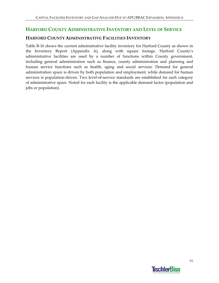# **HARFORD COUNTY ADMINISTRATIVE INVENTORY AND LEVEL OF SERVICE**

## **HARFORD COUNTY ADMINISTRATIVE FACILITIES INVENTORY**

Table B-16 shows the current administrative facility inventory for Harford County as shown in the Inventory Report (Appendix A), along with square footage. Harford County's administrative facilities are used by a number of functions within County government, including general administration such as finance, county administration and planning and human service functions such as health, aging and social services. Demand for general administration space is driven by both population and employment, while demand for human services is population-driven. Two level-of-service standards are established for each category of administrative space. Noted for each facility is the applicable demand factor (population and jobs or population).

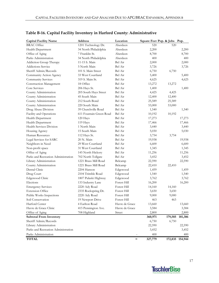| <b>Capital Facility Name</b>        | <b>Address</b>          | Location       |         | Square Feet Pop. & Jobs Pop. |                 |
|-------------------------------------|-------------------------|----------------|---------|------------------------------|-----------------|
| <b>BRAC</b> Office                  | 1201 Technology Dr.     | Aberdeen       | 520     | 520                          |                 |
| Health Department                   | 34 North Philadelphia   | Aberdeen       | 2,200   |                              | 2,200           |
| Office of Aging                     | 7 Franklin St.          | Aberdeen       | 8,700   |                              | 8,700           |
| Parks Administration                | 34 North Philadelphia   | Aberdeen       | 400     |                              | 400             |
| Addiction Group Therapy             | 11-15 S. Main           | Bel Air        | 2,000   |                              | 2,000           |
| <b>Addictions Service</b>           | 5 North Main            | Bel Air        | 3,726   |                              | 3,726           |
| Sheriff Admin/Records               | 101 S. Main Street      | Bel Air        | 6,750   | 6,750                        |                 |
| Community Action Agency             | 33 West Courtland       | Bel Air        | 5,400   |                              | 5,400           |
| Community Services                  | 319 S. Main St.         | Bel Air        | 4,625   |                              | 4,625           |
| Construction Management             | 18 Office               | Bel Air        | 13,272  | 13,272                       |                 |
| Core Services                       | 206 Hays St.            | Bel Air        | 1,400   |                              | 1,400           |
| County Administration               | 205 South Hays Street   | Bel Air        | 4,425   | 4,425                        |                 |
| County Administration               | 45 South Main           | Bel Air        | 12,400  | 12,400                       |                 |
| County Administration               | 212 South Bond          | Bel Air        | 25,589  | 25,589                       |                 |
| County Administration               | 220 South Main          | Bel Air        | 53,000  | 53,000                       |                 |
| Drug Abuse Division                 | 39 Churchville Road     | Bel Air        | 1,540   |                              | 1,540           |
| Facility and Operations             | 611 Fountain Green Road | Bel Air        | 10,192  | 10,192                       |                 |
| Health Department                   | 120 Hays                | Bel Air        | 17,273  |                              | 17,273          |
| Health Department                   | 119 Hays                | Bel Air        | 17,466  |                              | 17,466          |
| Health Services Division            | 1 North Main            | Bel Air        | 3,440   |                              | 3,440           |
| Housing Agency                      | 15 South Main           | Bel Air        | 5,030   |                              | 5,030           |
| Human Resources                     | 112 Hays St.            | Bel Air        | 3,754   | 3,754                        |                 |
| Legal Services for SARC             | 20 N. Main              | Bel Air        | 19,938  |                              | 19,938          |
| Neighbors in Need                   | 29 West Courtland       | Bel Air        | 6,600   |                              | 6,600           |
| Non-profit space                    | 31 West Courtland       | Bel Air        | 1,345   |                              | 1,345           |
| Office of Aging                     | 145 North Hickory       | Bel Air        | 11,256  |                              | 11,256          |
| Parks and Recreation Administration | 702 North Tollgate      | Bel Air        | 3,452   |                              | 3,452           |
| Library Administration              | 1221 Brass Mill Road    | Belcamp        | 22,590  |                              | 22,590          |
| County Administration               | 1221 Brass Mill Road    | Belcamp        | 22,410  | 22,410                       |                 |
| Dental Clinic                       | 2204 Hanson             | Edgewood       | 1,459   |                              | 1,459           |
| Drug Court                          | 2104 Trimble Road       | Edgewood       | 1,540   |                              | 1,540           |
| Edgewood Clinic                     | 1807 Pulaski Highway    | Edgewood       | 3,762   |                              | 3,762           |
| Elections                           | 133 Industry Lane       | Forest Hill    | 16,200  |                              | 16,200          |
| <b>Emergency Services</b>           | 2220 Ady Road           | Forest Hill    | 14,160  | 14,160                       |                 |
| <b>Extension Office</b>             | 2335 Rockspring Dr.     | Forest Hill    | 3,650   | 3,650                        |                 |
| Public Works Inspections            | 2220 Ady Road           | Forest Hill    | 9,000   | 9,000                        |                 |
| Soil Conservation                   | 19 Newport Drive        | Forest Hill    | 463     | 463                          |                 |
| Harford Center                      | 4 Earlton Road          | Havre de Grace | 13,660  |                              | 13,660          |
| Havre de Grace Clinic               | 415 Pennington Ave.     | Havre de Grace | 3,584   |                              | 3,584           |
| Office of Aging                     | 708 Highland            | Street         | 2,800   |                              | 2,800           |
| <b>Subtotal From Inventory</b>      |                         |                | 360,971 | 179,585                      | 181,386         |
| Sheriff Admin/Records               |                         |                | 6,750   | 6,750                        |                 |
| Library Administration              |                         |                | 22,590  |                              | 22,590          |
| Parks and Recreation Administration |                         |                | 3,452   |                              | 3,452           |
| Parks Administration                |                         |                | 400     |                              | 400             |
| <b>TOTAL</b>                        |                         | $=$            | 327,779 |                              | 172,835 154,944 |

# **Table B‐16. Capital Facility Inventory in Harford County: Administrative**

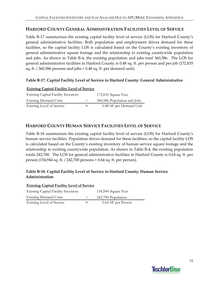## **HARFORD COUNTY GENERAL ADMINISTRATION FACILITIES LEVEL OF SERVICE**

Table B‐17 summarizes the existing capital facility level of service (LOS) for Harford County's general administrative facilities. Both population and employment drives demand for these facilities, so the capital facility LOS is calculated based on the County's existing inventory of general administrative square footage and the relationship to existing countywide population and jobs. As shown in Table B‐4, the existing population and jobs total 360,586. The LOS for general administrative facilities in Harford County is 0.48 sq. ft. per person and per job (172,835 sq. ft. / 360,586 persons and jobs = 0.48 sq. ft. per demand unit).

#### **Table B‐17. Capital Facility Level of Service in Harford County: General Administrative**

#### **Existing Capital Facility Level of Service**

| <b>Existing Capital Facility Inventory</b> |   | 172,835 Square Feet         |
|--------------------------------------------|---|-----------------------------|
| <b>Existing Demand Units</b>               |   | 360,586 Population and Jobs |
| <b>Existing Level of Service</b>           | = | 0.48 SF per Demand Unit     |

### **HARFORD COUNTY HUMAN SERVICE FACILITIES LEVEL OF SERVICE**

Table B-18 summarizes the existing capital facility level of service (LOS) for Harford County's human service facilities. Population drives demand for these facilities, so the capital facility LOS is calculated based on the County's existing inventory of human service square footage and the relationship to existing countywide population. As shown in Table B‐4, the existing population totals 242,700. The LOS for general administrative facilities in Harford County is 0.64 sq. ft. per person (154,944 sq. ft. / 242,700 persons = 0.64 sq. ft. per person).

### **Table B‐18. Capital Facility Level of Service in Harford County: Human Service Administration**

| <b>Existing Capital Facility Level of Service</b> |        |                     |
|---------------------------------------------------|--------|---------------------|
| <b>Existing Capital Facility Inventory</b>        |        | 154,944 Square Feet |
| <b>Existing Demand Units</b>                      | $\div$ | 242,700 Population  |
| <b>Existing Level of Service</b>                  | =      | 0.64 SF per Person  |

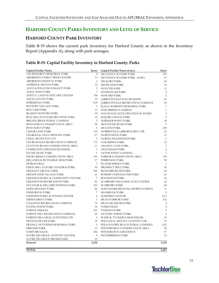# **HARFORD COUNTY PARKS INVENTORY AND LEVEL OF SERVICE**

## **HARFORD COUNTY PARK INVENTORY**

Table B-19 shows the current park inventory for Harford County as shown in the Inventory Report (Appendix A), along with park acreages.

#### **Table B‐19. Capital Facility Inventory in Harford County: Parks**

| <b>Capital Facility Name</b>            | Acres          | Capital Facility Name (cont.)    | Acres          |
|-----------------------------------------|----------------|----------------------------------|----------------|
| A.B. DEMARCO MEMORIAL PARK              | $\overline{4}$ | HEAVENLY WATERS PARK             | 383            |
| ABERDEEN FAMILY SWIM CENTER             | 11             | HEAVENLY WATERS PARK - SOMA      | 67             |
| ABERDEEN FESTIVAL PARK                  | 3              | <b>HICKORY PARK</b>              | 22             |
| ALFRED B. HILTON PARK                   | 12             | HIGHLAND PARK                    | 10             |
| ALICE & WILLIAM LONGLEY PARK            | 3              | <b>HOLLYWOODS</b>                | 11             |
| <b>ALICE ANNE PARK</b>                  | $\mathbf{1}$   | <b>HOMESTEAD PARK</b>            | 5              |
| ANITA C. LEIGHT ESTUARY CENTER          | 100            | <b>HOWARD PARK</b>               | $\overline{c}$ |
| <b>AQUILA SCOTT PARK</b>                | 19             | JARRETTSVILLE FOX MEADOW         | 21             |
| <b>BARKSDALE PARK</b>                   | 0.20           | JARRETTSVILLE RECREATION COMPLEX | 18             |
| BATTERY VILLAGE PARK                    | $\mathbf{1}$   | JEAN S. ROBERTS MEMORIAL PARK    | $\mathbf{1}$   |
| <b>BELCAMP PARK</b>                     | 11             | LINE BRIDGE LANDING              | $\mathbf{1}$   |
| <b>BLAKES VENTURE PARK</b>              | 42             | LYN STACIE GETZ CREATIVE PLAYGRO | 3              |
| BOX HILL SOUTH RECREATION PARK          | 18             | MAJORS CHOICE PARK               | 9              |
| BROAD CREEK PUBLIC LANDING              | 3              | MARINER POINT PARK               | 38             |
| BYNUM RUN CONSERVATION AREA             | 58             | MOUNTAIN ROAD PARK               | 5              |
| <b>BYNUM RUN PARK</b>                   | 5              | MULLINS PARK                     | 250            |
| <b>CEDAR LANE PARK</b>                  | 110            | NORRISVILLE LIBRARY& REC CTR     | 21             |
| CHARLES & ANNA MICHAEL PARK             | 67             | NORTH DEEN PARK                  | 11             |
| CHELL ROAD TOT LOT                      | $\mathbf{1}$   | NORTH/MCLHINNEYPARK              | $\mathbf{1}$   |
| CHURCHVILLE RECREATION COMPLEX          | 175            | OAK RIDGE PARK                   | 13             |
| CLAYTON ROAD CONSERVATION AREA          | 11             | OLD BAY LANE PARK                | $\overline{7}$ |
| COMMUNITY SERVICES BUILDING             | $\mathbf{1}$   | <b>OLD FIELDS PARK</b>           | $\overline{c}$ |
| DAVID CRAIG PARK                        | $\mathbf{1}$   | OTTER POINT LANDING              | $\mathbf{1}$   |
| DEER CREEK CONSERVATION AREA            | 195            | PARKER CONSERVATION AREA         | 159            |
| DR. JAMES B. RUTLEDGE MEM PARK          | 37             | PERRYMAN PARK                    | 90             |
| <b>DUBLIN DELL</b>                      | 3              | PLATER STREET PARK               | 1              |
| EDEN MILL NATURE CENTER & PARK          | 50             | PROSPECT MILL PARK               | 30             |
| EDGELEY GROVE FARM                      | 282            | RECKORD ROAD PARK                | 24             |
| EDGEWATER VILLAGE PARK                  | 61             | ROBERT COPENHAVER PARK           | 21             |
| EDGEWOOD REC & COMMUNITY CENTER         | $\overline{7}$ | ROCKFIELD PARK                   | 54             |
| EDGEWOOD RECREATION PARK                | 81             | SCARBORO HILLS DISC GOLF COURSE  | 62             |
| ELEANOR & MILLARD TYDINGS PARK          | 310            | <b>SCARBORO PARK</b>             | 40             |
| EMMA ROCKEY PARK                        | 42             | SCHUCKS RD REGIONL SPORTS COMPLX | 71             |
| <b>EMMORTON PARK</b>                    | $\overline{7}$ | SHAMROCK PARK                    | 5              |
| <b>EMMORTON REC &amp; TENNIS CENTER</b> | $\overline{4}$ | SOMERSET MANOR                   | 0.13           |
| ERWIN DRIVE PARK                        | $\mathbf{1}$   | <b>SWAN HARBOR FARM</b>          | 532            |
| FALLSTON RECREATION COMPLEX             | 74             | <b>SWAN MEADOWS PARK</b>         | 3              |
| FLYING POINT PARK                       | 16             | <b>TODD FIELD</b>                | 5              |
| <b>FOREST GREENS</b>                    | 101            | <b>TYDINGS PARK</b>              | 9              |
| FOREST HILL RECREATION COMPLEX          | 49             | VICTORY STREET PARK              | 5              |
| FOREST HILL/HICK ACTIVITIES CTR         | $\overline{4}$ | WADE R. TUCKER II MEM FIELDS     | 10             |
| FRANCIS SILVER PARK                     | 19             | WILLIAM N. MCFAUL ACTIVITY CTR   | 10             |
| FRANK J. HUTCHINS MEMORIAL PARK         | 3              | WILLOUGHBY BEACH PUBLIC LANDING  | 0.25           |
| <b>FRIENDS PARK</b>                     | 15             | WINTERS RUN CONSERVATION AREA    | 22             |
| <b>HARFORD GLEN</b>                     | 302            | WINTERS RUN GREENWAY             | 67             |
| HAVRE DE GRACE ACTIVITY CENTER          | $\overline{4}$ | <b>WOODBRIDGE PARK</b>           | 12             |
| HAVRE DE GRACE PROMENADE                | 10             |                                  |                |
| Subtotal                                | 2,332          |                                  | 2,135          |
|                                         |                |                                  |                |
| <b>TOTAL</b>                            |                |                                  | 4,467          |

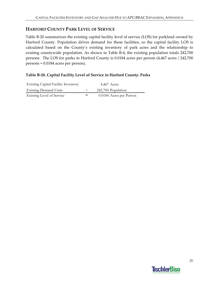## **HARFORD COUNTY PARK LEVEL OF SERVICE**

Table B‐20 summarizes the existing capital facility level of service (LOS) for parkland owned by Harford County. Population drives demand for these facilities, so the capital facility LOS is calculated based on the County's existing inventory of park acres and the relationship to existing countywide population. As shown in Table B‐4, the existing population totals 242,700 persons. The LOS for parks in Harford County is 0.0184 acres per person (4,467 acres / 242,700 persons = 0.0184 acres per person).

#### **Table B‐20. Capital Facility Level of Service in Harford County: Parks**

| <b>Existing Capital Facility Inventory</b> | $4,467$ Acres           |
|--------------------------------------------|-------------------------|
| <b>Existing Demand Units</b>               | 242,700 Population      |
| <b>Existing Level of Service</b>           | 0.0184 Acres per Person |

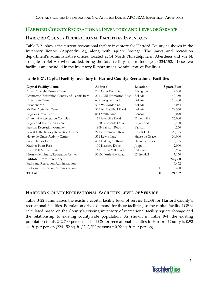# **HARFORD COUNTY RECREATIONAL INVENTORY AND LEVEL OF SERVICE**

## **HARFORD COUNTY RECREATIONAL FACILITIES INVENTORY**

Table B‐21 shows the current recreational facility inventory for Harford County as shown in the Inventory Report (Appendix A), along with square footage. The parks and recreation department's administrative offices, located at 34 North Philadelphia in Aberdeen and 702 N. Tollgate in Bel Air when added, bring the total facility square footage to 224,152. These two facilities are included in the Inventory Report under Administrative Facilities.

| <b>Capital Facility Name</b>               | <b>Address</b>         | Location       | <b>Square Feet</b> |
|--------------------------------------------|------------------------|----------------|--------------------|
| Anita C. Leight Estuary Center             | 700 Otter Point Road   | Abingdon       | 7,500              |
| Emmorton Recreation Center and Tennis Barn | 2213 Old Emmorton Road | Bel Air        | 40,350             |
| Equestrian Center                          | 608 Tollgate Road      | Bel Air        | 10,400             |
| Liriodendron                               | 502 W. Gordon St.      | Bel Air        | 6,034              |
| McFaul Activities Center                   | 525 W. MacPhail Road   | Bel Air        | 29,350             |
| Edgeley Grove Farm                         | 864 Smith Lane         | Benson         | 2,070              |
| Churchville Recreation Complex             | 111 Glenville Road     | Churchville    | 26,000             |
| <b>Edgewood Recreation Center</b>          | 1980 Brookside Drive   | Edgewood       | 10,400             |
| <b>Fallston Recreation Complex</b>         | 1809 Fallston Road     | Fallston       | 4,260              |
| Forest Hill/Hickory Recreation Center      | 2213 Commerce Road     | Forest Hill    | 28,725             |
| Havre de Grace Activity Center             | 351 Lewis Lane         | Havre de Grace | 30,000             |
| Swan Harbor Farm                           | 401 Oakington Road     | Havre de Grace | 6,155              |
| Mariner Point Park                         | 100 Kearney Drive      | Joppa          | 2,000              |
| Eden Mill Nature Center                    | 1617 Eden Mill Road    | Pylesville     | 9,906              |
| Norrsiville Library/Recreation Center      | 5310 Norrisville Road  | White Hall     | 7,150              |
| <b>Subtotal From Inventory</b>             |                        |                | 220,300            |
| Parks and Recreation Administration        |                        |                | 3,452              |
| Parks and Recreation Administration        |                        |                | 400<br>+           |
| <b>TOTAL</b>                               |                        |                | 224,152<br>$=$     |

#### **Table B‐21. Capital Facility Inventory in Harford County: Recreational Facilities**

# **HARFORD COUNTY RECREATIONAL FACILITIES LEVEL OF SERVICE**

Table B‐22 summarizes the existing capital facility level of service (LOS) for Harford County's recreational facilities. Population drives demand for these facilities, so the capital facility LOS is calculated based on the County's existing inventory of recreational facility square footage and the relationship to existing countywide population. As shown in Table B‐4, the existing population totals 242,700 persons. The LOS for recreational facilities in Harford County is 0.92 sq. ft. per person (224,152 sq. ft. / 242,700 persons = 0.92 sq. ft. per person).

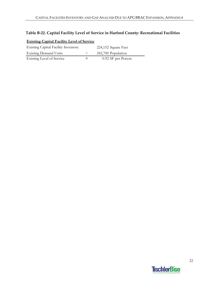# **Table B‐22. Capital Facility Level of Service in Harford County: Recreational Facilities**

| <b>Existing Capital Facility Level of Service</b> |        |                     |
|---------------------------------------------------|--------|---------------------|
| <b>Existing Capital Facility Inventory</b>        |        | 224,152 Square Feet |
| <b>Existing Demand Units</b>                      | $\div$ | 242,700 Population  |
| Existing Level of Service                         |        | 0.92 SF per Person  |

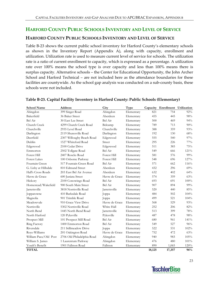# **HARFORD COUNTY PUBLIC SCHOOLS INVENTORY AND LEVEL OF SERVICE**

# **HARFORD COUNTY PUBLIC SCHOOLS INVENTORY AND LEVEL OF SERVICE**

Table B‐23 shows the current public school inventory for Harford County's elementary schools as shown in the Inventory Report (Appendix A), along with capacity, enrollment and utilization. Utilization rate is used to measure current level of service for schools. The utilization rate is a ratio of current enrollment to capacity, which is expressed as a percentage. A utilization rate over 100% means the school type is over capacity and less than 100% means there is surplus capacity. Alternative schools – the Center for Educational Opportunity, the John Archer School and Harford Technical – are not included here as the attendance boundaries for these facilities are countywide. As the school gap analysis was conducted on a sub‐county basis, these schools were not included.

| <b>School Name</b>    | <b>Address</b>             | City           | <b>Type</b> | Capacity | Enrollment Utilization |      |
|-----------------------|----------------------------|----------------|-------------|----------|------------------------|------|
| Abingdon              | 399 Singer Road            | Abingdon       | Elementary  | 821      | 754                    | 92%  |
| Bakerfield            | 36 Baker Street            | Aberdeen       | Elementary  | 455      | 445                    | 98%  |
| Bel Air               | 30 East Lee Street         | Bel Air        | Elementary  | 500      | 469                    | 94%  |
| Church Creek          | 4299 Church Creek Road     | Belcamp        | Elementary  | 789      | 713                    | 90%  |
| Churchville           | 2935 Level Road            | Churchville    | Elementary  | 388      | 359                    | 93%  |
| Darlington            | 2119 Shuresville Road      | Darlington     | Elementary  | 192      | 130                    | 68%  |
| Deerfield             | 2307 Willougby Beach Road  | Edgewood       | Elementary  | 555      | 540                    | 97%  |
| Dublin                | 1527 Whiteford Road        | Street         | Elementary  | 295      | 226                    | 77%  |
| Edgewood              | 2100 Cedar Drive           | Edgewood       | Elementary  | 511      | 385                    | 75%  |
| Emmorton              | 2502 Tollgate Road         | Bel Air        | Elementary  | 549      | 666                    | 121% |
| Forest Hill           | 2407 Roscks Road           | Forest Hill    | Elementary  | 581      | 576                    | 99%  |
| <b>Forest Lakes</b>   | 100 Osborne Parkway        | Forest Hill    | Elementary  | 548      | 696                    | 127% |
| Fountain Green        | 517 Fountain Green Road    | Bel Air        | Elementary  | 571      | 662                    | 116% |
| G. Lisby at Hillsdale | 810 Edmund Street          | Aberdeen       | Elementary  | 432      | 296                    | 69%  |
| Hall's Cross Roads    | 203 East Bel Air Avenue    | Aberdeen       | Elementary  | 632      | 402                    | 64%  |
| Havre de Grace        | 600 Juniata Street         | Havre de Grace | Elementary  | 574      | 359                    | 63%  |
| Hickory               | 2100 Conowingo Road        | Bel Air        | Elementary  | 693      | 691                    | 100% |
| Homestead/Wakefield   | 900 South Main Street      | Bel Air        | Elementary  | 907      | 894                    | 99%  |
| Jarrettsville         | 3818 Norrisville Road      | Jarrettsville  | Elementary  | 520      | 440                    | 85%  |
| Joppatowne            | 410 Barksdale Road         | Joppa          | Elementary  | 484      | 502                    | 104% |
| Magnolia              | 901 Trimble Road           | Joppa          | Elementary  | 499      | 521                    | 104% |
| Meadowyale            | 910 Grace View Drive       | Havre de Grace | Elementary  | 568      | 529                    | 93%  |
| Norrisville           | 5302 Norrisville Road      | White Hall     | Elementary  | 252      | 206                    | 82%  |
| North Bend            | 1445 North Bend Road       | Jarrettsville  | Elementary  | 513      | 399                    | 78%  |
| North Harford         | 120 Pylesville             | Pylesville     | Elementary  | 487      | 478                    | 98%  |
| Prospect Mill         | 101 Prospect Mill Road     | Bel Air        | Elementary  | 680      | 961                    | 141% |
| Ring Factory          | 1400 Emmorton Road         | Bel Air        | Elementary  | 549      | 527                    | 96%  |
| Riversdale            | 211 Stillmeadow Drive      | Joppa          | Elementary  | 522      | 531                    | 102% |
| Roye-Williams         | 201 Oakington Road         | Havre de Grace | Elementary  | 752      | 472                    | 63%  |
| William Paca/Old Post | 2706 Old Philadelphia Road | Abingdon       | Elementary  | 940      | 983                    | 105% |
| William S. James      | 1 Laurentum Parkway        | Abingdon       | Elementary  | 476      | 480                    | 101% |
| Youth's Benefit       | 1901 Fallston Road         | Fallston       | Elementary  | 890      | 1,065                  | 120% |
| <b>TOTAL</b>          |                            |                |             | 18,125   | 17,357                 | 96%  |

#### **Table B‐23. Capital Facility Inventory in Harford County: Public Schools (Elementary)**

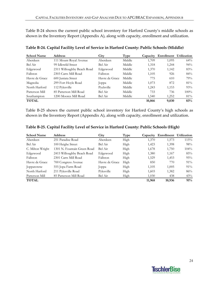Table B-24 shows the current public school inventory for Harford County's middle schools as shown in the Inventory Report (Appendix A), along with capacity, enrollment and utilization.

| <b>School Name</b> | <b>Address</b>             | City            | Type   | Capacity | Enrollment Utilization |         |
|--------------------|----------------------------|-----------------|--------|----------|------------------------|---------|
| Aberdeen           | 111 Mount Royal Avenue     | Aberdeen        | Middle | 1,709    | 1,095                  | 64%     |
| Bel Air            | 99 Idlewild Street         | Bel Air         | Middle | 1,318    | 1,244                  | 94%     |
| Edgewood           | 2311 Willoughby Beach Road | Edgewood        | Middle | 1,370    | 1,142                  | 83%     |
| Fallston           | 2303 Carrs Mill Road       | <b>Fallston</b> | Middle | 1,105    | 926                    | 84%     |
| Havre de Grace     | 600 Juniata Street         | Havre de Grace  | Middle | 775      | 610                    | 79%     |
| Magnolia           | 299 Fort Hoyle Road        | $\log$          | Middle | 1,073    | 872                    | 81%     |
| North Harford      | 112 Pylesville             | Pyelsville      | Middle | 1,243    | 1,153                  | 93%     |
| Patterson Mill     | 85 Patterson Mill Road     | Bel Air         | Middle | 733      | 736                    | $100\%$ |
| Southampton        | 1200 Moores Mill Road      | Bel Air         | Middle | 1,540    | 1,252                  | 81%     |
| <b>TOTAL</b>       |                            |                 |        | 10,866   | 9,030                  | 83%     |

**Table B‐24. Capital Facility Level of Service in Harford County: Public Schools (Middle)**

Table B-25 shows the current public school inventory for Harford County's high schools as shown in the Inventory Report (Appendix A), along with capacity, enrollment and utilization.

| <b>School Name</b> | Address                     | City           | Type | Capacity | Enrollment Utilization |         |
|--------------------|-----------------------------|----------------|------|----------|------------------------|---------|
| Aberdeen           | 251 Paradise Road           | Aberdeen       | High | 1,370    | 1,573                  | 115%    |
| Bel Air            | 100 Heighe Street           | Bel Air        | High | 1,423    | 1,398                  | 98%     |
| C. Milton Wright   | 1301 N. Fountain Green Road | Bel Air        | High | 1,678    | 1,750                  | $104\%$ |
| Edgewood           | 2415 Willoughby Beach Road  | Edgewood       | High | 1,380    | 1,167                  | 85%     |
| Fallston           | 2301 Carrs Mill Road        | Fallston       | High | 1,529    | 1,453                  | 95%     |
| Havre de Grace     | 700 Congress Avenue         | Havre de Grace | High | 850      | 770                    | $91\%$  |
| Joppatowne         | 555 Jopa Farm Road          | $\log pa$      | High | 1,105    | 1,005                  | 91%     |
| North Harford      | 211 Pylesville Road         | Pylesville     | High | 1,603    | 1,382                  | 86%     |
| Patterson Mill     | 85 Patterson Mill Road      | Bel Air        | High | 1,030    | 438                    | 43%     |
| <b>TOTAL</b>       |                             |                |      | 11,968   | 10,936                 | 91%     |

**Table B‐25. Capital Facility Level of Service in Harford County: Public Schools (High)**

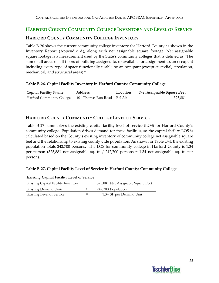# **HARFORD COUNTY COMMUNITY COLLEGE INVENTORY AND LEVEL OF SERVICE**

# **HARFORD COUNTY COMMUNITY COLLEGE INVENTORY**

Table B‐26 shows the current community college inventory for Harford County as shown in the Inventory Report (Appendix A), along with net assignable square footage. Net assignable square footage is a measurement used by the State's community colleges that is defined as "The sum of all areas on all floors of building assigned to, or available for assignment to, an occupant including every type of space functionally usable by an occupant (except custodial, circulation, mechanical, and structural areas)."

#### **Table B‐26. Capital Facility Inventory in Harford County: Community College**

| <b>Capital Facility Name</b>     | <b>Address</b>              | Location | Net Assignable Square Feet |
|----------------------------------|-----------------------------|----------|----------------------------|
| <b>Harford Community College</b> | 401 Thomas Run Road Bel Air |          | 325,881                    |

# **HARFORD COUNTY COMMUNITY COLLEGE LEVEL OF SERVICE**

Table B‐27 summarizes the existing capital facility level of service (LOS) for Harford County's community college. Population drives demand for these facilities, so the capital facility LOS is calculated based on the County's existing inventory of community college net assignable square feet and the relationship to existing countywide population. As shown in Table D‐4, the existing population totals 242,700 persons. The LOS for community college in Harford County is 1.34 per person (325,881 net assignable sq. ft. / 242,700 persons = 1.34 net assignable sq. ft. per person).

#### **Table B‐27. Capital Facility Level of Service in Harford County: Community College**

| <b>Existing Capital Facility Level of Service</b> |        |                                    |
|---------------------------------------------------|--------|------------------------------------|
| <b>Existing Capital Facility Inventory</b>        |        | 325,881 Net Assignable Square Feet |
| <b>Existing Demand Units</b>                      | $\div$ | 242,700 Population                 |
| Existing Level of Service                         |        | 1.34 SF per Demand Unit            |

# **TischlerBise**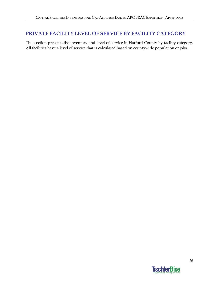# **PRIVATE FACILITY LEVEL OF SERVICE BY FACILITY CATEGORY**

This section presents the inventory and level of service in Harford County by facility category. All facilities have a level of service that is calculated based on countywide population or jobs.

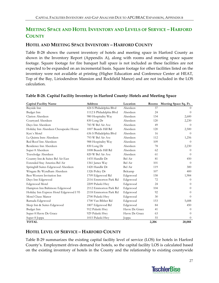# **MEETING SPACE AND HOTEL INVENTORY AND LEVELS OF SERVICE – HARFORD COUNTY**

# **HOTEL AND MEETING SPACE INVENTORY – HARFORD COUNTY**

Table B-28 shows the current inventory of hotels and meeting space in Harford County as shown in the Inventory Report (Appendix A), along with rooms and meeting space square footage. Square footage for fire banquet hall space is not included as these facilities are not expected to be expanded on an incremental basis. Square footage for other facilities listed on the inventory were not available at printing (Higher Education and Conference Center at HEAT, Top of the Bay, Liriodendron Mansion and Rockfield Manor) and are not included in the LOS calculation.

| <b>Capital Facility Name</b>            | <b>Address</b>           | Location       | Rooms | Meeting Space Sq. Ft. |
|-----------------------------------------|--------------------------|----------------|-------|-----------------------|
| Bayside Inn                             | 424 S Philadelphia Blvd  | Aberdeen       | 37    | $\left($              |
| Budget Inn                              | 1112 S Philadelphia Blvd | Aberdeen       | 24    | $\Omega$              |
| Clarion Aberdeen                        | 980 Hospitality Way      | Aberdeen       | 134   | 2,600                 |
| Courtyard Aberdeen                      | 830 Long Dr              | Aberdeen       | 120   | 2,230                 |
| Days Inn Aberdeen                       | 783 W Bel Air Ave        | Aberdeen       | 49    | $\theta$              |
| Holiday Inn Aberdeen Chesapeake House   | 1007 Beards Hill Rd      | Aberdeen       | 120   | 2,500                 |
| Ken's Motel                             | 636 S Philadelphia Blvd  | Aberdeen       | 16    | $\Omega$              |
| La Quinta Inns Aberdeen                 | 793 W Bel Air Ave        | Aberdeen       | 112   | 1,256                 |
| Red Roof Inn Aberdeen                   | 988 Hospitality Way      | Aberdeen       | 109   | $\Omega$              |
| Residence Inn Aberdeen                  | 830 Long Dr              | Aberdeen       | 78    | 2,230                 |
| Super 8 Aberdeen                        | 1008 Beards Hill Rd      | Aberdeen       | 62    | $\Omega$              |
| Travelodge Aberdeen                     | 820 W Bel Air Ave        | Aberdeen       | 61    | $\Omega$              |
| Country Inn & Suites Bel Air East       | 1435 Handlir Dr          | Bel Air        | 81    | 450                   |
| Extended Stay America Bel Air           | 1361 James Way           | Bel Air        | 101   | $\Omega$              |
| Springhill Suites Edgewood Aberdeen     | 1420 Handlir Dr          | Bel Air        | 119   | 300                   |
| Wingate By Wyndham Aberdeen             | 1326 Policy Dr           | Belcamp        | 107   | 400                   |
| Best Western Invitation Inn             | 1709 Edgewood Rd         | Edgewood       | 158   | 1,984                 |
| Days Inn Edgewood                       | 2116 Emmorton Park Rd    | Edgewood       | 72    | $\theta$              |
| Edgewood Motel                          | 2209 Pulaski Hwy         | Edgewood       | 24    | $\Omega$              |
| Hampton Inn Baltimore Edgewood          | 2112 Emmorton Park Rd    | Edgewood       | 104   | $\Omega$              |
| Holiday Inn Express Hotel Edgewood I 95 | 2118 Emmorton Park Rd    | Edgewood       | 92    | 0                     |
| Motel Chase Manor                       | 2700 Pulaski Hwy         | Edgewood       | 30    | $\Omega$              |
| Ramada Edgewood                         | 1700 Van Bibber Rd       | Edgewood       | 153   | 5,688                 |
| Sleep Inn & Suites Edgewood             | 1807 Edgewood Rd         | Edgewood       | 84    | 450                   |
| Budget Inn                              | 912 Pulaski Hwy          | Havre De Grace | 41    | $\theta$              |
| Super 8 Havre De Grace                  | 929 Pulaski Hwy          | Havre De Grace | 63    | $\Omega$              |
| Super 8 Joppa                           | 1015 Pulaski Hwy         | Joppa          | 55    | $\Omega$              |
| <b>TOTAL</b>                            |                          |                | 2,206 | 20,088                |

#### **Table B‐28. Capital Facility Inventory in Harford County: Hotels and Meeting Space**

# **HOTEL LEVEL OF SERVICE – HARFORD COUNTY**

Table B‐29 summarizes the existing capital facility level of service (LOS) for hotels in Harford County's. Employment drives demand for hotels, so the capital facility LOS is calculated based on the existing inventory of hotels in the County and the relationship to existing countywide

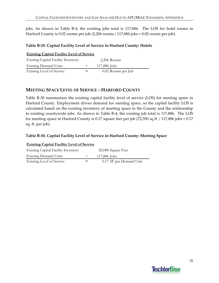jobs. As shown in Table B-4, the existing jobs total is 117,886. The LOS for hotel rooms in Harford County is 0.02 rooms per job (2,206 rooms / 117,886 jobs = 0.02 rooms per job).

#### **Table B‐29. Capital Facility Level of Service in Harford County: Hotels**

| <b>Existing Capital Facility Level of Service</b> |  |                    |  |  |  |  |
|---------------------------------------------------|--|--------------------|--|--|--|--|
| <b>Existing Capital Facility Inventory</b>        |  | $2,206$ Rooms      |  |  |  |  |
| <b>Existing Demand Units</b>                      |  | 117,886 Jobs       |  |  |  |  |
| Existing Level of Service                         |  | 0.02 Rooms per Job |  |  |  |  |

# **MEETING SPACE LEVEL OF SERVICE – HARFORD COUNTY**

Table B‐30 summarizes the existing capital facility level of service (LOS) for meeting space in Harford County. Employment drives demand for meeting space, so the capital facility LOS is calculated based on the existing inventory of meeting space in the County and the relationship to existing countywide jobs. As shown in Table B‐4, the existing job total is 117,886. The LOS for meeting space in Harford County is 0.17 square feet per job (72,350 sq ft. / 117,886 jobs = 0.17 sq. ft. per job).

#### **Table B‐30. Capital Facility Level of Service in Harford County: Meeting Space**

| <b>Existing Capital Facility Level of Service</b> |        |                         |  |  |  |  |
|---------------------------------------------------|--------|-------------------------|--|--|--|--|
| <b>Existing Capital Facility Inventory</b>        |        | 20,088 Square Feet      |  |  |  |  |
| <b>Existing Demand Units</b>                      | $\div$ | 117,886 Jobs            |  |  |  |  |
| <b>Existing Level of Service</b>                  |        | 0.17 SF per Demand Unit |  |  |  |  |

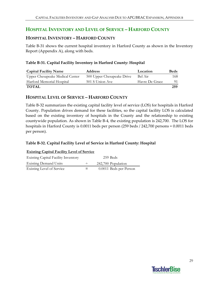# **HOSPITAL INVENTORY AND LEVEL OF SERVICE – HARFORD COUNTY**

# **HOSPITAL INVENTORY – HARFORD COUNTY**

Table B‐31 shows the current hospital inventory in Harford County as shown in the Inventory Report (Appendix A), along with beds.

### **Table B‐31. Capital Facility Inventory in Harford County: Hospital**

| <b>Capital Facility Name</b>    | <b>Address</b>             | Location       | <b>Beds</b> |
|---------------------------------|----------------------------|----------------|-------------|
| Upper Chesapeake Medical Center | 500 Upper Chesapeake Drive | Bel Air        | 168.        |
| Harford Memorial Hospital       | 501 S Union Ave            | Havre De Grace | 91.         |
| <b>TOTAL</b>                    |                            |                | 259         |

# **HOSPITAL LEVEL OF SERVICE – HARFORD COUNTY**

Table B‐32 summarizes the existing capital facility level of service (LOS) for hospitals in Harford County. Population drives demand for these facilities, so the capital facility LOS is calculated based on the existing inventory of hospitals in the County and the relationship to existing countywide population. As shown in Table B‐4, the existing population is 242,700. The LOS for hospitals in Harford County is 0.0011 beds per person (259 beds / 242,700 persons = 0.0011 beds per person).

# **Table B‐32. Capital Facility Level of Service in Harford County: Hospital**

| <b>Existing Capital Facility Level of Service</b> |        |                        |  |  |
|---------------------------------------------------|--------|------------------------|--|--|
| <b>Existing Capital Facility Inventory</b>        |        | 259 Beds               |  |  |
| <b>Existing Demand Units</b>                      | $\div$ | 242,700 Population     |  |  |
| Existing Level of Service                         |        | 0.0011 Beds per Person |  |  |

# **TischlerBise**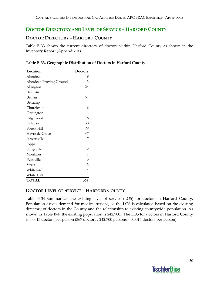# **DOCTOR DIRECTORY AND LEVEL OF SERVICE – HARFORD COUNTY**

## **DOCTOR DIRECTORY – HARFORD COUNTY**

Table B-33 shows the current directory of doctors within Harford County as shown in the Inventory Report (Appendix A).

|  | Table B-33. Geographic Distribution of Doctors in Harford County |  |  |
|--|------------------------------------------------------------------|--|--|
|  |                                                                  |  |  |

| Location                | <b>Doctors</b> |
|-------------------------|----------------|
| Aberdeen                | 9              |
| Aberdeen Proving Ground | 3              |
| Abington                | 24             |
| Baldwin                 | 1              |
| Bel Air                 | 157            |
| Belcamp                 | 4              |
| Churchville             | 8              |
| Darlington              | 1              |
| Edgewood                | 8              |
| Fallston                | 38             |
| Forest Hill             | 29             |
| Havre de Grace          | 47             |
| Jarrettsville           | 7              |
| Joppa                   | 17             |
| Kingsville              | $\overline{2}$ |
| Monkton                 | 1              |
| Pylesville              | 3              |
| Street                  | 3              |
| Whiteford               | $\overline{4}$ |
| White Hall              | 1              |
| <b>TOTAL</b>            | 367            |

# **DOCTOR LEVEL OF SERVICE – HARFORD COUNTY**

Table B-34 summarizes the existing level of service (LOS) for doctors in Harford County. Population drives demand for medical service, so the LOS is calculated based on the existing directory of doctors in the County and the relationship to existing countywide population. As shown in Table B-4, the existing population is 242,700. The LOS for doctors in Harford County is 0.0015 doctors per person (367 doctors / 242,700 persons = 0.0015 doctors per person).

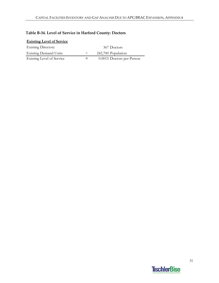# **Table B‐34. Level of Service in Harford County: Doctors**

| <b>Existing Level of Service</b> |        |                           |
|----------------------------------|--------|---------------------------|
| <b>Existing Directory</b>        |        | 367 Doctors               |
| <b>Existing Demand Units</b>     | $\div$ | 242,700 Population        |
| Existing Level of Service        | $=$    | 0.0015 Doctors per Person |

# **TischlerBise**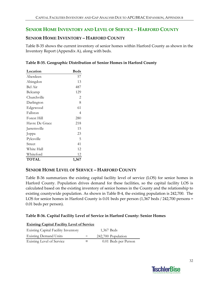# **SENIOR HOME INVENTORY AND LEVEL OF SERVICE – HARFORD COUNTY**

# **SENIOR HOME INVENTORY – HARFORD COUNTY**

Table B‐35 shows the current inventory of senior homes within Harford County as shown in the Inventory Report (Appendix A), along with beds.

| Location       | <b>Beds</b> |
|----------------|-------------|
| Aberdeen       | 57          |
| Abingdon       | 13          |
| Bel Air        | 487         |
| Belcamp        | 129         |
| Churchville    | 2           |
| Darlington     | 8           |
| Edgewood       | 61          |
| Fallston       | 4           |
| Forest Hill    | 280         |
| Havre De Grace | 218         |
| Jarrettsville  | 15          |
| Joppa          | 23          |
| Pylesville     | 5           |
| Street         | 41          |
| White Hall     | 12          |
| Whiteford      | 12          |
| TOTAL          | 1,367       |

| Table B-35. Geographic Distribution of Senior Homes in Harford County |  |  |
|-----------------------------------------------------------------------|--|--|
|                                                                       |  |  |

#### **SENIOR HOME LEVEL OF SERVICE – HARFORD COUNTY**

Table B‐36 summarizes the existing capital facility level of service (LOS) for senior homes in Harford County. Population drives demand for these facilities, so the capital facility LOS is calculated based on the existing inventory of senior homes in the County and the relationship to existing countywide population. As shown in Table B‐4, the existing population is 242,700. The LOS for senior homes in Harford County is 0.01 beds per person (1,367 beds / 242,700 persons = 0.01 beds per person).

#### **Table B‐36. Capital Facility Level of Service in Harford County: Senior Homes**

| <b>Existing Capital Facility Level of Service</b> |        |                      |  |  |  |
|---------------------------------------------------|--------|----------------------|--|--|--|
| <b>Existing Capital Facility Inventory</b>        |        | 1,367 Beds           |  |  |  |
| <b>Existing Demand Units</b>                      | $\div$ | 242,700 Population   |  |  |  |
| <b>Existing Level of Service</b>                  |        | 0.01 Beds per Person |  |  |  |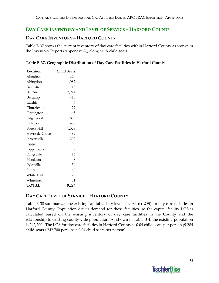# **DAY CARE INVENTORY AND LEVEL OF SERVICE – HARFORD COUNTY**

## **DAY CARE INVENTORY – HARFORD COUNTY**

Table B‐37 shows the current inventory of day care facilities within Harford County as shown in the Inventory Report (Appendix A), along with child seats.

| Table B-37. Geographic Distribution of Day Care Facilities in Harford County |  |  |
|------------------------------------------------------------------------------|--|--|
|                                                                              |  |  |

| <b>Child Seats</b> |
|--------------------|
| 620                |
| 1,087              |
| 13                 |
| 2,924              |
| 413                |
| 7                  |
| 177                |
| 43                 |
| 890                |
| 475                |
| 1,029              |
| 489                |
| 202                |
| 706                |
| 7                  |
| 16                 |
| 8                  |
| 30                 |
| 68                 |
| 29                 |
| 51                 |
| 9,284              |
|                    |

# **DAY CARE LEVEL OF SERVICE – HARFORD COUNTY**

Table B‐38 summarizes the existing capital facility level of service (LOS) for day care facilities in Harford County. Population drives demand for these facilities, so the capital facility LOS is calculated based on the existing inventory of day care facilities in the County and the relationship to existing countywide population. As shown in Table B‐4, the existing population is 242,700. The LOS for day care facilities in Harford County is 0.04 child seats per person (9,284 child seats / 242,700 persons = 0.04 child seats per person).

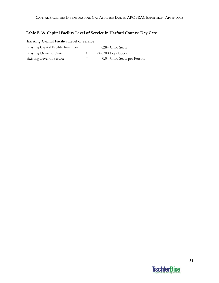## **Table B‐38. Capital Facility Level of Service in Harford County: Day Care**

| <b>Existing Capital Facility Level of Service</b> |        |                             |  |  |  |
|---------------------------------------------------|--------|-----------------------------|--|--|--|
| <b>Existing Capital Facility Inventory</b>        |        | 9,284 Child Seats           |  |  |  |
| <b>Existing Demand Units</b>                      | $\div$ | 242,700 Population          |  |  |  |
| Existing Level of Service                         |        | 0.04 Child Seats per Person |  |  |  |

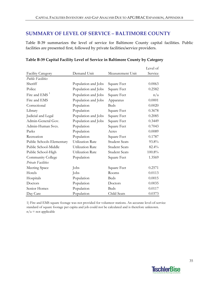# **SUMMARY OF LEVEL OF SERVICE – BALTIMORE COUNTY**

Table B-39 summarizes the level of service for Baltimore County capital facilities. Public facilities are presented first, followed by private facilities/service providers.

|                           |                         |                      | Level of |
|---------------------------|-------------------------|----------------------|----------|
| <b>Facility Category</b>  | Demand Unit             | Measurement Unit     | Service  |
| <b>Public Facilities</b>  |                         |                      |          |
| Sheriff                   | Population and Jobs     | Square Feet          | 0.0063   |
| Police                    | Population and Jobs     | Square Feet          | 0.2582   |
| Fire and EMS <sup>1</sup> | Population and Jobs     | Square Feet          | n/a      |
| Fire and EMS              | Population and Jobs     | Apparatus            | 0.0001   |
| Correctional              | Population              | <b>Beds</b>          | 0.0020   |
| Library                   | Population              | Square Feet          | 0.3678   |
| Judicial and Legal        | Population and Jobs     | Square Feet          | 0.2085   |
| Admin-General Gov.        | Population and Jobs     | Square Feet          | 0.3449   |
| Admin-Human Svcs.         | Population              | Square Feet          | 0.7043   |
| Parks                     | Population              | Acres                | 0.0089   |
| Recreation                | Population              | Square Feet          | 0.1787   |
| Public Schools-Elementary | <b>Utilization Rate</b> | <b>Student Seats</b> | 93.8%    |
| Public School-Middle      | Utilization Rate        | <b>Student Seats</b> | 82.4%    |
| Public School-High        | Utilization Rate        | <b>Student Seats</b> | 100.8%   |
| Community College         | Population              | Square Feet          | 1.3569   |
| <b>Private Facilities</b> |                         |                      |          |
| Meeting Space             | Jobs                    | Square Feet          | 0.2571   |
| Hotels                    | Jobs                    | Rooms                | 0.0113   |
| Hospitals                 | Population              | <b>Beds</b>          | 0.0015   |
| Doctors                   | Population              | Doctors              | 0.0035   |
| Senior Homes              | Population              | <b>Beds</b>          | 0.0117   |
| Day Care                  | Population              | Child Seats          | 0.0373   |

#### **Table B‐39 Capital Facility Level of Service in Baltimore County by Category**

1) Fire and EMS square footage was not provided for volunteer stations. An accurate level-of-service standard of square footage per capita and job could not be calculated and is therefore unknown.  $n/a$  = not applicable

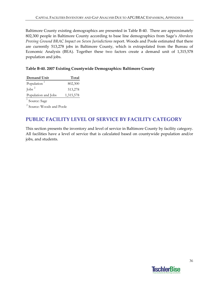Baltimore County existing demographics are presented in Table B‐40. There are approximately 802,300 people in Baltimore County according to base line demographics from Sage's *Aberdeen Proving Ground BRAC Impact on Seven Jurisdictions* report. Woods and Poole estimated that there are currently 513,278 jobs in Baltimore County, which is extrapolated from the Bureau of Economic Analysis (BEA). Together these two factors create a demand unit of 1,315,578 population and jobs.

### **Table B‐40. 2007 Existing Countywide Demographics: Baltimore County**

| Demand Unit               | Total     |
|---------------------------|-----------|
| Population <sup>1</sup>   | 802,300   |
| Jobs $^2$                 | 513,278   |
| Population and Jobs       | 1,315,578 |
| <sup>1</sup> Source: Sage |           |

<sup>2</sup> Source: Woods and Poole

## **PUBLIC FACILITY LEVEL OF SERVICE BY FACILITY CATEGORY**

This section presents the inventory and level of service in Baltimore County by facility category. All facilities have a level of service that is calculated based on countywide population and/or jobs, and students.

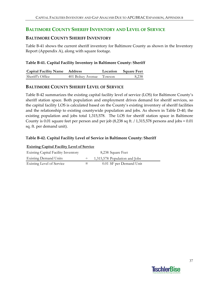## **BALTIMORE COUNTY SHERIFF INVENTORY AND LEVEL OF SERVICE**

## **BALTIMORE COUNTY SHERIFF INVENTORY**

Table B‐41 shows the current sheriff inventory for Baltimore County as shown in the Inventory Report (Appendix A), along with square footage.

### **Table B‐41. Capital Facility Inventory in Baltimore County: Sheriff**

| <b>Capital Facility Name Address</b> |                          | Location Square Feet |
|--------------------------------------|--------------------------|----------------------|
| Sheriff's Office                     | 401 Bolsey Avenue Towson | 8,238                |

### **BALTIMORE COUNTY SHERIFF LEVEL OF SERVICE**

Table B‐42 summarizes the existing capital facility level of service (LOS) for Baltimore County's sheriff station space. Both population and employment drives demand for sheriff services, so the capital facility LOS is calculated based on the County's existing inventory of sheriff facilities and the relationship to existing countywide population and jobs. As shown in Table D‐40, the existing population and jobs total 1,315,578. The LOS for sheriff station space in Baltimore County is 0.01 square feet per person and per job (8,238 sq ft. / 1,315,578 persons and jobs = 0.01 sq. ft. per demand unit).

### **Table B‐42. Capital Facility Level of Service in Baltimore County: Sheriff**

| <b>Existing Capital Facility Level of Service</b> |  |                               |  |
|---------------------------------------------------|--|-------------------------------|--|
| <b>Existing Capital Facility Inventory</b>        |  | 8,238 Square Feet             |  |
| <b>Existing Demand Units</b>                      |  | 1,315,578 Population and Jobs |  |
| Existing Level of Service                         |  | 0.01 SF per Demand Unit       |  |

# **TischlerBise**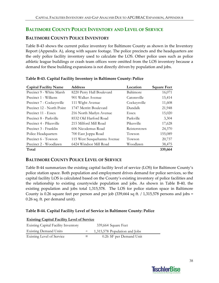## **BALTIMORE COUNTY POLICE INVENTORY AND LEVEL OF SERVICE**

## **BALTIMORE COUNTY POLICE INVENTORY**

Table B‐43 shows the current police inventory for Baltimore County as shown in the Inventory Report (Appendix A), along with square footage. The police precincts and the headquarters are the only police facility inventory used to calculate the LOS. Other police uses such as police athletic league buildings or crash team offices were omitted from the LOS inventory because a demand for these building expansions is not directly driven by population and jobs.

| <b>Capital Facility Name</b> | <b>Address</b>              | Location     | <b>Square Feet</b> |
|------------------------------|-----------------------------|--------------|--------------------|
| Precinct 9 - White Marsh     | 8220 Perry Hall Boulevard   | Baltimore    | 16,071             |
| Precinct 1 - Wilkens         | 901 Walker Avenue           | Catonsville  | 15,414             |
| Precinct 7 - Cockeysville    | 111 Wight Avenue            | Cockeysville | 11,608             |
| Precinct 12 - North Point    | 1747 Merritt Boulevard      | Dundalk      | 21,948             |
| Precinct 11 - Essex          | 216 North Marlyn Avenue     | Essex        | 15,020             |
| Precinct 8 - Parkville       | 8532 Old Harford Road       | Parkville    | 3,304              |
| Precinct 4 - Pikesville      | 215 Milford Mill Road       | Pikesville   | 17,628             |
| Precinct 3 - Franklin        | 606 Nicodemus Road          | Reisterstown | 24,370             |
| Police Headquarters          | 700 East Joppa Road         | Towson       | 155,089            |
| Precinct 6 - Towson          | 115 West Susquehanna Avenue | Towson       | 20,737             |
| Precinct 2 - Woodlawn        | 6424 Windsor Mill Road      | Woodlawn     | 38,475             |
| Total                        |                             |              | 339,664            |

### **Table B‐43. Capital Facility Inventory in Baltimore County: Police**

## **BALTIMORE COUNTY POLICE LEVEL OF SERVICE**

Table B‐44 summarizes the existing capital facility level of service (LOS) for Baltimore County's police station space. Both population and employment drives demand for police services, so the capital facility LOS is calculated based on the County's existing inventory of police facilities and the relationship to existing countywide population and jobs. As shown in Table B‐40, the existing population and jobs total 1,315,578. The LOS for police station space in Baltimore County is 0.26 square feet per person and per job (339,664 sq ft. / 1,315,578 persons and jobs = 0.26 sq. ft. per demand unit).

### **Table B‐44. Capital Facility Level of Service in Baltimore County: Police**

| <b>Existing Capital Facility Level of Service</b> |   |                               |  |  |
|---------------------------------------------------|---|-------------------------------|--|--|
| <b>Existing Capital Facility Inventory</b>        |   | 339,664 Square Feet           |  |  |
| <b>Existing Demand Units</b>                      |   | 1,315,578 Population and Jobs |  |  |
| Existing Level of Service                         | = | 0.26 SF per Demand Unit       |  |  |

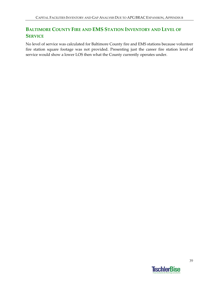## **BALTIMORE COUNTY FIRE AND EMS STATION INVENTORY AND LEVEL OF SERVICE**

No level of service was calculated for Baltimore County fire and EMS stations because volunteer fire station square footage was not provided. Presenting just the career fire station level of service would show a lower LOS then what the County currently operates under.

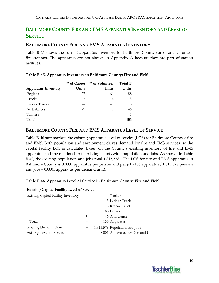## **BALTIMORE COUNTY FIRE AND EMS APPARATUS INVENTORY AND LEVEL OF SERVICE**

### **BALTIMORE COUNTY FIRE AND EMS APPARATUS INVENTORY**

Table B-45 shows the current apparatus inventory for Baltimore County career and volunteer fire stations. The apparatus are not shown in Appendix A because they are part of station facilities.

|                            |       | $\#$ of Career $\#$ of Volunteer | Total $#$     |
|----------------------------|-------|----------------------------------|---------------|
| <b>Apparatus Inventory</b> | Units | Units                            | Units         |
| Engines                    | 27    | 61                               | 88            |
| Trucks                     |       | 6                                | 13            |
| Ladder Trucks              |       |                                  | $\mathcal{Z}$ |
| Ambulances                 | 29    | 17                               | 46            |
| Tankers                    |       |                                  |               |
| Total                      |       |                                  | 156           |

#### **Table B‐45. Apparatus Inventory in Baltimore County: Fire and EMS**

### **BALTIMORE COUNTY FIRE AND EMS APPARATUS LEVEL OF SERVICE**

Table B‐46 summarizes the existing apparatus level of service (LOS) for Baltimore County's fire and EMS. Both population and employment drives demand for fire and EMS services, so the capital facility LOS is calculated based on the County's existing inventory of fire and EMS apparatus and the relationship to existing countywide population and jobs. As shown in Table B‐40, the existing population and jobs total 1,315,578. The LOS for fire and EMS apparatus in Baltimore County is 0.0001 apparatus per person and per job (156 apparatus / 1,315,578 persons and jobs = 0.0001 apparatus per demand unit).

#### **Table B‐46. Apparatus Level of Service in Baltimore County: Fire and EMS**

| <b>EXISTING CAPITAL PACILITY LEVEL OF SETVICE</b> |        |                                  |
|---------------------------------------------------|--------|----------------------------------|
| <b>Existing Capital Facility Inventory</b>        |        | 6 Tankers                        |
|                                                   |        | 3 Ladder Truck                   |
|                                                   |        | 13 Rescue Truck                  |
|                                                   |        | 88 Engine                        |
|                                                   | ٠      | 46 Ambulance                     |
| Total                                             |        | 156 Apparatus                    |
| <b>Existing Demand Units</b>                      | $\div$ | 1,315,578 Population and Jobs    |
| <b>Existing Level of Service</b>                  |        | 0.0001 Apparatus per Demand Unit |

## **Existing Capital Facility Level of Service**

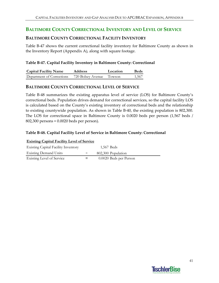## **BALTIMORE COUNTY CORRECTIONAL INVENTORY AND LEVEL OF SERVICE**

### **BALTIMORE COUNTY CORRECTIONAL FACILITY INVENTORY**

Table B‐47 shows the current correctional facility inventory for Baltimore County as shown in the Inventory Report (Appendix A), along with square footage.

### **Table B‐47. Capital Facility Inventory in Baltimore County: Correctional**

| <b>Capital Facility Name</b> | <b>Address</b>           | Location | <b>Beds</b> |
|------------------------------|--------------------------|----------|-------------|
| Department of Corrections    | 720 Bolsey Avenue Towson |          | 1,567       |

### **BALTIMORE COUNTY CORRECTIONAL LEVEL OF SERVICE**

Table B‐48 summarizes the existing apparatus level of service (LOS) for Baltimore County's correctional beds. Population drives demand for correctional services, so the capital facility LOS is calculated based on the County's existing inventory of correctional beds and the relationship to existing countywide population. As shown in Table B‐40, the existing population is 802,300. The LOS for correctional space in Baltimore County is 0.0020 beds per person (1,567 beds / 802,300 persons = 0.0020 beds per person).

### **Table B‐48. Capital Facility Level of Service in Baltimore County: Correctional**

| <b>Existing Capital Facility Level of Service</b> |        |                        |  |  |
|---------------------------------------------------|--------|------------------------|--|--|
| <b>Existing Capital Facility Inventory</b>        |        | 1,567 Beds             |  |  |
| <b>Existing Demand Units</b>                      | $\div$ | 802,300 Population     |  |  |
| Existing Level of Service                         | $=$    | 0.0020 Beds per Person |  |  |

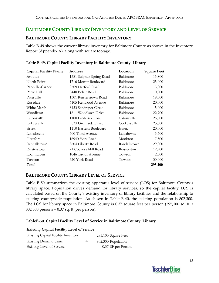## **BALTIMORE COUNTY LIBRARY INVENTORY AND LEVEL OF SERVICE**

## **BALTIMORE COUNTY LIBRARY FACILITY INVENTORY**

Table B‐49 shows the current library inventory for Baltimore County as shown in the Inventory Report (Appendix A), along with square footage.

| <b>Capital Facility Name</b> | <b>Address</b>           | Location     | <b>Square Feet</b> |
|------------------------------|--------------------------|--------------|--------------------|
| Arbutus                      | 1581 Sulphur Spring Road | Baltimore    | 15,800             |
| North Point                  | 1716 Merritt Boulevard   | Baltimore    | 25,000             |
| Parkville-Carney             | 9509 Harford Road        | Baltimore    | 13,000             |
| Perry Hall                   | 9440 Belair Road         | Baltimore    | 10,000             |
| Pikesville                   | 1301 Reisterstown Road   | Baltimore    | 18,000             |
| Rosedale                     | 6105 Kenwood Avenue      | Baltimore    | 20,000             |
| White Marsh                  | 8133 Sandpiper Circle    | Baltimore    | 15,000             |
| Woodlawn                     | 1811 Woodlawn Drive      | Baltimore    | 22,700             |
| Catonsville                  | 1100 Frederick Road      | Catonsville  | 25,000             |
| Cokeysville                  | 9833 Greenside Drive     | Cockeysville | 23,000             |
| <b>Essex</b>                 | 1110 Eastern Boulevard   | Essex        | 20,000             |
| Lansdowne                    | 500 Third Avenue         | Lansdowne    | 5,700              |
| Hereford                     | 16940 York Road          | Monkton      | 7,500              |
| Randallstown                 | 8604 Liberty Road        | Randallstown | 29,000             |
| Reisterstown                 | 21 Cockeys Mill Road     | Reisterstown | 12,900             |
| Loch Raven                   | 1046 Taylor Avenue       | Towson       | 2,500              |
| Towson                       | 320 York Road            | Towson       | 30,000             |
| Total                        |                          |              | 295,100            |

### **Table B‐49. Capital Facility Inventory in Baltimore County: Library**

### **BALTIMORE COUNTY LIBRARY LEVEL OF SERVICE**

Table B‐50 summarizes the existing apparatus level of service (LOS) for Baltimore County's library space. Population drives demand for library services, so the capital facility LOS is calculated based on the County's existing inventory of library facilities and the relationship to existing countywide population. As shown in Table B‐40, the existing population is 802,300. The LOS for library space in Baltimore County is 0.37 square feet per person (295,100 sq. ft. / 802,300 persons = 0.37 sq. ft. per person).

### **TableB‐50. Capital Facility Level of Service in Baltimore County: Library**

| <b>Existing Capital Facility Level of Service</b> |        |                     |  |  |  |
|---------------------------------------------------|--------|---------------------|--|--|--|
| <b>Existing Capital Facility Inventory</b>        |        | 295,100 Square Feet |  |  |  |
| <b>Existing Demand Units</b>                      | $\div$ | 802,300 Population  |  |  |  |
| Existing Level of Service                         | $=$    | 0.37 SF per Person  |  |  |  |

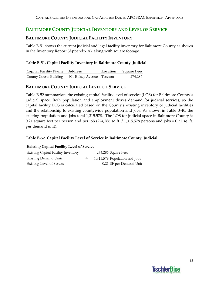## **BALTIMORE COUNTY JUDICIAL INVENTORY AND LEVEL OF SERVICE**

## **BALTIMORE COUNTY JUDICIAL FACILITY INVENTORY**

Table B‐51 shows the current judicial and legal facility inventory for Baltimore County as shown in the Inventory Report (Appendix A), along with square footage.

### **Table B‐51. Capital Facility Inventory in Baltimore County: Judicial**

| <b>Capital Facility Name Address</b>            |  | Location Square Feet |
|-------------------------------------------------|--|----------------------|
| County Courts Building 401 Bolsey Avenue Towson |  | 274,286              |

## **BALTIMORE COUNTY JUDICIAL LEVEL OF SERVICE**

Table B‐52 summarizes the existing capital facility level of service (LOS) for Baltimore County's judicial space. Both population and employment drives demand for judicial services, so the capital facility LOS is calculated based on the County's existing inventory of judicial facilities and the relationship to existing countywide population and jobs. As shown in Table B‐40, the existing population and jobs total 1,315,578. The LOS for judicial space in Baltimore County is 0.21 square feet per person and per job  $(274,286 \text{ sq ft.} / 1,315,578 \text{ persons and jobs} = 0.21 \text{ sq. ft.}$ per demand unit).

### **Table B‐52. Capital Facility Level of Service in Baltimore County: Judicial**

| <b>Existing Capital Facility Level of Service</b> |         |                               |  |  |  |  |  |
|---------------------------------------------------|---------|-------------------------------|--|--|--|--|--|
| <b>Existing Capital Facility Inventory</b>        |         | 274,286 Square Feet           |  |  |  |  |  |
| <b>Existing Demand Units</b>                      |         | 1,315,578 Population and Jobs |  |  |  |  |  |
| Existing Level of Service                         | $=$ $-$ | 0.21 SF per Demand Unit       |  |  |  |  |  |

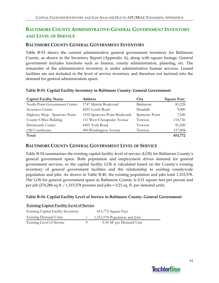## **BALTIMORE COUNTY ADMINISTRATIVE‐GENERAL GOVERNMENT INVENTORY AND LEVEL OF SERVICE**

### **BALTIMORE COUNTY GENERAL GOVERNMENT INVENTORY**

Table B-53 shows the current administrative general government inventory for Baltimore County, as shown in the Inventory Report (Appendix A), along with square footage. General government includes functions such as finance, county administration, planning, etc. The remainder of the administrative inventory is under administrative human services. Leased facilities are not included in the level of service inventory and therefore not factored into the demand for general administration space.

| <b>Capital Facility Name</b>  | <b>Address</b>                | City           | <b>Square Feet</b> |
|-------------------------------|-------------------------------|----------------|--------------------|
| North Point Government Center | 1747 Merritt Boulevard        | Baltimore      | 83,228             |
| <b>Inverness Center</b>       | 8301 Lynch Road               | Dundalk        | 9,000              |
| Highway Shop - Sparrows Point | 1535 Sparrows Point Boulevard | Sparrows Point | 7,500              |
| County Office Building        | 111 West Chesapeake Avenue    | Towson         | 114,736            |
| Drumcastle Center             | 6401 York Road                | Towson         | 81,500             |
| Old Courthouse                | 400 Washington Avenue         | Towson         | 157,808            |
| Total                         |                               |                | 453,772            |

#### **Table B‐53. Capital Facility Inventory in Baltimore County: General Government**

### **BALTIMORE COUNTY GENERAL GOVERNMENT LEVEL OF SERVICE**

Table B‐54 summarizes the existing capital facility level of service (LOS) for Baltimore County's general government space. Both population and employment drives demand for general government services, so the capital facility LOS is calculated based on the County's existing inventory of general government facilities and the relationship to existing countywide population and jobs. As shown in Table B‐40, the existing population and jobs total 1,315,578. The LOS for general government space in Baltimore County is 0.21 square feet per person and per job (274,286 sq ft. / 1,315,578 persons and jobs = 0.21 sq. ft. per demand unit).

#### **Table B‐54. Capital Facility Level of Service in Baltimore County: General Government**

| <b>Existing Capital Facility Level of Service</b> |  |  |  |
|---------------------------------------------------|--|--|--|
|                                                   |  |  |  |

| <b>Existing Capital Facility Inventory</b> |     | 453,772 Square Feet           |
|--------------------------------------------|-----|-------------------------------|
| <b>Existing Demand Units</b>               |     | 1,315,578 Population and Jobs |
| Existing Level of Service                  | $=$ | 0.34 SF per Demand Unit       |

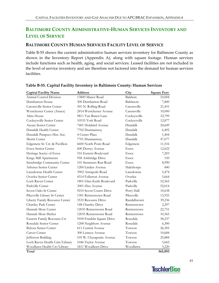## **BALTIMORE COUNTY ADMINISTRATIVE‐HUMAN SERVICES INVENTORY AND LEVEL OF SERVICE**

## **BALTIMORE COUNTY HUMAN SERVICES FACILITY LEVEL OF SERVICE**

Table B‐55 shows the current administrative human services inventory for Baltimore County as shown in the Inventory Report (Appendix A), along with square footage. Human services include functions such as health, aging, and social services. Leased facilities are not included in the level of service inventory and are therefore not factored into the demand for human services facilities.

| <b>Capital Facility Name</b>   | <b>Address</b>             | City         | <b>Square Feet</b> |
|--------------------------------|----------------------------|--------------|--------------------|
| Animal Control Division        | 13800 Manor Road           | Baldwin      | 10,004             |
| Dumbarton House                | 300 Dumbarton Road         | Baltimore    | 7,800              |
| Catonsville Senior Center      | 501 N. Rolling Road        | Catonsville  | 21,451             |
| Westchester Center (Annex)     | 2414 Westchester Avenue    | Catonsville  | 10,000             |
| Alms House                     | 9811 Van Buren Lane        | Cockeysville | 32,799             |
| Cockeysville Senior Center     | 10535 York Road            | Cockeysville | 12,877             |
| Ateaze Senior Center           | 7401 Holabird Avenue       | Dundalk      | 24,649             |
| Dundalk Health Center          | 7702 Dunmanway             | Dundalk      | 6,492              |
| Dundalk Patapsco Hist. Soc.    | 4 Center Place             | Dundalk      | 1,404              |
| Merrit Center                  | 7701 Dunmanway             | Dundalk      | 47,077             |
| Edgemere Sr. Ctr. & Pavillion  | 6600 North Point Road      | Edgemere     | 11,516             |
| <b>Essex Senior Center</b>     | 600 Dorsey Avenue          | Essex        | 12,622             |
| Heritage Sociey of Essex       | 516 Eastern Boulevard      | <b>Essex</b> | 7,203              |
| Kings Mill Apartments          | 958 Ashbridge Drive        | <b>Essex</b> | 150                |
| Stembridge Community Center    | 101 Stemmers Run Road      | <b>Essex</b> | 8,990              |
| Arbutus Senior Center          | 1200 Linden Avenue         | Halethorpe   | 840                |
| Lansdowne Health Center        | 3902 Annapolis Road        | Lansdowne    | 5,474              |
| Overlea Senior Center          | 4314 Fullerton Avenue      | Overlea      | 5,664              |
| Loch Raven Center              | 1801 Glen Keith Boulevard  | Parkville    | 52,565             |
| Parkville Center               | 3001 Hiss Avenue           | Parkville    | 52,014             |
| Seven Oaks Sr Center           | 9210 Seven Courts Drive    | Perry Hall   | 10,638             |
| Pikesville Library Sr Center   | 1301 Reisterstown Road     | Pikesville   | 13,923             |
| Liberty Family Resource Center | 3535 Resource Drive        | Randallstown | 39,236             |
| Chartley Park Center           | 148 Chartley Drive         | Reisterstown | 2,297              |
| Hannah More Center             | 12035 Reisterstown Road    | Reisterstown | 22,751             |
| Hannah More Shelter            | 12035 Reisterstown Road    | Reisterstown | 10,365             |
| Eastern Family Resource Ctr    | 9100 Franklin Square Drive | Rosedale     | 58,237             |
| Rosedale Senior Center         | 1208 Neighbors Avenue      | Rosedale     | 6,300              |
| Bykota Senior Center           | 611 Central Avenue         | Towson       | 26,305             |
| Carver Center                  | 300 Lennox Avenue          | Towson       | 10,684             |
| Jefferson Building             | 105 W. Chesapeake Avenue   | Towson       | 25,884             |
| Loch Raven Health Cntr/Library | 1046 Taylor Avenue         | Towson       | 3,662              |
| Woodlawn Health Ctr/Library    | 1811 Woodlawn Drive        | Woodlawn     | 3,220              |
| Total                          |                            |              | 565,093            |

### **Table B‐55. Capital Facility Inventory in Baltimore County: Human Services**

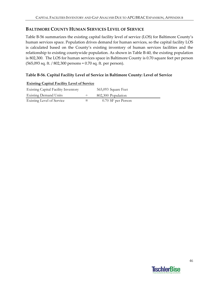## **BALTIMORE COUNTY HUMAN SERVICES LEVEL OF SERVICE**

Table B‐56 summarizes the existing capital facility level of service (LOS) for Baltimore County's human services space. Population drives demand for human services, so the capital facility LOS is calculated based on the County's existing inventory of human services facilities and the relationship to existing countywide population. As shown in Table B‐40, the existing population is 802,300. The LOS for human services space in Baltimore County is 0.70 square feet per person (565,093 sq. ft. / 802,300 persons = 0.70 sq. ft. per person).

### **Table B‐56. Capital Facility Level of Service in Baltimore County: Level of Service**

| Enforme Capital I active Ect of Service    |     |                     |
|--------------------------------------------|-----|---------------------|
| <b>Existing Capital Facility Inventory</b> |     | 565,093 Square Feet |
| <b>Existing Demand Units</b>               |     | 802,300 Population  |
| <b>Existing Level of Service</b>           | $=$ | 0.70 SF per Person  |

#### **Existing Capital Facility Level of Service**

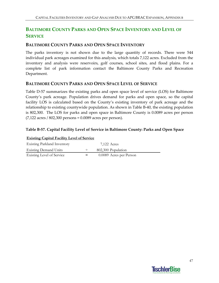## **BALTIMORE COUNTY PARKS AND OPEN SPACE INVENTORY AND LEVEL OF SERVICE**

## **BALTIMORE COUNTY PARKS AND OPEN SPACE INVENTORY**

The parks inventory is not shown due to the large quantity of records. There were 544 individual park acreages examined for this analysis, which totals 7,122 acres. Excluded from the inventory and analysis were reservoirs, golf courses, school sites, and flood plains. For a complete list of park information contact the Baltimore County Parks and Recreation Department.

### **BALTIMORE COUNTY PARKS AND OPEN SPACE LEVEL OF SERVICE**

Table D-57 summarizes the existing parks and open space level of service (LOS) for Baltimore County's park acreage. Population drives demand for parks and open space, so the capital facility LOS is calculated based on the County's existing inventory of park acreage and the relationship to existing countywide population. As shown in Table B-40, the existing population is 802,300. The LOS for parks and open space in Baltimore County is 0.0089 acres per person (7,122 acres / 802,300 persons = 0.0089 acres per person).

### **Table B‐57. Capital Facility Level of Service in Baltimore County: Parks and Open Space**

| <b>Existing Capital Facility Level of Service</b> |        |                         |  |  |  |  |
|---------------------------------------------------|--------|-------------------------|--|--|--|--|
| <b>Existing Parkland Inventory</b>                |        | 7,122 Acres             |  |  |  |  |
| <b>Existing Demand Units</b>                      | $\div$ | 802,300 Population      |  |  |  |  |
| Existing Level of Service                         | $=$    | 0.0089 Acres per Person |  |  |  |  |

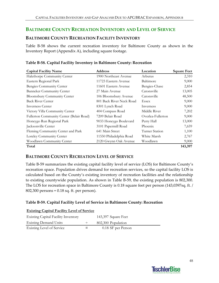## **BALTIMORE COUNTY RECREATION INVENTORY AND LEVEL OF SERVICE**

## **BALTIMORE COUNTY RECREATION FACILITY INVENTORY**

Table B‐58 shows the current recreation inventory for Baltimore County as shown in the Inventory Report (Appendix A), including square footage.

| <b>Capital Facility Name</b>             | <b>Address</b>           | Location          | <b>Square Feet</b> |
|------------------------------------------|--------------------------|-------------------|--------------------|
| Halethorpe Community Center              | 1900 Northeast Avenue    | Arbutus           | 2,310              |
| Eastern Regional Park                    | 11723 Eastern Avenue     | Baltimore         | 9,000              |
| Bengies Community Center                 | 11601 Eastern Avenue     | Bengies-Chase     | 2,854              |
| <b>Banneker Community Center</b>         | 27 Main Avenue           | Catonsville       | 13,005             |
| Bloomsbury Community Center              | 106 Bloomsbury Avenue    | Catonsville       | 48,500             |
| <b>Back River Center</b>                 | 801 Back River Neck Road | Essex             | 9,000              |
| Inverness Center                         | 8301 Lynch Road          | Inverness         | 9,000              |
| Victory Villa Community Center           | 404 Compass Road         | Middle River      | 7,202              |
| Fullerton Community Center (Belair Road) | 7209 Belair Road         | Overlea-Fullerton | 9,000              |
| Honeygo Run Regional Park                | 9033 Honeygo Boulevard   | Perry Hall        | 13,000             |
| Jacksonville Center                      | 3101 Papermill Road      | Phoenix           | 7,659              |
| Fleming Community Center and Park        | 641 Main Street          | Turner Station    | 1,100              |
| Loreley Community Center                 | 11550 Philadelphia Road  | White Marsh       | 2,767              |
| Woodlawn Community Center                | 2120 Gwynn Oak Avenue    | Woodlawn          | 9,000              |
| Total                                    |                          |                   | 143,397            |

### **Table B‐58. Capital Facility Inventory in Baltimore County: Recreation**

### **BALTIMORE COUNTY RECREATION LEVEL OF SERVICE**

Table B‐59 summarizes the existing capital facility level of service (LOS) for Baltimore County's recreation space. Population drives demand for recreation services, so the capital facility LOS is calculated based on the County's existing inventory of recreation facilities and the relationship to existing countywide population. As shown in Table B‐59, the existing population is 802,300. The LOS for recreation space in Baltimore County is 0.18 square feet per person (143,0397sq. ft. / 802,300 persons = 0.18 sq. ft. per person).

### **Table B‐59. Capital Facility Level of Service in Baltimore County: Recreation**

| <b>Existing Capital Facility Level of Service</b> |        |                     |  |  |  |  |  |
|---------------------------------------------------|--------|---------------------|--|--|--|--|--|
| <b>Existing Capital Facility Inventory</b>        |        | 143,397 Square Feet |  |  |  |  |  |
| <b>Existing Demand Units</b>                      | $\div$ | 802,300 Population  |  |  |  |  |  |
| <b>Existing Level of Service</b>                  | $=$    | 0.18 SF per Person  |  |  |  |  |  |

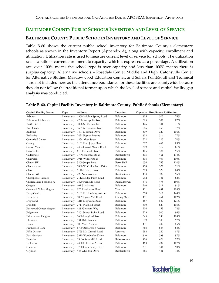## **BALTIMORE COUNTY PUBLIC SCHOOLS INVENTORY AND LEVEL OF SERVICE**

## **BALTIMORE COUNTY PUBLIC SCHOOLS INVENTORY AND LEVEL OF SERVICE**

Table B-60 shows the current public school inventory for Baltimore County's elementary schools as shown in the Inventory Report (Appendix A), along with capacity, enrollment and utilization. Utilization rate is used to measure current level of service for schools. The utilization rate is a ratio of current enrollment to capacity, which is expressed as a percentage. A utilization rate over 100% means the school type is over capacity and less than 100% means there is surplus capacity. Alternative schools – Rosedale Center Middle and High, Catonsville Center for Alternative Studies, Meadowwood Education Center, and Sollers Point/Southeast Technical – are not included here as the attendance boundaries for these facilities are countywide because they do not follow the traditional format upon which the level of service and capital facility gap analysis was conducted.

| <b>Capital Facility Name</b> | Type       | <b>Address</b>                    | Location     | Capacity | <b>Enrollment Utilization</b> |        |
|------------------------------|------------|-----------------------------------|--------------|----------|-------------------------------|--------|
| Arbutus                      | Elementary | 1300 Sulphur Spring Road          | Baltimore    | 405      | 307                           | 76%    |
| Baltimore Highlands          | Elementary | 4200 Annapolis Road               | Baltimore    | 585      | 507                           | 87%    |
| <b>Battle Grove</b>          | Elementary | 7828 St. Patricia Ln              | Baltimore    | 426      | 301                           | 71%    |
| Bear Creek                   | Elementary | 1601 Melbourne Road               | Baltimore    | 586      | 453                           | $77\%$ |
| Bedford                      | Elementary | 7407 Dorman Drive                 | Baltimore    | 309      | 329                           | 106%   |
| Berkshire                    | Elementary | 7431 Poplar Avenue                | Baltimore    | 408      | 314                           | 77%    |
| Campfield Center             | Elementary | 6834 Alter Street                 | Baltimore    | 322      | 227                           | 70%    |
| Carney                       | Elementary | 3131 East Joppa Road              | Baltimore    | 527      | 467                           | 89%    |
| Carroll Manor                | Elementary | 4434 Carroll Manor Road           | Baldwin      | 389      | 317                           | 81%    |
| Catonsville                  |            | Elementary 615 Frederick Road     | Baltimore    | 405      | 384                           | 95%    |
| Cedarmere                    |            | Elementary 17 Nicodemus Road      | Reisterstown | 405      | 461                           | 114%   |
| Chadwick                     |            | Elementary 1918 Winder Road       | Baltimore    | 408      | 406                           | 100%   |
| Chapel Hill                  | Elementary | 5200 Joppa Road                   | Perry Hall   | 636      | 763                           | 120%   |
| Charlesmont                  | Elementary | 7800 W. Collingham Drive          | Baltimore    | 458      | 327                           | 71%    |
| Chase                        |            | Elementary 11701 Eastern Ave      | Baltimore    | 393      | 329                           | 84%    |
| Chatsworth                   |            | Elementary 222 New Avenue         | Reisterstown | 414      | 399                           | 96%    |
| Chesapeake Terrace           |            | Elementary 2112 Lodge Farm Road   | Baltimore    | 292      | 181                           | 62%    |
| Church Lane Technology       | Elementary | 3820 Fernside Road                | Randallstown | 476      | 478                           | 100%   |
| Colgate                      |            | Elementary 401 51st Street        | Baltimore    | 340      | 311                           | 91%    |
| Cromwell Valley Magnet       |            | Elementary 825 Providence Road    | Towson       | 411      | 431                           | 105%   |
| Deep Creek                   |            | Elementary 1101 E. Homberg Avenue | Baltimore    | 358      | 517                           | 144%   |
| Deer Park                    | Elementary | 9809 Lyons Mill Road              | Owing Mills  | 451      | 461                           | 102%   |
| Dogwood                      | Elementary | 7215 Dogwood Road                 | Baltimore    | 487      | 587                           | 121%   |
| Dundalk                      | Elementary | 2717 Playfield Street             | Baltimore    | 590      | 620                           | 105%   |
| Eastwood Center Magnet       | Elementary | 428 Westham Way                   | Baltimore    | 206      | 153                           | 74%    |
| Edgemere                     | Elementary | 7201 North Point Road             | Baltimore    | 523      | 500                           | 96%    |
| Edmondson Heights            | Elementary | 1600 Langford Road                | Baltimore    | 545      | 590                           | 108%   |
| Elmwood                      | Elementary | 531 Dale Avenue                   | Baltimore    | 519      | 503                           | 97%    |
| Essex                        | Elementary | 100 Mace Avenue                   | Baltimore    | 471      | 402                           | 85%    |
| Featherbed Lane              | Elementary | 6700 Richardson Avenue            | Baltimore    | 768      | 644                           | 84%    |
| <b>Fifth District</b>        | Elementary | 3725 Mt. Carmel Road              | Upperco      | 298      | 260                           | 87%    |
| Fort Garrison                | Elementary | 3310 Woodvalley Drive             | Baltimore    | 410      | 398                           | 97%    |
| Franklin                     | Elementary | 33 Cockeys Mill Road              | Reisterstown | 496      | 479                           | 97%    |
| Fullerton                    | Elementary | 4400 Fullerton Avenue             | Baltimore    | 463      | 497                           | 107%   |
| Glenmar                      | Elementary | 9700 Community Drive              | Baltimore    | 371      | 334                           | 90%    |
| Glyndon                      | Elementary | 445 Glyndon Drive                 | Reisterstown | 565      | 441                           | 78%    |
|                              |            |                                   |              |          |                               |        |

#### **Table B‐60. Capital Facility Inventory in Baltimore County: Public Schools (Elementary)**

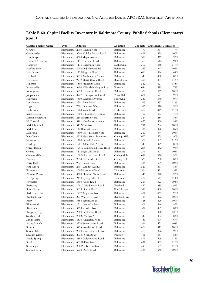| <b>Capital Facility Name</b> | Type       | <b>Address</b>                   | Location         |     | Capacity Enrollment Utilization |
|------------------------------|------------|----------------------------------|------------------|-----|---------------------------------|
| Grange                       | Elementary | 2000 Church Road                 | Baltimore        | 477 | 367<br>77%                      |
| Gunpowder                    | Elementary | 9540 Holiday Manor Road          | Baltimore        | 499 | 498<br>100%                     |
| Halethorpe                   | Elementary | 4300 Maple Avenue                | Baltimore        | 389 | 372<br>96%                      |
| Halstead Academy             | Elementary | 1111 Halstead Road               | Baltimore        | 565 | 512<br>91%                      |
| Hampton                      | Elementary | 1115 Charmuth Road               | Lutherville      | 307 | 358<br>117%                     |
| Harford Hills                | Elementary | 8902 Old Harford Rd              | Baltimore        | 323 | 107%<br>347                     |
| Hawthorne                    | Elementary | 125 Kingston Road                | Baltimore        | 616 | 396<br>64%                      |
| Hebbville                    | Elementary | 3335 Washington Avenue           | Baltimore        | 540 | 450<br>83%                      |
| Hernwood                     | Elementary | 9919 Marriottsville Road         | Randallstown     | 398 | 451<br>113%                     |
| Hillcrest                    | Elementary | 1500 Frederick Road              | Baltimore        | 542 | 621<br>115%                     |
| Jacksonville                 | Elementary | 3400 Hillendale Heights Roa      | Phoenix          | 684 | 485<br>71%                      |
| Johnnycake                   | Elementary | 5910 Craigmont Road              | Baltimore        | 559 | 557<br>100%                     |
| Joppa View                   | Elementary | 8727 Honeygo Boulevard           | Perry Hall       | 621 | 577<br>93%                      |
| Kingsville                   | Elementary | 7300 Sunshine Avenue             | Kingsville       | 349 | 340<br>97%                      |
| Lansdowne                    | Elementary | 2301 Alma Road                   | Baltimore        | 313 | 357<br>114%                     |
| Logan                        | Elementary | 7601 Dunman Way                  | Baltimore        | 517 | 510<br>99%                      |
| Lutherville                  | Elementary | 1700 York Road                   | Lutherville      | 407 | 449<br>110%                     |
| Mars Estates                 |            | Elementary 1500 E Homberg Avenue | Baltimore        | 467 | 78%<br>363                      |
| Martin Boulevard             | Elementary | 210 Riverton Road                | Baltimore        | 324 | 284<br>88%                      |
| McCormick                    | Elementary | 5101 Hazelwood Avenue            | Baltimore        | 455 | 400<br>88%                      |
| Middleborough                | Elementary | 313 West Road                    | Baltimore        | 291 | 294<br>101%                     |
| Middlesex                    | Elementary | 142 Bennett Road                 | <b>Baltimore</b> | 534 | 89%<br>476                      |
| Milbrook                     | Elementary | 4300 Crest Heights Road          | Baltimore        | 319 | 344<br>108%                     |
| New Town                     | Elementary | 4924 New Town Boulevard          | Owings Mills     | 697 | 625<br>90%                      |
| Norwood                      | Elementary | 1700 Delvale Avenue              | Baltimore        | 509 | 585<br>115%                     |
| Oakleigh                     | Elementary | 1901 White Oak Avenue            | Baltimore        | 543 | 479<br>88%                      |
| Oliver Beach                 | Elementary | 12912 Cunninghill Cove Road      | Baltimore        | 265 | 252<br>95%                      |
| Orems                        | Elementary | 711 High Villa Road              | Baltimore        | 291 | 307<br>105%                     |
| Owings Mills                 | Elementary | 10824 Reisterstown Road          | Owing Mills      | 699 | 670<br>96%                      |
| Padonia                      | Elementary | 9834 Greenside Drive             | Cockeysville     | 323 | 87%<br>280                      |
| Perry Hall                   | Elementary | 9021 Belair Road                 | Baltimore        | 516 | 103%<br>529                     |
| Pine Grove                   | Elementary | 2701 Summit Avenue               | Baltimore        | 526 | 461<br>88%                      |
| Pinewood                     | Elementary | 200 Rickswood Road               | Timonium         | 566 | 491<br>87%                      |
| Pleasant Plains              | Elementary | 8300 Pleasant Plains Road        | Baltimore        | 546 | 520<br>95%                      |
| Pot Spring                   | Elementary | 2410 Spring Lake Drive           | Timonium         | 477 | 543<br>114%                     |
| Powhatan                     | Elementary | 3300 Kelox Road                  | Baltimore        | 313 | 323<br>103%                     |
| Prettyboy                    | Elementary | 19810 Middletown Road            | Freeland         | 422 | 385<br>91%                      |
| Randallstown                 | Elementary | 9013 Liberty Road                | Randallstown     | 398 | 400<br>101%                     |
| Red House Run                |            | Elementary 1717 Weyburn Road     | Baltimore        | 481 | 97%<br>465                      |
| Reisterstown                 | Elementary | 223 Walgrove Road                | Reisterstown     | 438 | 472<br>108%                     |
| Relay                        |            | Elementary 5885 Selford Road     | Baltimore        | 428 | 426<br>100%                     |
| Riderwood                    | Elementary | 1711 Landrake Road               | Baltimore        | 501 | 446<br>$89\%$                   |
| Riverview                    | Elementary | 3298 Kessler Road                | Baltimore        | 572 | 87%<br>497                      |
| Rodgers Forge                | Elementary | 250 Dumbarton Road               | Baltimore        | 408 | 498<br>122%                     |
| Sandalwood                   | Elementary | 900 S. Marlyn Ave.               | Baltimore        | 542 | 452<br>83%                      |
| Sandy Plains                 | Elementary | 8330 Kavanagh Road               | Baltimore        | 756 | 504<br>67%                      |
| Scotts Branch                | Elementary | 8220 Tawnmoore Road              | Baltimore        | 511 | 531<br>104%                     |
| Seneca                       | Elementary | 545 Carrollwood Road             | Baltimore        | 409 | 411<br>$100\%$                  |
| Seven Oaks                   | Elementary | 9220 Seven Courts Drive          | Baltimore        | 425 | 396<br>93%                      |
| Seventh District             | Elementary | 20300 York Road                  | Parkton          | 461 | 381<br>83%                      |
| Shady Spring                 | Elementary | 8868 Goldenwood Road             | Baltimore        | 499 | 569<br>114%                     |
| Sparks                       | Elementary | 601 Belfast Road                 | Baltimore        | 421 | 463<br>110%                     |
| Stoneleigh                   | Elementary | 900 Pemberton Road               | Baltimore        | 499 | 587<br>118%                     |
| Summit Park                  | Elementary | 6920 Diana Road                  | Baltimore        | 336 | 340<br>101%                     |

### **Table B‐60. Capital Facility Inventory in Baltimore County: Public Schools (Elementary) (cont.)**

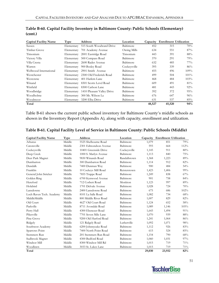| <b>Capital Facility Name</b> | Type       | <b>Address</b>             | Location     |        | Capacity Enrollment Utilization |         |
|------------------------------|------------|----------------------------|--------------|--------|---------------------------------|---------|
| Sussex                       | Elementary | 515 South Woodward Drive   | Baltimore    | 452    | 315                             | 70%     |
| Timber Grove                 | Elementary | 701 Academy Avenue         | Owing Mills  | 634    | 551                             | 87%     |
| Timonium                     | Elementary | 2001 Eastridge Road        | Timonium     | 443    | 391                             | 88%     |
| Victory Villa                | Elementary | 500 Compass Road           | Baltimore    | 370    | 291                             | 79%     |
| Villa Cresta                 | Elementary | 2600 Rader Avenue          | Baltimore    | 632    | 485                             | $77\%$  |
| Warren                       | Elementary | 900 Bosley Road            | Cockeysville | 395    | 339                             | 86%     |
| Wellwood International       | Elementary | 2901 Smith Avenue          | Baltimore    | 455    | 496                             | $109\%$ |
| Westchester                  | Elementary | 2300 Old Frederick Road    | Baltimore    | 499    | 504                             | $101\%$ |
| Westowne                     | Elementary | 401 Harlem Lane            | Baltimore    | 468    | 484                             | 103%    |
| Winand                       | Elementary | 8301 Scotts Level Road     | Baltimore    | 609    | 491                             | 81%     |
| Winfield                     | Elementary | 8300 Carlson Lane          | Baltimore    | 481    | 443                             | $92\%$  |
| Woodbridge                   | Elementary | 1410 Pleasant Valley Drive | Baltimore    | 392    | 372                             | 95%     |
| Woodholme                    | Elementary | 300 Mt. Wilson La          | Baltimore    | 676    | 647                             | 96%     |
| Woodmoor                     | Elementary | 3200 Elba Drive            | Baltimore    | 631    | 537                             | 85%     |
| Total                        |            |                            |              | 48,527 | 45,520                          | 94%     |

| Table B-60. Capital Facility Inventory in Baltimore County: Public Schools (Elementary) |
|-----------------------------------------------------------------------------------------|
| (cont.)                                                                                 |

Table B-61 shows the current public school inventory for Baltimore County's middle schools as shown in the Inventory Report (Appendix A), along with capacity, enrollment and utilization.

| <b>Capital Facility Name</b> | Type   | <b>Address</b>        | Location         |        | Capacity Enrollment Utilization |      |
|------------------------------|--------|-----------------------|------------------|--------|---------------------------------|------|
| Arbutus                      | Middle | 5525 Shelbourne Road  | Baltimore        | 1,079  | 851                             | 79%  |
| Catonsville                  | Middle | 2301 Edmondson Avenue | Baltimore        | 593    | 664                             | 112% |
| Cockeysville                 | Middle | 10401 Greenside Drive | Cockeysville     | 1,145  | 911                             | 80%  |
| Deep Creek                   | Middle | 1000 S. Marlyn Avenue | Baltimore        | 1,113  | 840                             | 75%  |
| Deer Park Magnet             | Middle | 9830 Winands Road     | Randallstown     | 1,368  | 1,223                           | 89%  |
| Dumbarton                    | Middle | 300 Dumbarton Road    | Baltimore        | 1,114  | 912                             | 82%  |
| Dundalk                      | Middle | 7400 Dunman Way       | Baltimore        | 900    | 484                             | 54%  |
| Franklin                     | Middle | 10 Cockeys Mill Road  | Reisterstown     | 1,423  | 1,406                           | 99%  |
| General John Stricker        | Middle | 7855 Trappe Road      | Baltimore        | 1,249  | 838                             | 67%  |
| Golden Ring                  | Middle | 6700 Kenwood Avenue   | Baltimore        | 901    | 758                             | 84%  |
| Hereford                     | Middle | 712 Corbett Road      | Monkton          | 1,123  | 997                             | 89%  |
| Holabird                     | Middle | 1701 Delvale Avenue   | Baltimore        | 1,028  | 724                             | 70%  |
| Lansdowne                    | Middle | 2400 Lansdowne Road   | Baltimore        | 675    | 686                             | 102% |
| Loch Raven Tech. Academy     | Middle | 8101 La Salle Road    | Baltimore        | 1,082  | 734                             | 68%  |
| MiddleMiddle                 | Middle | 800 Middle River Road | Baltimore        | 1,007  | 829                             | 82%  |
| Old Court                    | Middle | 4627 Old Court Road   | Baltimore        | 1,124  | 652                             | 58%  |
| Parkville                    | Middle | 8711 Avondale Road    | Baltimore        | 1,089  | 1,146                           | 105% |
| Perry Hall                   | Middle | 4300 Ebenezer Road    | Baltimore        | 1,643  | 1,494                           | 91%  |
| Pikesville                   | Middle | 7701 Seven Mile Lane  | Baltimore        | 1,070  | 939                             | 88%  |
| Pine Grove                   | Middle | 9200 Old Harford Road | <b>Baltimore</b> | 1,241  | 1,064                           | 86%  |
| Ridgely                      | Middle | 121 Ridgely Road      | Lutherville      | 1,092  | 1,071                           | 98%  |
| Southwest Academy            | Middle | 6200 Johnnycake Road  | Baltimore        | 1,112  | 926                             | 83%  |
| Sparrows Point               | Middle | 7400 North Point Road | Baltimore        | 615    | 524                             | 85%  |
| Stemmers Run                 | Middle | 201 Stemmers Run Road | Baltimore        | 1,154  | 790                             | 68%  |
| Sudbrook Magnet              | Middle | 4300 Bedford Road     | Baltimore        | 1,060  | 1,031                           | 97%  |
| Windsor Mill                 | Middle | 8300 Windsor Mill Rd  | Baltimore        | 1,015  | 719                             | 71%  |
| Woodlawn                     | Middle | 3033 St. Lukes Lane   | Baltimore        | 1,015  | 719                             | 71%  |
| Total                        |        |                       |                  | 29,030 | 23,932                          | 82%  |

## **Table B‐61. Capital Facility Level of Service in Baltimore County: Public Schools (Middle)**

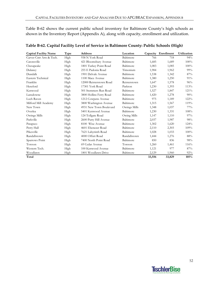Table B-62 shows the current public school inventory for Baltimore County's high schools as shown in the Inventory Report (Appendix A), along with capacity, enrollment and utilization.

| <b>Capital Facility Name</b> | Type | <b>Address</b>          | Location     | Capacity | Enrollment | <b>Utilization</b> |
|------------------------------|------|-------------------------|--------------|----------|------------|--------------------|
| Carver Cntr Arts & Tech.     | High | 938 N York Road         | Baltimore    | 766      | 718        | 94%                |
| Catonsville                  | High | 421 Bloomsbury Avenue   | Baltimore    | 1,685    | 1,689      | 100%               |
| Chesapeake                   | High | 1801 Turkey Point Road  | Baltimore    | 1,083    | 1,085      | 100%               |
| Dulaney                      | High | 255 E Padonia Road      | Timonium     | 1,984    | 1,962      | 99%                |
| Dundalk                      | High | 1901 Delvale Avenue     | Baltimore    | 1,538    | 1,342      | 87%                |
| Eastern Technical            | High | 1100 Mace Avenue        | Baltimore    | 1,380    | 1,250      | 91%                |
| Franklin                     | High | 12000 Reisterstown Road | Reisterstown | 1,647    | 1,578      | 96%                |
| Hereford                     | High | 17301 York Road         | Parkton      | 1,230    | 1,393      | 113%               |
| Kenwood                      | High | 501 Stemmers Run Road   | Baltimore    | 1,527    | 1,847      | 121%               |
| Lansdowne                    | High | 3800 Hollins Ferry Road | Baltimore    | 1,420    | 1,278      | 90%                |
| Loch Raven                   | High | 1212 Cowpens Avenue     | Baltimore    | 975      | 1,189      | 122%               |
| Milford Mill Academy         | High | 3800 Washington Avenue  | Baltimore    | 1,315    | 1,567      | 119%               |
| New Town                     | High | 4931 New Town Boulevard | Owings Mills | 1,348    | 1,037      | $77\%$             |
| Overlea                      | High | 5401 Kenwood Avenue     | Baltimore    | 1,230    | 1,331      | 108%               |
| Owings Mills                 | High | 124 Tollgate Road       | Owing Mills  | 1,147    | 1,110      | 97%                |
| Parkville                    | High | 2600 Putty Hill Avenue  | Baltimore    | 2,037    | 1,987      | 98%                |
| Patapsco                     | High | 8100 Wise Avenue        | Baltimore    | 1,302    | 1,620      | 124%               |
| Perry Hall                   | High | 4601 Ebenezer Road      | Baltimore    | 2,110    | 2,303      | 109%               |
| Pikesville                   | High | 7621 Labyrinth Road     | Baltimore    | 1,028    | 1,033      | 100%               |
| Randallstown                 | High | 4000 Offutt Road        | Randallstown | 1,444    | 1,276      | 88%                |
| Sparrows Point               | High | 7400 North Point Road   | Baltimore    | 850      | 836        | 98%                |
| Towson                       | High | 69 Cedar Avenue         | Towson       | 1,260    | 1,461      | 116%               |
| Western Tech.                | High | 100 Kenwood Avenue      | Baltimore    | 1,121    | 977        | 87%                |
| Woodlawn                     | High | 1801 Woodlawn Drive     | Baltimore    | 2,129    | 1,960      | 92%                |
| Total                        |      |                         |              | 33,556   | 33,829     | 101%               |

### **Table B‐62. Capital Facility Level of Service in Baltimore County: Public Schools (High)**

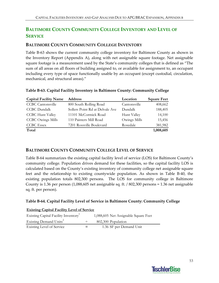## **BALTIMORE COUNTY COMMUNITY COLLEGE INVENTORY AND LEVEL OF SERVICE**

## **BALTIMORE COUNTY COMMUNITY COLLEGE INVENTORY**

Table B-63 shows the current community college inventory for Baltimore County as shown in the Inventory Report (Appendix A), along with net assignable square footage. Net assignable square footage is a measurement used by the State's community colleges that is defined as "The sum of all areas on all floors of building assigned to, or available for assignment to, an occupant including every type of space functionally usable by an occupant (except custodial, circulation, mechanical, and structural areas)."

| <b>Capital Facility Name</b> | <b>Address</b>                  | Location     | <b>Square Feet</b> |
|------------------------------|---------------------------------|--------------|--------------------|
| <b>CCBC</b> Cantonsville     | 800 South Rolling Road          | Cantonsville | 408,662            |
| <b>CCBC</b> Dundalk          | Sollers Point Rd at Delvale Ave | Dundalk      | 188,405            |
| <b>CCBC</b> Hunt Valley      | 11101 McCormick Road            | Hunt Valley  | 14,100             |
| <b>CCBC</b> Owings Mills     | 110 Painters Mill Road          | Owings Mills | 15,456             |
| <b>CCBC</b> Essex            | 7201 Rossville Boulevard        | Rosedale     | 381,982            |
| Total                        |                                 |              | 1,008,605          |

### **Table B‐63. Capital Facility Inventory in Baltimore County: Community College**

## **BALTIMORE COUNTY COMMUNITY COLLEGE LEVEL OF SERVICE**

Table B-64 summarizes the existing capital facility level of service (LOS) for Baltimore County's community college. Population drives demand for these facilities, so the capital facility LOS is calculated based on the County's existing inventory of community college net assignable square feet and the relationship to existing countywide population. As shown in Table B‐40, the existing population totals 802,300 persons. The LOS for community college in Baltimore County is 1.36 per person (1,088,605 net assignable sq. ft. / 802,300 persons = 1.36 net assignable sq. ft. per person).

### **Table B‐64. Capital Facility Level of Service in Baltimore County: Community College**

|  |  |  | <b>Existing Capital Facility Level of Service</b> |  |  |
|--|--|--|---------------------------------------------------|--|--|
|  |  |  |                                                   |  |  |
|  |  |  |                                                   |  |  |

| Existing Capital Facility Inventory <sup>1</sup> |         | 1,088,605 Net Assignable Square Feet |
|--------------------------------------------------|---------|--------------------------------------|
| Existing Demand Units <sup>2</sup>               |         | 802,300 Population                   |
| Existing Level of Service                        | $=$ $-$ | 1.36 SF per Demand Unit              |

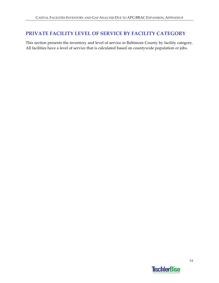## **PRIVATE FACILITY LEVEL OF SERVICE BY FACILITY CATEGORY**

This section presents the inventory and level of service in Baltimore County by facility category. All facilities have a level of service that is calculated based on countywide population or jobs.

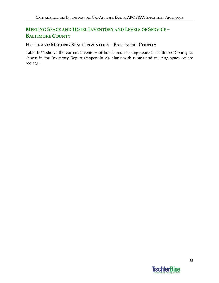## **MEETING SPACE AND HOTEL INVENTORY AND LEVELS OF SERVICE – BALTIMORE COUNTY**

## **HOTEL AND MEETING SPACE INVENTORY – BALTIMORE COUNTY**

Table B-65 shows the current inventory of hotels and meeting space in Baltimore County as shown in the Inventory Report (Appendix A), along with rooms and meeting space square footage.

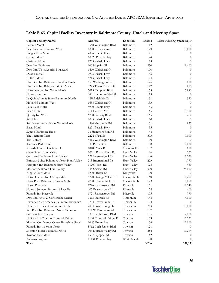| Baltimore<br>3648 Washington Blvd<br>112<br><b>Beltway Motel</b><br>Best Western Baltimore West<br>1800 Belmont Ave<br>Baltimore<br>129<br>3,000<br>Baltimore<br>21<br>Budget Plaza Motel<br>4806 Ritchie Hwy<br>$\theta$<br>Baltimore<br>24<br>Carlton Motel<br>10025 Pulaski Hwy<br>$\theta$<br>Christlen Motel<br>Baltimore<br>28<br>8733 Pulaski Hwy<br>$\Omega$<br>Baltimore<br>Days Inn Baltimore<br>100 Hopkins Pl<br>250<br>1,400<br>1660 Whitehead Ct<br>Baltimore<br>100<br>Days Inn West Security Boulevard<br>$\theta$<br>Duke's Motel<br>7905 Pulaski Hwy<br>Baltimore<br>43<br>$\theta$<br>El Rich Motel<br>Baltimore<br>24<br>$\theta$<br>8213 Pulaski Hwy<br>Baltimore<br>126<br>Hampton Inn Baltimore Camden Yards<br>550 Washington Blvd<br>800<br>8225 Town Center Dr<br>Baltimore<br>127<br>Hampton Inn Baltimore White Marsh<br>860<br>Baltimore<br>Hilton Garden Inn White Marsh<br>5015 Campbell Blvd<br>155<br>5,880<br>6401 Baltimore Natl Pk<br>Baltimore<br>115<br>Home Style Inn<br>$\theta$<br>La Quinta Inn & Suites Baltimore North<br>Baltimore<br>131<br>550<br>4 Philadelphia Ct<br>Motel 6 Baltimore West<br>1654 Whitehead Ct<br>Baltimore<br>133<br>$\Omega$<br>Park Plaza Motel<br>Baltimore<br>46<br>4900 Ritchie Hwy<br>$\Omega$<br>Pier 5 Hotel<br>711 Eastern Ave<br>Baltimore<br>66<br>3,300<br>6700 Security Blvd<br>Baltimore<br>165<br>Quality Inn West<br>414<br>Baltimore<br>70<br>Regal Inn<br>8005 Pulaski Hwy<br>$\theta$<br>Residence Inn Baltimore White Marsh<br>Baltimore<br>131<br>875<br>4980 Mercantile Rd |
|----------------------------------------------------------------------------------------------------------------------------------------------------------------------------------------------------------------------------------------------------------------------------------------------------------------------------------------------------------------------------------------------------------------------------------------------------------------------------------------------------------------------------------------------------------------------------------------------------------------------------------------------------------------------------------------------------------------------------------------------------------------------------------------------------------------------------------------------------------------------------------------------------------------------------------------------------------------------------------------------------------------------------------------------------------------------------------------------------------------------------------------------------------------------------------------------------------------------------------------------------------------------------------------------------------------------------------------------------------------------------------------------------------------------------------------------------------------------------------------------------------------------------------------------------------------------|
|                                                                                                                                                                                                                                                                                                                                                                                                                                                                                                                                                                                                                                                                                                                                                                                                                                                                                                                                                                                                                                                                                                                                                                                                                                                                                                                                                                                                                                                                                                                                                                      |
|                                                                                                                                                                                                                                                                                                                                                                                                                                                                                                                                                                                                                                                                                                                                                                                                                                                                                                                                                                                                                                                                                                                                                                                                                                                                                                                                                                                                                                                                                                                                                                      |
|                                                                                                                                                                                                                                                                                                                                                                                                                                                                                                                                                                                                                                                                                                                                                                                                                                                                                                                                                                                                                                                                                                                                                                                                                                                                                                                                                                                                                                                                                                                                                                      |
|                                                                                                                                                                                                                                                                                                                                                                                                                                                                                                                                                                                                                                                                                                                                                                                                                                                                                                                                                                                                                                                                                                                                                                                                                                                                                                                                                                                                                                                                                                                                                                      |
|                                                                                                                                                                                                                                                                                                                                                                                                                                                                                                                                                                                                                                                                                                                                                                                                                                                                                                                                                                                                                                                                                                                                                                                                                                                                                                                                                                                                                                                                                                                                                                      |
|                                                                                                                                                                                                                                                                                                                                                                                                                                                                                                                                                                                                                                                                                                                                                                                                                                                                                                                                                                                                                                                                                                                                                                                                                                                                                                                                                                                                                                                                                                                                                                      |
|                                                                                                                                                                                                                                                                                                                                                                                                                                                                                                                                                                                                                                                                                                                                                                                                                                                                                                                                                                                                                                                                                                                                                                                                                                                                                                                                                                                                                                                                                                                                                                      |
|                                                                                                                                                                                                                                                                                                                                                                                                                                                                                                                                                                                                                                                                                                                                                                                                                                                                                                                                                                                                                                                                                                                                                                                                                                                                                                                                                                                                                                                                                                                                                                      |
|                                                                                                                                                                                                                                                                                                                                                                                                                                                                                                                                                                                                                                                                                                                                                                                                                                                                                                                                                                                                                                                                                                                                                                                                                                                                                                                                                                                                                                                                                                                                                                      |
|                                                                                                                                                                                                                                                                                                                                                                                                                                                                                                                                                                                                                                                                                                                                                                                                                                                                                                                                                                                                                                                                                                                                                                                                                                                                                                                                                                                                                                                                                                                                                                      |
|                                                                                                                                                                                                                                                                                                                                                                                                                                                                                                                                                                                                                                                                                                                                                                                                                                                                                                                                                                                                                                                                                                                                                                                                                                                                                                                                                                                                                                                                                                                                                                      |
|                                                                                                                                                                                                                                                                                                                                                                                                                                                                                                                                                                                                                                                                                                                                                                                                                                                                                                                                                                                                                                                                                                                                                                                                                                                                                                                                                                                                                                                                                                                                                                      |
|                                                                                                                                                                                                                                                                                                                                                                                                                                                                                                                                                                                                                                                                                                                                                                                                                                                                                                                                                                                                                                                                                                                                                                                                                                                                                                                                                                                                                                                                                                                                                                      |
|                                                                                                                                                                                                                                                                                                                                                                                                                                                                                                                                                                                                                                                                                                                                                                                                                                                                                                                                                                                                                                                                                                                                                                                                                                                                                                                                                                                                                                                                                                                                                                      |
|                                                                                                                                                                                                                                                                                                                                                                                                                                                                                                                                                                                                                                                                                                                                                                                                                                                                                                                                                                                                                                                                                                                                                                                                                                                                                                                                                                                                                                                                                                                                                                      |
|                                                                                                                                                                                                                                                                                                                                                                                                                                                                                                                                                                                                                                                                                                                                                                                                                                                                                                                                                                                                                                                                                                                                                                                                                                                                                                                                                                                                                                                                                                                                                                      |
|                                                                                                                                                                                                                                                                                                                                                                                                                                                                                                                                                                                                                                                                                                                                                                                                                                                                                                                                                                                                                                                                                                                                                                                                                                                                                                                                                                                                                                                                                                                                                                      |
|                                                                                                                                                                                                                                                                                                                                                                                                                                                                                                                                                                                                                                                                                                                                                                                                                                                                                                                                                                                                                                                                                                                                                                                                                                                                                                                                                                                                                                                                                                                                                                      |
|                                                                                                                                                                                                                                                                                                                                                                                                                                                                                                                                                                                                                                                                                                                                                                                                                                                                                                                                                                                                                                                                                                                                                                                                                                                                                                                                                                                                                                                                                                                                                                      |
|                                                                                                                                                                                                                                                                                                                                                                                                                                                                                                                                                                                                                                                                                                                                                                                                                                                                                                                                                                                                                                                                                                                                                                                                                                                                                                                                                                                                                                                                                                                                                                      |
| 35<br>Siesta Motel<br>Baltimore<br>8201 Pulaski Hwy<br>$\theta$                                                                                                                                                                                                                                                                                                                                                                                                                                                                                                                                                                                                                                                                                                                                                                                                                                                                                                                                                                                                                                                                                                                                                                                                                                                                                                                                                                                                                                                                                                      |
| Super 8 Baltimore Essex<br>98 Stemmers Run Rd<br>Baltimore<br>48<br>$\Omega$                                                                                                                                                                                                                                                                                                                                                                                                                                                                                                                                                                                                                                                                                                                                                                                                                                                                                                                                                                                                                                                                                                                                                                                                                                                                                                                                                                                                                                                                                         |
| The Tremont Plaza<br>Baltimore<br>303<br>222 St Paul St<br>7,000                                                                                                                                                                                                                                                                                                                                                                                                                                                                                                                                                                                                                                                                                                                                                                                                                                                                                                                                                                                                                                                                                                                                                                                                                                                                                                                                                                                                                                                                                                     |
| Tim's Motel<br>Baltimore<br>4415 Washington Blvd<br>20<br>$\theta$                                                                                                                                                                                                                                                                                                                                                                                                                                                                                                                                                                                                                                                                                                                                                                                                                                                                                                                                                                                                                                                                                                                                                                                                                                                                                                                                                                                                                                                                                                   |
| 8 E Pleasant St<br>Baltimore<br>58<br>Tremont Park Hotel<br>1,080                                                                                                                                                                                                                                                                                                                                                                                                                                                                                                                                                                                                                                                                                                                                                                                                                                                                                                                                                                                                                                                                                                                                                                                                                                                                                                                                                                                                                                                                                                    |
| Ramada Limited Cockeysville<br>10100 York Rd<br>Cockeysville<br>107<br>600                                                                                                                                                                                                                                                                                                                                                                                                                                                                                                                                                                                                                                                                                                                                                                                                                                                                                                                                                                                                                                                                                                                                                                                                                                                                                                                                                                                                                                                                                           |
| 10710 Beaver Dam Rd<br>96<br>Chase Suites Hunt Valley<br>Hunt Valley<br>525                                                                                                                                                                                                                                                                                                                                                                                                                                                                                                                                                                                                                                                                                                                                                                                                                                                                                                                                                                                                                                                                                                                                                                                                                                                                                                                                                                                                                                                                                          |
| Courtyard Baltimore Hunt Valley<br>221 International Cir<br>Hunt Valley<br>146<br>1,250                                                                                                                                                                                                                                                                                                                                                                                                                                                                                                                                                                                                                                                                                                                                                                                                                                                                                                                                                                                                                                                                                                                                                                                                                                                                                                                                                                                                                                                                              |
| Embassy Suites Baltimore North Hunt Valley<br>223<br>213 International Cir<br>Hunt Valley<br>4,770                                                                                                                                                                                                                                                                                                                                                                                                                                                                                                                                                                                                                                                                                                                                                                                                                                                                                                                                                                                                                                                                                                                                                                                                                                                                                                                                                                                                                                                                   |
| 125<br>Hampton Inn Baltimore Hunt Valley<br>11200 York Rd<br>Hunt Valley<br>480                                                                                                                                                                                                                                                                                                                                                                                                                                                                                                                                                                                                                                                                                                                                                                                                                                                                                                                                                                                                                                                                                                                                                                                                                                                                                                                                                                                                                                                                                      |
| 390<br>Marriott Baltimore Hunt Valley<br>245 Shawan Rd<br>Hunt Valley<br>28,000                                                                                                                                                                                                                                                                                                                                                                                                                                                                                                                                                                                                                                                                                                                                                                                                                                                                                                                                                                                                                                                                                                                                                                                                                                                                                                                                                                                                                                                                                      |
| 12200 Belair Rd<br>20<br>King's Court Motel<br>Kingsville<br>$\theta$                                                                                                                                                                                                                                                                                                                                                                                                                                                                                                                                                                                                                                                                                                                                                                                                                                                                                                                                                                                                                                                                                                                                                                                                                                                                                                                                                                                                                                                                                                |
| Hilton Garden Inn Owings Mills<br>4770 Owings Mills Blvd<br>160<br>1,250<br>Owings Mills                                                                                                                                                                                                                                                                                                                                                                                                                                                                                                                                                                                                                                                                                                                                                                                                                                                                                                                                                                                                                                                                                                                                                                                                                                                                                                                                                                                                                                                                             |
| Hyatt Place Baltimore Owings Mills<br>4730 Painters Mill Rd<br>Owings Mills<br>123<br>1,050                                                                                                                                                                                                                                                                                                                                                                                                                                                                                                                                                                                                                                                                                                                                                                                                                                                                                                                                                                                                                                                                                                                                                                                                                                                                                                                                                                                                                                                                          |
| Hilton Pikesville<br>1726 Reisterstown Rd<br>Pikesville<br>171<br>12,540                                                                                                                                                                                                                                                                                                                                                                                                                                                                                                                                                                                                                                                                                                                                                                                                                                                                                                                                                                                                                                                                                                                                                                                                                                                                                                                                                                                                                                                                                             |
| Pikesville<br>74<br>Howard Johnson Express Pikesville<br>407 Reisterstown Rd<br>400                                                                                                                                                                                                                                                                                                                                                                                                                                                                                                                                                                                                                                                                                                                                                                                                                                                                                                                                                                                                                                                                                                                                                                                                                                                                                                                                                                                                                                                                                  |
| Pikesville<br>105<br>Ramada Inn Pikesville<br>1721 Reisterstown Rd<br>770                                                                                                                                                                                                                                                                                                                                                                                                                                                                                                                                                                                                                                                                                                                                                                                                                                                                                                                                                                                                                                                                                                                                                                                                                                                                                                                                                                                                                                                                                            |
| 145<br>$4,\!000$<br>Days Inn Hotel & Conference Center<br>9615 Deereco Rd<br>Timonium                                                                                                                                                                                                                                                                                                                                                                                                                                                                                                                                                                                                                                                                                                                                                                                                                                                                                                                                                                                                                                                                                                                                                                                                                                                                                                                                                                                                                                                                                |
| Extended Stay America Baltimore Timonium<br>104<br>9704 Beaver Dam Rd<br>Timonium<br>$\theta$                                                                                                                                                                                                                                                                                                                                                                                                                                                                                                                                                                                                                                                                                                                                                                                                                                                                                                                                                                                                                                                                                                                                                                                                                                                                                                                                                                                                                                                                        |
| Timonium<br>243<br>15,000                                                                                                                                                                                                                                                                                                                                                                                                                                                                                                                                                                                                                                                                                                                                                                                                                                                                                                                                                                                                                                                                                                                                                                                                                                                                                                                                                                                                                                                                                                                                            |
| Holiday Inn Select Baltimore North<br>2004 Greenspring Dr<br>Red Roof Inn Baltimore North Timonium<br>111 W Timonium Rd<br>Timonium                                                                                                                                                                                                                                                                                                                                                                                                                                                                                                                                                                                                                                                                                                                                                                                                                                                                                                                                                                                                                                                                                                                                                                                                                                                                                                                                                                                                                                  |
| 137<br>$\theta$<br>Comfort Inn Towson<br>8801 Loch Raven Blvd<br>Towson<br>185<br>2,280                                                                                                                                                                                                                                                                                                                                                                                                                                                                                                                                                                                                                                                                                                                                                                                                                                                                                                                                                                                                                                                                                                                                                                                                                                                                                                                                                                                                                                                                              |
| 139                                                                                                                                                                                                                                                                                                                                                                                                                                                                                                                                                                                                                                                                                                                                                                                                                                                                                                                                                                                                                                                                                                                                                                                                                                                                                                                                                                                                                                                                                                                                                                  |
| Holiday Inn Towson Cromwell Bridge<br>1100 Cromwell Bridge Rd<br>Towson<br>5,571<br>10 W Burke Ave<br>Towson                                                                                                                                                                                                                                                                                                                                                                                                                                                                                                                                                                                                                                                                                                                                                                                                                                                                                                                                                                                                                                                                                                                                                                                                                                                                                                                                                                                                                                                         |
| Marriott Conference Center Burkshire Hotel<br>136<br>11,000                                                                                                                                                                                                                                                                                                                                                                                                                                                                                                                                                                                                                                                                                                                                                                                                                                                                                                                                                                                                                                                                                                                                                                                                                                                                                                                                                                                                                                                                                                          |
| Ramada Inn Towson North<br>8712 Loch Raven Blvd<br>121<br>Towson<br>$\theta$<br>Sheraton Hotel Baltimore North                                                                                                                                                                                                                                                                                                                                                                                                                                                                                                                                                                                                                                                                                                                                                                                                                                                                                                                                                                                                                                                                                                                                                                                                                                                                                                                                                                                                                                                       |
| Towson<br>284<br>903 Dulaney Valley Rd<br>17,294                                                                                                                                                                                                                                                                                                                                                                                                                                                                                                                                                                                                                                                                                                                                                                                                                                                                                                                                                                                                                                                                                                                                                                                                                                                                                                                                                                                                                                                                                                                     |
| Towson East Motel<br>Towson<br>1507 E Joppa Rd<br>62<br>30<br>$\theta$                                                                                                                                                                                                                                                                                                                                                                                                                                                                                                                                                                                                                                                                                                                                                                                                                                                                                                                                                                                                                                                                                                                                                                                                                                                                                                                                                                                                                                                                                               |
| White Marsh<br>Williamsburg Inn<br>11131 Pulaski Hwy<br>Total<br>5,786<br>131,939                                                                                                                                                                                                                                                                                                                                                                                                                                                                                                                                                                                                                                                                                                                                                                                                                                                                                                                                                                                                                                                                                                                                                                                                                                                                                                                                                                                                                                                                                    |

## **Table B‐65. Capital Facility Inventory in Baltimore County: Hotels and Meeting Space**

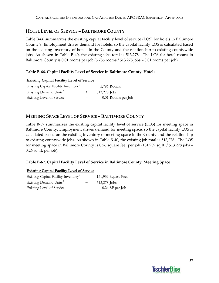## **HOTEL LEVEL OF SERVICE – BALTIMORE COUNTY**

Table B-66 summarizes the existing capital facility level of service (LOS) for hotels in Baltimore County's. Employment drives demand for hotels, so the capital facility LOS is calculated based on the existing inventory of hotels in the County and the relationship to existing countywide jobs. As shown in Table B-40, the existing jobs total is 513,278. The LOS for hotel rooms in Baltimore County is 0.01 rooms per job (5,786 rooms / 513,278 jobs = 0.01 rooms per job).

## **Table B‐66. Capital Facility Level of Service in Baltimore County: Hotels**

**Existing Capital Facility Level of Service** Existing Capital Facility Inventory<sup>1</sup> 5,786 Rooms Existing Demand Units<sup>2</sup>  $\div$  513,278 Jobs Existing Level of Service  $=$  0.01 Rooms per Job

## **MEETING SPACE LEVEL OF SERVICE – BALTIMORE COUNTY**

Table B-67 summarizes the existing capital facility level of service (LOS) for meeting space in Baltimore County. Employment drives demand for meeting space, so the capital facility LOS is calculated based on the existing inventory of meeting space in the County and the relationship to existing countywide jobs. As shown in Table B‐40, the existing job total is 513,278. The LOS for meeting space in Baltimore County is 0.26 square feet per job (131,939 sq ft. / 513,278 jobs = 0.26 sq. ft. per job).

### **Table B‐67. Capital Facility Level of Service in Baltimore County: Meeting Space**

| <b>Existing Capital Facility Level of Service</b> |                     |
|---------------------------------------------------|---------------------|
| Existing Capital Facility Inventory <sup>1</sup>  | 131,939 Square Feet |
| Existing Demand Units <sup>2</sup>                | 513,278 Jobs        |
| <b>Existing Level of Service</b>                  | $0.26$ SF per Job   |

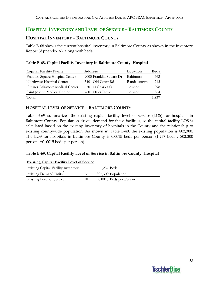## **HOSPITAL INVENTORY AND LEVEL OF SERVICE – BALTIMORE COUNTY**

### **HOSPITAL INVENTORY – BALTIMORE COUNTY**

Table B‐68 shows the current hospital inventory in Baltimore County as shown in the Inventory Report (Appendix A), along with beds.

### **Table B‐68. Capital Facility Inventory in Baltimore County: Hospital**

| <b>Capital Facility Name</b>     | <b>Address</b>          | Location     | <b>Beds</b> |
|----------------------------------|-------------------------|--------------|-------------|
| Franklin Square Hospital Center  | 9000 Franklin Square Dr | Baltimore    | 362         |
| Northwest Hospital Center        | 5401 Old Court Rd       | Randallstown | 213         |
| Greater Baltimore Medical Center | 6701 N Charles St       | Towson       | 298         |
| Saint Joseph Medical Center      | 7601 Osler Drive        | Towson       | 364         |
| Total                            |                         |              | 1,237       |

### **HOSPITAL LEVEL OF SERVICE – BALTIMORE COUNTY**

Table B-69 summarizes the existing capital facility level of service (LOS) for hospitals in Baltimore County. Population drives demand for these facilities, so the capital facility LOS is calculated based on the existing inventory of hospitals in the County and the relationship to existing countywide population. As shown in Table B-40, the existing population is 802,300. The LOS for hospitals in Baltimore County is 0.0015 beds per person (1,237 beds / 802,300 persons =0 .0015 beds per person).

### **Table B‐69. Capital Facility Level of Service in Baltimore County: Hospital**

#### **Existing Capital Facility Level of Service**

| Existing Capital Facility Inventory <sup>1</sup> |         | 1,237 Beds             |
|--------------------------------------------------|---------|------------------------|
| Existing Demand Units <sup>2</sup>               |         | 802,300 Population     |
| Existing Level of Service                        | $=$ $-$ | 0.0015 Beds per Person |

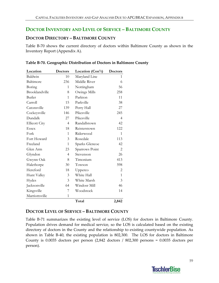## **DOCTOR INVENTORY AND LEVEL OF SERVICE – BALTIMORE COUNTY**

## **DOCTOR DIRECTORY – BALTIMORE COUNTY**

Table B‐70 shows the current directory of doctors within Baltimore County as shown in the Inventory Report (Appendix A).

|  | Table B-70. Geographic Distribution of Doctors in Baltimore County |  |  |
|--|--------------------------------------------------------------------|--|--|
|  |                                                                    |  |  |

| Location             | <b>Doctors</b> | Location (Con't) | <b>Doctors</b> |
|----------------------|----------------|------------------|----------------|
| Baldwin              | 10             | Maryland Line    | 1              |
| Baltimore            | 236            | Middle River     | 6              |
| Boring               | 1              | Nottingham       | 56             |
| Brooklandville       | 8              | Owings Mills     | 258            |
| Butler               | $\mathbf{1}$   | Parkton          | 11             |
| Carroll              | 15             | Parkville        | 38             |
| Catonsville          | 139            | Perry Hall       | 27             |
| Cockeysville         | 146            | Pikesville       | 245            |
| Dundalk              | 27             | Pikesville       | $\overline{4}$ |
| <b>Ellicott City</b> | $\overline{4}$ | Randallstown     | 42             |
| <b>Essex</b>         | 18             | Reisterstown     | 122            |
| Fork                 | 1              | Riderwood        | 1              |
| Fort Howard          | 3              | Rosedale         | 113            |
| Freeland             | 1              | Sparks Glencoe   | 42             |
| Glen Arm             | 23             | Sparrows Point   | $\overline{2}$ |
| Glyndon              | 4              | Stevenson        | 26             |
| Gwynn Oak            | 8              | Timonium         | 413            |
| Halethorpe           | 30             | Towson           | 598            |
| Hereford             | 18             | Upperco          | 2              |
| Hunt Valley          | 3              | White Hall       | $\mathbf{1}$   |
| Hydes                | 3              | White Marsh      | 3              |
| Jacksonville         | 64             | Windosr Mill     | 46             |
| Kingsville           | 7              | Woodstock        | 14             |
| Marriottsville       | 1              |                  |                |
|                      |                | Total            | 2,842          |

## **DOCTOR LEVEL OF SERVICE – BALTIMORE COUNTY**

Table B-71 summarizes the existing level of service (LOS) for doctors in Baltimore County. Population drives demand for medical service, so the LOS is calculated based on the existing directory of doctors in the County and the relationship to existing countywide population. As shown in Table B-40, the existing population is 802,300. The LOS for doctors in Baltimore County is 0.0035 doctors per person (2,842 doctors / 802,300 persons = 0.0035 doctors per person).

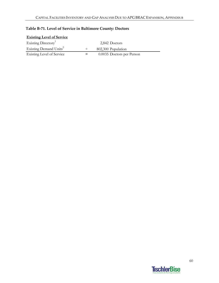| <b>Existing Level of Service</b>   |                    |                           |
|------------------------------------|--------------------|---------------------------|
| Existing Directory <sup>1</sup>    |                    | 2,842 Doctors             |
| Existing Demand Units <sup>2</sup> |                    | 802,300 Population        |
| Existing Level of Service          | $=$ $\overline{ }$ | 0.0035 Doctors per Person |

## **Table B‐71. Level of Service in Baltimore County: Doctors**

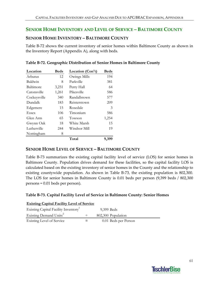## **SENIOR HOME INVENTORY AND LEVEL OF SERVICE – BALTIMORE COUNTY**

### **SENIOR HOME INVENTORY – BALTIMORE COUNTY**

Table B‐72 shows the current inventory of senior homes within Baltimore County as shown in the Inventory Report (Appendix A), along with beds.

| Location     | <b>Beds</b> | Location (Con't) | <b>Beds</b> |
|--------------|-------------|------------------|-------------|
| Arbutus      | 12          | Owings Mills     | 194         |
| Baldwin      | 8           | Parkville        | 381         |
| Baltimore    | 3,251       | Perry Hall       | 64          |
| Catonsville  | 1,261       | Pikesville       | 586         |
| Cockeysville | 340         | Randallstown     | 577         |
| Dundalk      | 183         | Reisterstown     | 209         |
| Edgemere     | 15          | Rosedale         | 3           |
| Essex        | 106         | Timonium         | 586         |
| Glen Arm     | 65          | Towson           | 1,254       |
| Gwynn Oak    | 18          | White Marsh      | 15          |
| Lutherville  | 244         | Windsor Mill     | 19          |
| Nottingham   | 8           |                  |             |
|              |             | Total            | 9,399       |

#### **Table B‐72. Geographic Distribution of Senior Homes in Baltimore County**

### **SENIOR HOME LEVEL OF SERVICE – BALTIMORE COUNTY**

Table B-73 summarizes the existing capital facility level of service (LOS) for senior homes in Baltimore County. Population drives demand for these facilities, so the capital facility LOS is calculated based on the existing inventory of senior homes in the County and the relationship to existing countywide population. As shown in Table B-73, the existing population is 802,300. The LOS for senior homes in Baltimore County is 0.01 beds per person (9,399 beds / 802,300 persons = 0.01 beds per person).

#### **Table B‐73. Capital Facility Level of Service in Baltimore County: Senior Homes**

| <b>Existing Capital Facility Level of Service</b> |  |                      |  |  |
|---------------------------------------------------|--|----------------------|--|--|
| Existing Capital Facility Inventory <sup>1</sup>  |  | 9,399 Beds           |  |  |
| Existing Demand Units <sup>2</sup>                |  | 802,300 Population   |  |  |
| Existing Level of Service                         |  | 0.01 Beds per Person |  |  |

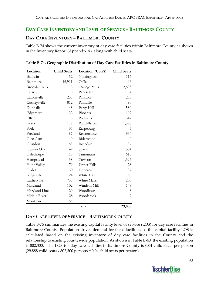## **DAY CARE INVENTORY AND LEVEL OF SERVICE – BALTIMORE COUNTY**

### **DAY CARE INVENTORY – BALTIMORE COUNTY**

Table B‐74 shows the current inventory of day care facilities within Baltimore County as shown in the Inventory Report (Appendix A), along with child seats.

| Location       | <b>Child Seats</b> | Location (Con't)   | <b>Child Seats</b> |
|----------------|--------------------|--------------------|--------------------|
| Baldwin        | 52                 | Nottingham         | 115                |
| Baltimore      | 16,911             | Oella              | 66                 |
| Brooklandville | 113                | Owings Mills       | 2,693              |
| Carney         | 73                 | Parksville         | $\overline{4}$     |
| Catonsville    | 235                | Parkton            | 233                |
| Cockeysville   | 812                | Parkville          | 90                 |
| Dundalk        | 48                 | Perry Hall         | 580                |
| Edgemere       | 32                 | Phoenix            | 197                |
| Ellicott       | 8                  | Pikesville         | 347                |
| Essex          | 177                | Randallstown       | 1,376              |
| Fork           | 35                 | Raspeburg          | 5                  |
| Freeland       | 87                 | Reisterstown       | 934                |
| Glen Arm       | 110                | Riderwood          | $\theta$           |
| Glyndon        | 153                | Rosedale           | 37                 |
| Gwynn Oak      | 42                 | Sparks             | 334                |
| Halethorpe     | 13                 | Timonium           | 615                |
| Hampstead      | 38                 | Towson             | 1,393              |
| Hunt Valley    | 79                 | <b>Upper Falls</b> | 28                 |
| Hydes          | 30                 | Upperco            | 97                 |
| Kingsville     | 124                | White Hall         | 68                 |
| Lutherville    | 735                | White Marsh        | 200                |
| Maryland       | 102                | Windsor Mill       | 148                |
| Maryland Line  | 20                 | Woodlawn           | 8                  |
| Middle River   | 128                | Woodstock          | 7                  |
| Monkton        | 156                |                    |                    |
|                |                    | Total              | 29,888             |

**Table B‐74. Geographic Distribution of Day Care Facilities in Baltimore County**

## **DAY CARE LEVEL OF SERVICE – BALTIMORE COUNTY**

Table B‐75 summarizes the existing capital facility level of service (LOS) for day care facilities in Baltimore County. Population drives demand for these facilities, so the capital facility LOS is calculated based on the existing inventory of day care facilities in the County and the relationship to existing countywide population. As shown in Table B‐40, the existing population is 802,300. The LOS for day care facilities in Baltimore County is 0.04 child seats per person (29,888 child seats / 802,300 persons = 0.04 child seats per person).

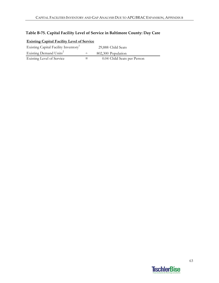## **Table B‐75. Capital Facility Level of Service in Baltimore County: Day Care**

| <b>Existing Capital Facility Level of Service</b> |  |                             |  |  |  |
|---------------------------------------------------|--|-----------------------------|--|--|--|
| Existing Capital Facility Inventory <sup>1</sup>  |  | 29,888 Child Seats          |  |  |  |
| Existing Demand Units <sup>2</sup>                |  | 802,300 Population          |  |  |  |
| Existing Level of Service                         |  | 0.04 Child Seats per Person |  |  |  |

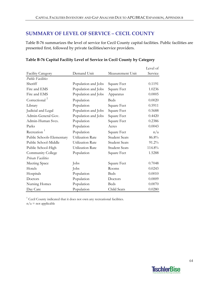## **SUMMARY OF LEVEL OF SERVICE – CECIL COUNTY**

Table B-76 summarizes the level of service for Cecil County capital facilities. Public facilities are presented first, followed by private facilities/service providers.

|                           |                         |                      | Level of |
|---------------------------|-------------------------|----------------------|----------|
| <b>Facility Category</b>  | Demand Unit             | Measurement Unit     | Service  |
| <b>Public Facilities</b>  |                         |                      |          |
| Sheriff                   | Population and Jobs     | Square Feet          | 0.1191   |
| Fire and EMS              | Population and Jobs     | Square Feet          | 1.0236   |
| Fire and EMS              | Population and Jobs     | Apparatus            | 0.0005   |
| Correctional <sup>2</sup> | Population              | <b>Beds</b>          | 0.0020   |
| Library                   | Population              | Square Feet          | 0.5911   |
| Judicial and Legal        | Population and Jobs     | Square Feet          | 0.5688   |
| Admin-General Gov.        | Population and Jobs     | Square Feet          | 0.4420   |
| Admin-Human Svcs.         | Population              | Square Feet          | 0.2386   |
| Parks                     | Population              | Acres                | 0.0043   |
| Recreation <sup>1</sup>   | Population              | Square Feet          | n/a      |
| Public Schools-Elementary | <b>Utilization Rate</b> | <b>Student Seats</b> | 86.8%    |
| Public School-Middle      | Utilization Rate        | <b>Student Seats</b> | 91.2%    |
| Public School-High        | <b>Utilization Rate</b> | <b>Student Seats</b> | 114.8%   |
| Community College         | Population              | Square Feet          | 1.5288   |
| <b>Private Facilities</b> |                         |                      |          |
| Meeting Space             | Jobs                    | Square Feet          | 0.7048   |
| Hotels                    | Jobs                    | Rooms                | 0.0243   |
| Hospitals                 | Population              | <b>Beds</b>          | 0.0010   |
| Doctors                   | Population              | Doctors              | 0.0009   |
| Nursing Homes             | Population              | <b>Beds</b>          | 0.0070   |
| Day Care                  | Population              | Child Seats          | 0.0280   |

## **Table B‐76 Capital Facility Level of Service in Cecil County by Category**

<sup>1</sup> Cecil County indicated that it does not own any recreational facilities.

 $n/a$  = not applicable

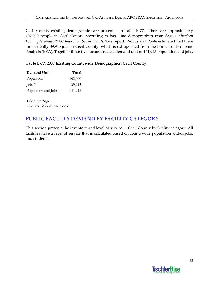Cecil County existing demographics are presented in Table B-77. There are approximately 102,000 people in Cecil County according to base line demographics from Sage's *Aberdeen Proving Ground BRAC Impact on Seven Jurisdictions* report. Woods and Poole estimated that there are currently 39,915 jobs in Cecil County, which is extrapolated from the Bureau of Economic Analysis (BEA). Together these two factors create a demand unit of 141,915 population and jobs.

### **Table B‐77. 2007 Existing Countywide Demographics: Cecil County**

| Demand Unit             | Total   |
|-------------------------|---------|
| Population <sup>1</sup> | 102,000 |
| Jobs $^2$               | 39,915  |
| Population and Jobs     | 141,915 |

1 Sorurce: Sage 2 Source: Woods and Poole

## **PUBLIC FACILITY DEMAND BY FACILITY CATEGORY**

This section presents the inventory and level of service in Cecil County by facility category. All facilities have a level of service that is calculated based on countywide population and/or jobs, and students.

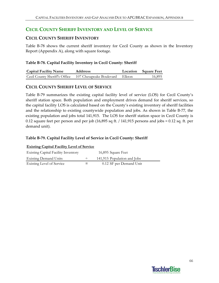## **CECIL COUNTY SHERIFF INVENTORY AND LEVEL OF SERVICE**

## **CECIL COUNTY SHERIFF INVENTORY**

Table B-78 shows the current sheriff inventory for Cecil County as shown in the Inventory Report (Appendix A), along with square footage.

### **Table B‐78. Capital Facility Inventory in Cecil County: Sheriff**

| <b>Capital Facility Name</b>  | <b>Addrress</b>          |        | <b>Location</b> Square Feet |
|-------------------------------|--------------------------|--------|-----------------------------|
| Cecil County Sheriff's Office | 107 Chesapeake Boulevard | Elkton | 16,895                      |

## **CECIL COUNTY SHERIFF LEVEL OF SERVICE**

Table B-79 summarizes the existing capital facility level of service (LOS) for Cecil County's sheriff station space. Both population and employment drives demand for sheriff services, so the capital facility LOS is calculated based on the County's existing inventory of sheriff facilities and the relationship to existing countywide population and jobs. As shown in Table B‐77, the existing population and jobs total 141,915. The LOS for sheriff station space in Cecil County is 0.12 square feet per person and per job (16,895 sq ft. / 141,915 persons and jobs = 0.12 sq. ft. per demand unit).

### **Table B‐79. Capital Facility Level of Service in Cecil County: Sheriff**

| <b>Existing Capital Facility Level of Service</b> |        |                             |  |  |
|---------------------------------------------------|--------|-----------------------------|--|--|
| <b>Existing Capital Facility Inventory</b>        |        | 16,895 Square Feet          |  |  |
| <b>Existing Demand Units</b>                      | $\div$ | 141,915 Population and Jobs |  |  |
| Existing Level of Service                         | =      | 0.12 SF per Demand Unit     |  |  |

# **TischlerBise**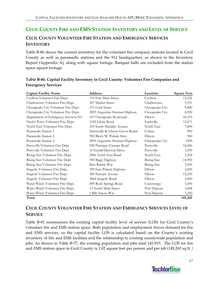## **CECIL COUNTY FIRE AND EMS STATION INVENTORY AND LEVEL OF SERVICE**

## **CECIL COUNTY VOLUNTEER FIRE STATION AND EMERGENCY SERVICES INVENTORY**

Table B‐80 shows the current inventory for the volunteer fire company stations located in Cecil County as well as paramedic stations and the 911 headquarters, as shown in the Inventory Report (Appendix A), along with square footage. Banquet halls are excluded from the station space square footage.

| <b>Capital Facility Name</b>         | Address                           | Location        | <b>Square Feet</b> |
|--------------------------------------|-----------------------------------|-----------------|--------------------|
| Cecilton Volunteer Fire Dept.        | 110 East Main Street              | Cecilton        | 12,526             |
| Charlestown Volunteer Fire Dept.     | 307 Market Street                 | Charlestown     | 9,551              |
| Chesapeake City Volunteer Fire Dept. | 215 Lock Street                   | Chesapeake City | 9,000              |
| Chesapeake City Volunteer Fire Dept. | 2859 Augustine Herman Highway     | Chesapeake City | 8,950              |
| Department of Emergency Services-911 | 107 Chesapeake Boulevard          | Elkton          | 10,355             |
| Hack's Point Volunteer Fire Dept.    | 1185 Glebe Road                   | Earleville      | 12,671             |
| North East Volunteer Fire Dept.      | 210 South Mauldin Avenue          | North East      | 7,800              |
| Paramedic Station 1                  | Harrisville & Liberty Grove Roads | Colora          | 900                |
| Paramedic Station 2                  | 900 Block W. Pulaski Hwy.         | Elkton          | 900                |
| Paramedic Station 3                  | 2859 Augustine Herman Highway     | Chesapeake City | 1500               |
| Perryville Volunteer Fire Dept.      | 920 Principio Furnace Road        | Perryville      | 18,000             |
| Perryville Volunteer Fire Dept.      | 16 Gerald Dawson Drive            | Perryville      | 3,300              |
| Rising Sun Volunteer Fire Dept.      | 2846 North East Road              | North East      | 2,304              |
| Rising Sun Volunteer Fire Dept.      | 300 Biggs Highway                 | Rising Sun      | 14,950             |
| Rising Sun Volunteer Fire Dept.      | Brer Rabbit Way                   | Rising Sun      | 3,300              |
| Singerly Volunteer Fire Dept.        | 399 East Pulaski Highway          | Elkton          | 3,600              |
| Singerly Volunteer Fire Dept.        | 300 Newark Avenue                 | Elkton          | 12,250             |
| Singerly Volunteer Fire Dept.        | 3064 Singerly Road                | Elkton          | 3,000              |
| Water Witch Volunteer Fire Dept.     | 409 Rock Springs Road             | Conowingo       | 3,300              |
| Water Witch Volunteer Fire Dept.     | 15 North Main Street              | Port Deposit    | 3,808              |
| Water Witch Volunteer Fire Dept.     | 1 Bill Amoss Way                  | Port Deposit    | 3,300              |
| Total                                |                                   |                 | 145,265            |

## **Table B‐80. Capital Facility Inventory in Cecil County: Volunteer Fire Companies and Emergency Services**

## **CECIL COUNTY VOLUNTEER FIRE STATION AND EMERGENCY SERVICES LEVEL OF SERVICE**

Table B-81 summarizes the existing capital facility level of service (LOS) for Cecil County's volunteer fire and EMS station space. Both population and employment drives demand for fire and EMS services, so the capital facility LOS is calculated based on the County's existing inventory of fire and EMS facilities and the relationship to existing countywide population and jobs. As shown in Table B‐77, the existing population and jobs total 141,915. The LOS for fire and EMS station space in Cecil County is 1.02 square feet per person and per job (145,265 sq ft. /

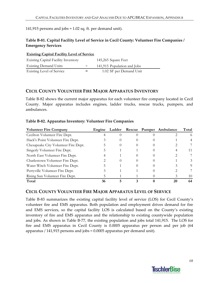141,915 persons and jobs = 1.02 sq. ft. per demand unit).

### **Table B‐81. Capital Facility Level of Service in Cecil County: Volunteer Fire Companies / Emergency Services**

| <b>Existing Capital Facility Level of Service</b> |        |                             |
|---------------------------------------------------|--------|-----------------------------|
| <b>Existing Capital Facility Inventory</b>        |        | 145,265 Square Feet         |
| <b>Existing Demand Units</b>                      | $\div$ | 141,915 Population and Jobs |
| <b>Existing Level of Service</b>                  | $=$    | 1.02 SF per Demand Unit     |

### **CECIL COUNTY VOLUNTEER FIRE MAJOR APPARATUS INVENTORY**

Table B-82 shows the current major apparatus for each volunteer fire company located in Cecil County. Major apparatus includes engines, ladder trucks, rescue trucks, pumpers, and ambulances.

| <b>Volunteer Fire Company</b>        | Engine | Ladder |  | Rescue Pumper Ambulance | Total |
|--------------------------------------|--------|--------|--|-------------------------|-------|
| Cecilton Volunteer Fire Dept.        |        |        |  |                         | 6     |
| Hack's Point Volunteer Fire Dept.    |        |        |  |                         |       |
| Chesapeake City Volunteer Fire Dept. |        |        |  |                         |       |
| Singerly Volunteer Fire Dept.        |        |        |  |                         | 11    |
| North East Volunteer Fire Dept.      |        |        |  |                         |       |
| Charlestown Volunteer Fire Dept.     |        |        |  |                         |       |
| Water Witch Volunteer Fire Dept.     |        |        |  |                         | 9     |
| Perryville Volunteer Fire Dept.      |        |        |  |                         |       |
| Rising Sun Volunteer Fire Dept.      |        |        |  |                         | 10    |
| Total                                | 36     |        |  |                         | 64    |

#### **Table B‐82. Apparatus Inventory: Volunteer Fire Companies**

### **CECIL COUNTY VOLUNTEER FIRE MAJOR APPARATUS LEVEL OF SERVICE**

Table B‐83 summarizes the existing capital facility level of service (LOS) for Cecil County's volunteer fire and EMS apparatus. Both population and employment drives demand for fire and EMS services, so the capital facility LOS is calculated based on the County's existing inventory of fire and EMS apparatus and the relationship to existing countywide population and jobs. As shown in Table B‐77, the existing population and jobs total 141,915. The LOS for fire and EMS apparatus in Cecil County is 0.0005 apparatus per person and per job (64 apparatus / 141,915 persons and jobs = 0.0005 apparatus per demand unit).

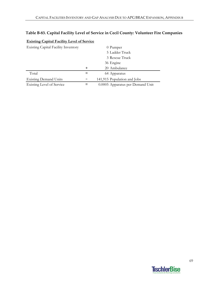## **Table B‐83. Capital Facility Level of Service in Cecil County: Volunteer Fire Companies**

| <b>Existing Capital I active Level of Scivice</b> |        |                                  |
|---------------------------------------------------|--------|----------------------------------|
| <b>Existing Capital Facility Inventory</b>        |        | 0 Pumper                         |
|                                                   |        | 5 Ladder Truck                   |
|                                                   |        | 3 Rescue Truck                   |
|                                                   |        | 36 Engine                        |
|                                                   | $\div$ | 20 Ambulance                     |
| Total                                             |        | 64 Apparatus                     |
| <b>Existing Demand Units</b>                      | $\div$ | 141,915 Population and Jobs      |
| Existing Level of Service                         |        | 0.0005 Apparatus per Demand Unit |

### **Existing Capital Facility Level of Service**

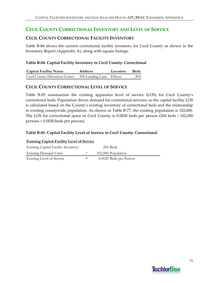## **CECIL COUNTY CORRECTIONAL INVENTORY AND LEVEL OF SERVICE**

## **CECIL COUNTY CORRECTIONAL FACILITY INVENTORY**

Table B-84 shows the current correctional facility inventory for Cecil County as shown in the Inventory Report (Appendix A), along with square footage.

### **Table B‐84. Capital Facility Inventory in Cecil County: Correctional**

| <b>Capital Facility Name</b>  | <b>Address</b>          | Location | <b>Beds</b> |
|-------------------------------|-------------------------|----------|-------------|
| Cecil County Detention Center | 500 Landing Lane Elkton |          | 204         |

### **CECIL COUNTY CORRECTIONAL LEVEL OF SERVICE**

Table B-85 summarizes the existing apparatus level of service (LOS) for Cecil County's correctional beds. Population drives demand for correctional services, so the capital facility LOS is calculated based on the County's existing inventory of correctional beds and the relationship to existing countywide population. As shown in Table B‐77, the existing population is 102,000. The LOS for correctional space in Cecil County is 0.0020 beds per person (204 beds / 102,000 persons = 0.0020 beds per person).

### **Table B‐85. Capital Facility Level of Service in Cecil County: Correctional**

| <b>Existing Capital Facility Level of Service</b> |        |                        |  |  |
|---------------------------------------------------|--------|------------------------|--|--|
| <b>Existing Capital Facility Inventory</b>        |        | 204 Beds               |  |  |
| <b>Existing Demand Units</b>                      | $\div$ | 102,000 Population     |  |  |
| Existing Level of Service                         |        | 0.0020 Beds per Person |  |  |

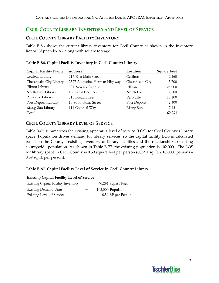## **CECIL COUNTY LIBRARY INVENTORY AND LEVEL OF SERVICE**

## **CECIL COUNTY LIBRARY FACILITY INVENTORY**

Table B‐86 shows the current library inventory for Cecil County as shown in the Inventory Report (Appendix A), along with square footage.

| <b>Capital Facility Name</b> | <b>Address</b>                | Location        | <b>Square Feet</b> |
|------------------------------|-------------------------------|-----------------|--------------------|
| Cecilton Library             | 215 East Main Street          | Cecilton        | 2,160              |
| Chesapeake City Library      | 2527 Augustine Herman Highway | Chesapeake City | 5,700              |
| Elkton Library               | 301 Newark Avenue             | Elkton          | 25,000             |
| North East Library           | 106 West Cecil Avenue         | North East      | 2,800              |
| Perryville Library           | 515 Broad Street              | Perryville      | 15,100             |
| Port Deposit Library         | 13 South Main Street          | Port Deposit    | 2,400              |
| Rising Sun Library           | 111 Colonial Way              | Rising Sun      | 7,131              |
| Total                        |                               |                 | 60,291             |

## **Table B‐86. Capital Facility Inventory in Cecil County: Library**

## **CECIL COUNTY LIBRARY LEVEL OF SERVICE**

Table B‐87 summarizes the existing apparatus level of service (LOS) for Cecil County's library space. Population drives demand for library services, so the capital facility LOS is calculated based on the County's existing inventory of library facilities and the relationship to existing countywide population. As shown in Table B‐77, the existing population is 102,000. The LOS for library space in Cecil County is 0.59 square feet per person (60,291 sq. ft. / 102,000 persons = 0.59 sq. ft. per person).

## **Table B‐87. Capital Facility Level of Service in Cecil County: Library**

| <b>Existing Capital Facility Level of Service</b> |        |                    |  |  |  |
|---------------------------------------------------|--------|--------------------|--|--|--|
| <b>Existing Capital Facility Inventory</b>        |        | 60,291 Square Feet |  |  |  |
| <b>Existing Demand Units</b>                      | $\div$ | 102,000 Population |  |  |  |
| Existing Level of Service                         |        | 0.59 SF per Person |  |  |  |

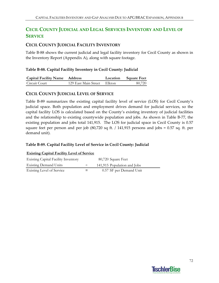# **CECIL COUNTY JUDICIAL AND LEGAL SERVICES INVENTORY AND LEVEL OF SERVICE**

# **CECIL COUNTY JUDICIAL FACILITY INVENTORY**

Table B-88 shows the current judicial and legal facility inventory for Cecil County as shown in the Inventory Report (Appendix A), along with square footage.

#### **Table B‐88. Capital Facility Inventory in Cecil County: Judicial**

| <b>Capital Facility Name Address</b> |                             | Location Square Feet |
|--------------------------------------|-----------------------------|----------------------|
| Circuit Court                        | 129 East Main Street Elkton | 80,720               |

### **CECIL COUNTY JUDICIAL LEVEL OF SERVICE**

Table B-89 summarizes the existing capital facility level of service (LOS) for Cecil County's judicial space. Both population and employment drives demand for judicial services, so the capital facility LOS is calculated based on the County's existing inventory of judicial facilities and the relationship to existing countywide population and jobs. As shown in Table B‐77, the existing population and jobs total 141,915. The LOS for judicial space in Cecil County is 0.57 square feet per person and per job (80,720 sq ft. / 141,915 persons and jobs = 0.57 sq. ft. per demand unit).

#### **Table B‐89. Capital Facility Level of Service in Cecil County: Judicial**

| <b>Existing Capital Facility Inventory</b> |     | 80,720 Square Feet          |
|--------------------------------------------|-----|-----------------------------|
| <b>Existing Demand Units</b>               |     | 141,915 Population and Jobs |
| Existing Level of Service                  | $=$ | 0.57 SF per Demand Unit     |

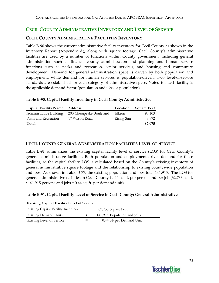# **CECIL COUNTY ADMINISTRATIVE INVENTORY AND LEVEL OF SERVICE**

# **CECIL COUNTY ADMINISTRATIVE FACILITIES INVENTORY**

Table B‐90 shows the current administrative facility inventory for Cecil County as shown in the Inventory Report (Appendix A), along with square footage. Cecil County's administrative facilities are used by a number of functions within County government, including general administration such as finance, county administration and planning and human service functions such as parks and recreation, senior services, and housing and community development. Demand for general administration space is driven by both population and employment, while demand for human services is population-driven. Two level-of-service standards are established for each category of administrative space. Noted for each facility is the applicable demand factor (population and jobs or population).

### **Table B‐90. Capital Facility Inventory in Cecil County: Administrative**

| <b>Capital Facility Name Address</b> |                                                  | Location   | <b>Square Feet</b> |
|--------------------------------------|--------------------------------------------------|------------|--------------------|
|                                      | Administrative Building 200 Chesapeake Boulevard | Elkton     | 83,103             |
| Parks and Recreation                 | 17 Wilson Road                                   | Rising Sun | 3.972              |
| Total                                |                                                  |            | 87,075             |

### **CECIL COUNTY GENERAL ADMINISTRATION FACILITIES LEVEL OF SERVICE**

Table B‐91 summarizes the existing capital facility level of service (LOS) for Cecil County's general administrative facilities. Both population and employment drives demand for these facilities, so the capital facility LOS is calculated based on the County's existing inventory of general administrative square footage and the relationship to existing countywide population and jobs. As shown in Table B‐77, the existing population and jobs total 141,915. The LOS for general administrative facilities in Cecil County is .44 sq. ft. per person and per job (62,733 sq. ft. / 141,915 persons and jobs = 0.44 sq. ft. per demand unit).

### **Table B‐91. Capital Facility Level of Service in Cecil County: General Administrative**

| <b>Existing Capital Facility Level of Service</b> |        |                             |
|---------------------------------------------------|--------|-----------------------------|
| <b>Existing Capital Facility Inventory</b>        |        | 62,733 Square Feet          |
| <b>Existing Demand Units</b>                      | $\div$ | 141,915 Population and Jobs |
| <b>Existing Level of Service</b>                  | $=$    | 0.44 SF per Demand Unit     |

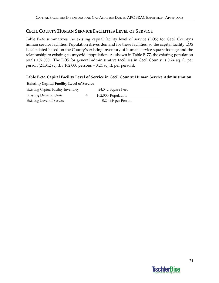# **CECIL COUNTY HUMAN SERVICE FACILITIES LEVEL OF SERVICE**

Table B-92 summarizes the existing capital facility level of service (LOS) for Cecil County's human service facilities. Population drives demand for these facilities, so the capital facility LOS is calculated based on the County's existing inventory of human service square footage and the relationship to existing countywide population. As shown in Table B‐77, the existing population totals 102,000. The LOS for general administrative facilities in Cecil County is 0.24 sq. ft. per person (24,342 sq. ft. / 102,000 persons = 0.24 sq. ft. per person).

## **Table B‐92. Capital Facility Level of Service in Cecil County: Human Service Administration Existing Capital Facility Level of Service**

| <b>Existing Capital Facility Inventory</b> | 24,342 Square Feet |  |
|--------------------------------------------|--------------------|--|
| <b>Existing Demand Units</b>               | 102,000 Population |  |
| Existing Level of Service                  | 0.24 SF per Person |  |

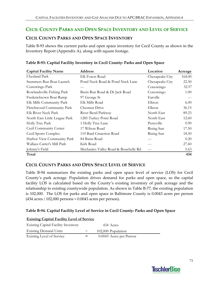# **CECIL COUNTY PARKS AND OPEN SPACE INVENTORY AND LEVEL OF SERVICE**

# **CECIL COUNTY PARKS AND OPEN SPACE INVENTORY**

Table B‐93 shows the current parks and open space inventory for Cecil County as shown in the Inventory Report (Appendix A), along with square footage.

| <b>Capital Facility Name</b>  | <b>Address</b>                       | Location        | Acreage |
|-------------------------------|--------------------------------------|-----------------|---------|
| Chesland Park                 | Elk Forest Road                      | Chesapeake City | 164.00  |
| Stemmers Run Boat Launch      | Pond Neck Road & Pond Neck Lane      | Chesapeake City | 22.50   |
| Conowingo Park                |                                      | Conowingo       | 32.57   |
| Rowlandsville Fishing Park    | Basin Run Road & Dr Jack Road        | Conowingo       | 1.00    |
| Fredericktown Boat Ramp       | 97 George St                         | Earville        |         |
| Elk Mills Community Park      | Elk Mills Road                       | Elkton          | 6.00    |
| Fletchwood Community Park     | Chestnut Drive                       | Elkton          | 36.15   |
| Elk River Neck Park           | River Bend Parkway                   | North East      | 89.23   |
| North East Little League Park | 1285 Turkey Point Road               | North East      | 12.60   |
| Holly Tree Park               | 1 Holly Tree Lane                    | Perryville      | 0.90    |
| Cecil Community Center        | 17 Wilson Road                       | Rising Sun      | 17.50   |
| Cecil Sports Complex          | 110 Bard Cmaerion Road               | Rising Sun      | 18.50   |
| Harbor View Community Park    | 84 Basin Road                        |                 | 0.20    |
| Wallace-Carter's Mill Park    | Kirk Road                            |                 | 27.60   |
| Johnny's Field                | Mechanics Valley Road & Bouchelle Rd | $---$           | 5.63    |
| Total                         |                                      |                 | 434     |

### **Table B‐93: Capital Facility Inventory in Cecil County: Parks and Open Space**

# **CECIL COUNTY PARKS AND OPEN SPACE LEVEL OF SERVICE**

Table B‐94 summarizes the existing parks and open space level of service (LOS) for Cecil County's park acreage. Population drives demand for parks and open space, so the capital facility LOS is calculated based on the County's existing inventory of park acreage and the relationship to existing countywide population. As shown in Table B‐77, the existing population is 102,000. The LOS for parks and open space in Baltimore County is 0.0043 acres per person (434 acres / 102,000 persons = 0.0043 acres per person).

### **Table B‐94. Capital Facility Level of Service in Cecil County: Parks and Open Space**

| <b>Existing Capital Facility Level of Service</b> |     |                         |
|---------------------------------------------------|-----|-------------------------|
| <b>Existing Capital Facility Inventory</b>        |     | 434 Acres               |
| <b>Existing Demand Units</b>                      |     | 102,000 Population      |
| Existing Level of Service                         | $=$ | 0.0043 Acres per Person |

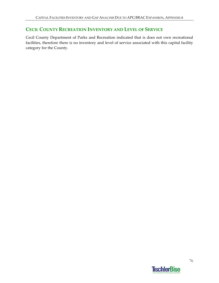# **CECIL COUNTY RECREATION INVENTORY AND LEVEL OF SERVICE**

Cecil County Department of Parks and Recreation indicated that is does not own recreational facilities, therefore there is no inventory and level of service associated with this capital facility category for the County.

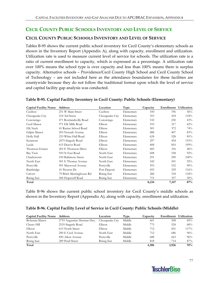# **CECIL COUNTY PUBLIC SCHOOLS INVENTORY AND LEVEL OF SERVICE**

# **CECIL COUNTY PUBLIC SCHOOLS INVENTORY AND LEVEL OF SERVICE**

Tables B-95 shows the current public school inventory for Cecil County's elementary schools as shown in the Inventory Report (Appendix A), along with capacity, enrollment and utilization. Utilization rate is used to measure current level of service for schools. The utilization rate is a ratio of current enrollment to capacity, which is expressed as a percentage. A utilization rate over 100% means the school type is over capacity and less than 100% means there is surplus capacity. Alternative schools – Providence/Cecil County High School and Cecil County School of Technology – are not included here as the attendance boundaries for these facilities are countywide because they do not follow the traditional format upon which the level of service and capital facility gap analysis was conducted.

| <b>Capital Facility Name</b> | <b>Address</b>           | Location        | Type       | Capacity | Enrollment Utilization |      |
|------------------------------|--------------------------|-----------------|------------|----------|------------------------|------|
| Cecilton                     | 251 W Main Street        | Cecilton        | Elementary | 350      | 196                    | 56%  |
| Chesapeake City              | 214 3rd Street           | Chesapeake City | Elementary | 353      | 418                    | 118% |
| Conowingo                    | 471 Rowlandsville Road   | Conowingo       | Elementary | 532      | 230                    | 43%  |
| Cecil Manor                  | 971 Elk Mills Road       | Elkton          | Elementary | 510      | 317                    | 62%  |
| Elk Neck                     | 41 Racine School Road    | Elkton          | Elementary | 501      | 372                    | 74%  |
| Gilpin Manor                 | 203 Newark Avenue        | Elkton          | Elementary | 488      | 407                    | 83%  |
| Holly Hall                   | 233 White Hall Road      | Elkton          | Elementary | 624      | 528                    | 85%  |
| Kenmore                      | 2475 Singerly Road       | Elkton          | Elementary | 297      | 454                    | 153% |
| Leeds                        | 615 Deaver Road          | Elkton          | Elementary | 408      | 810                    | 199% |
| Thomson Estates              | 203 E Thomson Drive      | Elkton          | Elementary | 683      | 316                    | 46%  |
| Bay View                     | 910 N East Road          | North East      | Elementary | 608      | 558                    | 92%  |
| Charlestown                  | 550 Baltimore Street     | North East      | Elementary | 291      | 290                    | 100% |
| North East                   | 301 E Thomas Avenue      | North East      | Elementary | 542      | 501                    | 92%  |
| Perryville                   | 901 Maywood Avenue       | Perryville      | Elementary | 593      | 532                    | 90%  |
| Bainbridge                   | 41 Preston Dr            | Port Deposit    | Elementary | 455      | 529                    | 116% |
| Calvert                      | 79 Brick Meetinghouse Rd | Rising Sun      | Elementary | 284      | 334                    | 118% |
| Rising Sun                   | 500 Hopewell Road        | Rising Sun      | Elementary | 715      | 357                    | 50%  |
| Total                        |                          |                 |            | 8,234    | 7,147                  | 87%  |

#### **Table B‐95. Capital Facility Inventory in Cecil County: Public Schools (Elementary)**

Table B‐96 shows the current public school inventory for Cecil County's middle schools as shown in the Inventory Report (Appendix A), along with capacity, enrollment and utilization.

### **Table B‐96. Capital Facility Level of Service in Cecil County: Public Schools (Middle)**

| <b>Capital Facility Name</b> | <b>Address</b>            | Location        | Type   | Capacity | Enrollment Utilization |      |
|------------------------------|---------------------------|-----------------|--------|----------|------------------------|------|
| Bohemia Manor                | 2755 Augustine Herman Hwy | Chesapeake City | Middle | 601      | 508                    | 85%  |
| Cherry Hill                  | 2535 Singerly Road        | Elkton          | Middle | 775      | 524                    | 68%  |
| Elkton                       | 615 North Street          | Elkton          | Middle | 712      | 831                    | 117% |
| North East                   | 200 E Cecil Avenue        | North East      | Middle | 712      | 686                    | 96%  |
| Perryville                   | 850 Aiken Avenue          | Perryville      | Middle | 688      | 663                    | 96%  |
| Rising Sun                   | 289 Pearl Street          | Rising Sun      | Middle | 818      | 714                    | 87%  |
| Total                        |                           |                 |        | 4.306    | 3,926                  | 91%  |

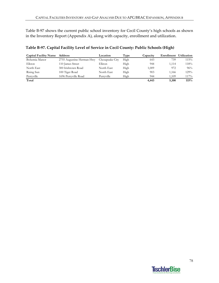Table B-97 shows the current public school inventory for Cecil County's high schools as shown in the Inventory Report (Appendix A), along with capacity, enrollment and utilization.

| <b>Capital Facility Name</b> | Address                   | Location        | Type | Capacity | Enrollment | <b>Utilization</b> |
|------------------------------|---------------------------|-----------------|------|----------|------------|--------------------|
| Bohemia Manor                | 2755 Augustine Herman Hwy | Chesapeake City | High | 643      | 739        | 115%               |
| Elkton                       | 110 James Street          | Elkton          | High | 944      | 1.114      | 118%               |
| North East                   | 300 Irishtown Road        | North East      | High | 1,009    | 972        | 96%                |
| Rising Sun                   | 100 Tiger Road            | North East      | High | 903      | 1.166      | 129%               |
| Perryville                   | 1696 Perryville Road      | Perryville      | High | 944      | .109       | 117%               |
| Total                        |                           |                 |      | 4,443    | 5,100      | 115%               |

## **Table B‐97. Capital Facility Level of Service in Cecil County: Public Schools (High)**

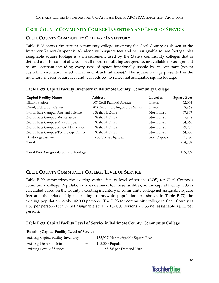# **CECIL COUNTY COMMUNITY COLLEGE INVENTORY AND LEVEL OF SERVICE**

# **CECIL COUNTY COMMUNITY COLLEGE INVENTORY**

Table B‐98 shows the current community college inventory for Cecil County as shown in the Inventory Report (Appendix A), along with square feet and net assignable square footage. Net assignable square footage is a measurement used by the State's community colleges that is defined as "The sum of all areas on all floors of building assigned to, or available for assignment to, an occupant including every type of space functionally usable by an occupant (except custodial, circulation, mechanical, and structural areas)." The square footage presented in the inventory is gross square feet and was reduced to reflect net assignable square footage.

| <b>Capital Facility Name</b>         | <b>Address</b>                 | Location     | <b>Square Feet</b> |
|--------------------------------------|--------------------------------|--------------|--------------------|
| Elkton Station                       | 107 Cecil Railroad Avenue      | Elkton       | 52,034             |
| Family Education Center              | 200 Road B Hollingsworth Manor | Elkton       | 8,868              |
| North East Campus-Arts and Science   | 1 Seahawk Drive                | North East   | 37,867             |
| North East Campus-Maintenance        | 1 Seahawk Drive                | North East   | 5,828              |
| North East Campus-Muti-Purpose       | 1 Seahawk Drive                | North East   | 54,860             |
| North East Campus-Physical Education | 1 Seahawk Drive                | North East   | 29,201             |
| North East Campus-Technology Center  | 1 Seahawk Drive                | North East   | 64,800             |
| Bainbridge Facility                  | Jacob Tome Highway             | Port Deposit | 1,280              |
| Total                                |                                |              | 254,738            |
| Total Net Assignable Square Footage  |                                |              | 155,937            |

#### **Table B‐98. Capital Facility Inventory in Baltimore County: Community College**

# **CECIL COUNTY COMMUNITY COLLEGE LEVEL OF SERVICE**

Table B-99 summarizes the existing capital facility level of service (LOS) for Cecil County's community college. Population drives demand for these facilities, so the capital facility LOS is calculated based on the County's existing inventory of community college net assignable square feet and the relationship to existing countywide population. As shown in Table B-77, the existing population totals 102,000 persons. The LOS for community college in Cecil County is 1.53 per person (155,937 net assignable sq. ft. / 102,000 persons = 1.53 net assignable sq. ft. per person).

### **Table B‐99. Capital Facility Level of Service in Baltimore County: Community College**

| <b>Explored Capture 1 active</b> to the contract |     |                                    |
|--------------------------------------------------|-----|------------------------------------|
| <b>Existing Capital Facility Inventory</b>       |     | 155,937 Net Assignable Square Feet |
| <b>Existing Demand Units</b>                     |     | 102,000 Population                 |
| Existing Level of Service                        | $=$ | 1.53 SF per Demand Unit            |

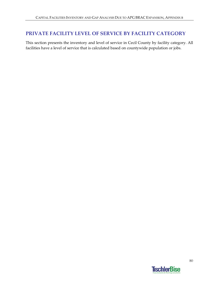# **PRIVATE FACILITY LEVEL OF SERVICE BY FACILITY CATEGORY**

This section presents the inventory and level of service in Cecil County by facility category. All facilities have a level of service that is calculated based on countywide population or jobs.

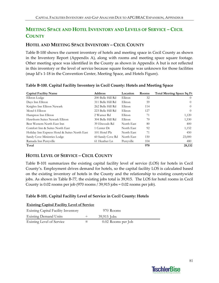# **MEETING SPACE AND HOTEL INVENTORY AND LEVELS OF SERVICE – CECIL COUNTY**

# **HOTEL AND MEETING SPACE INVENTORY – CECIL COUNTY**

Table B‐100 shows the current inventory of hotels and meeting space in Cecil County as shown in the Inventory Report (Appendix A), along with rooms and meeting space square footage. Other meeting space was identified in the County as shown in Appendix A but is not reflected in this inventory or the level of service because square footage was unknown for those facilities (map Id's 1‐18 in the Convention Center, Meeting Space, and Hotels Figure).

| <b>Capital Facility Name</b>                  | <b>Address</b>    | Location   | Rooms | Total Meeting Space Sq Ft |
|-----------------------------------------------|-------------------|------------|-------|---------------------------|
| Elkton Lodge                                  | 200 Belle Hill Rd | Elkton     | 32    | $\Omega$                  |
| Days Inn Elkton                               | 311 Belle Hill Rd | Elkton     | 59    | $\Omega$                  |
| Knights Inn Elkton Newark                     | 262 Belle Hill Rd | Elkton     | 114   | $\theta$                  |
| Motel 6 Elkton                                | 223 Belle Hill Rd | Elkton     | 127   | $\theta$                  |
| Hampton Inn Elkton                            | 2 Warner Rd       | Elkton     | 71    | 1,120                     |
| Hawthorn Suites Newark Elkton                 | 304 Belle Hill Rd | Elkton     | 70    | 1,530                     |
| Best Western North East Inn                   | 39 Elwoods Rd     | North East | 80    | 400                       |
| Comfort Inn & Suites North East               | 1 Center Dr       | North East | 92    | 1,152                     |
| Holiday Inn Express Hotel & Suites North East | 101 Hotel Plz     | North East | 71    | 450                       |
| Sandy Cove Ministries Lodge                   | 60 Sandy Cove Rd  | North East | 150   | 23,000                    |
| Ramada Inn Perryville                         | 61 Heather Ln     | Perryville | 104   | 480                       |
| Total                                         |                   |            | 970   | 28,132                    |

### **Table B‐100. Capital Facility Inventory in Cecil County: Hotels and Meeting Space**

# **HOTEL LEVEL OF SERVICE – CECIL COUNTY**

**Existing Capital Facility Level of Service**

Table B‐101 summarizes the existing capital facility level of service (LOS) for hotels in Cecil County's. Employment drives demand for hotels, so the capital facility LOS is calculated based on the existing inventory of hotels in the County and the relationship to existing countywide jobs. As shown in Table B‐77, the existing jobs total is 39,915. The LOS for hotel rooms in Cecil County is 0.02 rooms per job (970 rooms / 39,915 jobs = 0.02 rooms per job).

### **Table B‐101. Capital Facility Level of Service in Cecil County: Hotels**

| <b>Existing Capital Facility Level of Service</b> |         |                    |  |  |
|---------------------------------------------------|---------|--------------------|--|--|
| <b>Existing Capital Facility Inventory</b>        |         | 970 Rooms          |  |  |
| <b>Existing Demand Units</b>                      |         | $39,915$ Jobs      |  |  |
| <b>Existing Level of Service</b>                  | $=$ $-$ | 0.02 Rooms per Job |  |  |

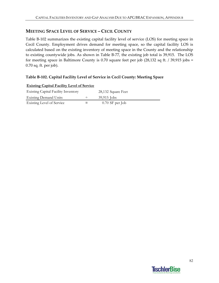# **MEETING SPACE LEVEL OF SERVICE – CECIL COUNTY**

Table B-102 summarizes the existing capital facility level of service (LOS) for meeting space in Cecil County. Employment drives demand for meeting space, so the capital facility LOS is calculated based on the existing inventory of meeting space in the County and the relationship to existing countywide jobs. As shown in Table B‐77, the existing job total is 39,915. The LOS for meeting space in Baltimore County is 0.70 square feet per job (28,132 sq ft. / 39,915 jobs = 0.70 sq. ft. per job).

## **Table B‐102. Capital Facility Level of Service in Cecil County: Meeting Space**

| <b>Existing Capital Facility Inventory</b> | 28,132 Square Feet |
|--------------------------------------------|--------------------|
| <b>Existing Demand Units</b>               | $39,915$ Jobs      |
| Existing Level of Service                  | $0.70$ SF per Job  |

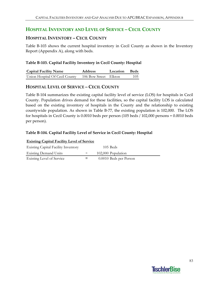# **HOSPITAL INVENTORY AND LEVEL OF SERVICE – CECIL COUNTY**

## **HOSPITAL INVENTORY – CECIL COUNTY**

Table B‐103 shows the current hospital inventory in Cecil County as shown in the Inventory Report (Appendix A), along with beds.

### **Table B‐103. Capital Facility Inventory in Cecil County: Hospital**

| <b>Capital Facility Name</b>   | <b>Address</b>        | Location Beds |     |
|--------------------------------|-----------------------|---------------|-----|
| Union Hospital Of Cecil County | 106 Bow Street Elkton |               | 105 |

# **HOSPITAL LEVEL OF SERVICE – CECIL COUNTY**

Table B‐104 summarizes the existing capital facility level of service (LOS) for hospitals in Cecil County. Population drives demand for these facilities, so the capital facility LOS is calculated based on the existing inventory of hospitals in the County and the relationship to existing countywide population. As shown in Table B‐77, the existing population is 102,000. The LOS for hospitals in Cecil County is 0.0010 beds per person (105 beds / 102,000 persons = 0.0010 beds per person).

## **Table B‐104. Capital Facility Level of Service in Cecil County: Hospital**

| <b>Existing Capital Facility Level of Service</b> |        |                        |  |  |
|---------------------------------------------------|--------|------------------------|--|--|
| <b>Existing Capital Facility Inventory</b>        |        | $105$ Beds             |  |  |
| <b>Existing Demand Units</b>                      | $\div$ | 102,000 Population     |  |  |
| <b>Existing Level of Service</b>                  |        | 0.0010 Beds per Person |  |  |

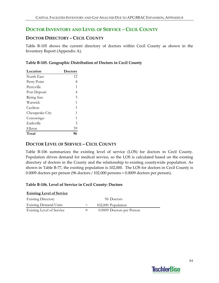# **DOCTOR INVENTORY AND LEVEL OF SERVICE – CECIL COUNTY**

## **DOCTOR DIRECTORY – CECIL COUNTY**

Table B-105 shows the current directory of doctors within Cecil County as shown in the Inventory Report (Appendix A).

|  | Table B-105. Geographic Distribution of Doctors in Cecil County |  |  |
|--|-----------------------------------------------------------------|--|--|
|  |                                                                 |  |  |

| Location        | <b>Doctors</b> |
|-----------------|----------------|
| North East      | 12             |
| Perry Point     | 8              |
| Perryville      | 1              |
| Port Deposit    | 4              |
| Rising Sun      | 5              |
| Warwick         | 1              |
| Cecilton        | 1              |
| Chesapeake City | 1              |
| Conowingo       | 1              |
| Earleville      | 3              |
| Elkton          | 59             |
| Total           | 96             |

## **DOCTOR LEVEL OF SERVICE – CECIL COUNTY**

Table B-106 summarizes the existing level of service (LOS) for doctors in Cecil County. Population drives demand for medical service, so the LOS is calculated based on the existing directory of doctors in the County and the relationship to existing countywide population. As shown in Table B-77, the existing population is 102,000. The LOS for doctors in Cecil County is 0.0009 doctors per person (96 doctors / 102,000 persons = 0.0009 doctors per person).

#### **Table B‐106. Level of Service in Cecil County: Doctors**

| <b>Existing Level of Service</b> |        |                           |
|----------------------------------|--------|---------------------------|
| <b>Existing Directory</b>        |        | 96 Doctors                |
| <b>Existing Demand Units</b>     | $\div$ | 102,000 Population        |
| Existing Level of Service        | $=$    | 0.0009 Doctors per Person |

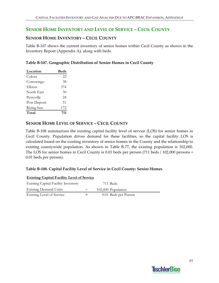# **SENIOR HOME INVENTORY AND LEVEL OF SERVICE – CECIL COUNTY**

## **SENIOR HOME INVENTORY – CECIL COUNTY**

Table B‐107 shows the current inventory of senior homes within Cecil County as shown in the Inventory Report (Appendix A), along with beds.

| Table B-107. Geographic Distribution of Senior Homes in Cecil County |  |  |
|----------------------------------------------------------------------|--|--|
|                                                                      |  |  |

| Location     | <b>Beds</b> |
|--------------|-------------|
| Colora       | 22          |
| Conowingo    | 38          |
| Elkton       | 374         |
| North East   | 30          |
| Perryville   | 24          |
| Port Deposit | 51          |
| Rising Sun   | 172         |
| Total        | 711         |

## **SENIOR HOME LEVEL OF SERVICE – CECIL COUNTY**

Table B-108 summarizes the existing capital facility level of service (LOS) for senior homes in Cecil County. Population drives demand for these facilities, so the capital facility LOS is calculated based on the existing inventory of senior homes in the County and the relationship to existing countywide population. As shown in Table B-77, the existing population is 102,000. The LOS for senior homes in Cecil County is 0.01 beds per person (711 beds / 102,000 persons = 0.01 beds per person).

#### **Table B‐108. Capital Facility Level of Service in Cecil County: Senior Homes**

| <b>Existing Capital Facility Level of Service</b> |   |                      |
|---------------------------------------------------|---|----------------------|
| <b>Existing Capital Facility Inventory</b>        |   | 711 Beds             |
| <b>Existing Demand Units</b>                      | ÷ | 102,000 Population   |
| Existing Level of Service                         |   | 0.01 Beds per Person |

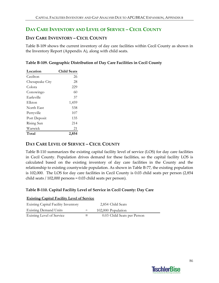# **DAY CARE INVENTORY AND LEVEL OF SERVICE – CECIL COUNTY**

# **DAY CARE INVENTORY – CECIL COUNTY**

Table B-109 shows the current inventory of day care facilities within Cecil County as shown in the Inventory Report (Appendix A), along with child seats.

|  | Table B-109. Geographic Distribution of Day Care Facilities in Cecil County |  |  |
|--|-----------------------------------------------------------------------------|--|--|
|  |                                                                             |  |  |

| Location        | <b>Child Seats</b> |
|-----------------|--------------------|
| Cecilton        | 26                 |
| Chesapeake City | 28                 |
| Colora          | 229                |
| Conowingo       | 60                 |
| Earleville      | 37                 |
| Elkton          | 1,459              |
| North East      | 538                |
| Perryville      | 107                |
| Port Deposit    | 135                |
| Rising Sun      | 214                |
| Warwick         | 21                 |
| Total           | 2.854              |

## **DAY CARE LEVEL OF SERVICE – CECIL COUNTY**

Table B-110 summarizes the existing capital facility level of service (LOS) for day care facilities in Cecil County. Population drives demand for these facilities, so the capital facility LOS is calculated based on the existing inventory of day care facilities in the County and the relationship to existing countywide population. As shown in Table B‐77, the existing population is 102,000. The LOS for day care facilities in Cecil County is 0.03 child seats per person (2,854 child seats / 102,000 persons = 0.03 child seats per person).

### **Table B‐110. Capital Facility Level of Service in Cecil County: Day Care**

| <b>Existing Capital Facility Level of Service</b> |  |                             |  |  |  |
|---------------------------------------------------|--|-----------------------------|--|--|--|
| <b>Existing Capital Facility Inventory</b>        |  | 2,854 Child Seats           |  |  |  |
| <b>Existing Demand Units</b>                      |  | 102,000 Population          |  |  |  |
| Existing Level of Service                         |  | 0.03 Child Seats per Person |  |  |  |

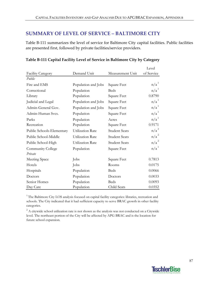# **SUMMARY OF LEVEL OF SERVICE – BALTIMORE CITY**

Table B-111 summarizes the level of service for Baltimore City capital facilities. Public facilities are presented first, followed by private facilities/service providers.

|                           |                         |                      | Level            |
|---------------------------|-------------------------|----------------------|------------------|
| <b>Facility Category</b>  | Demand Unit             | Measurement Unit     | of Service       |
| Public                    |                         |                      |                  |
| Fire and EMS              | Population and Jobs     | Square Feet          | n/a <sup>1</sup> |
| Correctional              | Population              | <b>Beds</b>          | n/a <sup>1</sup> |
| Library                   | Population              | Square Feet          | 0.8790           |
| Judicial and Legal        | Population and Jobs     | Square Feet          | n/a <sup>1</sup> |
| Admin-General Gov.        | Population and Jobs     | Square Feet          | n/a <sup>1</sup> |
| Admin-Human Svcs.         | Population              | Square Feet          | n/a <sup>1</sup> |
| Parks                     | Population              | Acres                | n/a <sup>1</sup> |
| Recreation                | Population              | Square Feet          | 0.9171           |
| Public Schools-Elementary | Utilization Rate        | <b>Student Seats</b> | $n/a^2$          |
| Public School-Middle      | <b>Utilization Rate</b> | <b>Student Seats</b> | $n/a^2$          |
| Public School-High        | Utilization Rate        | <b>Student Seats</b> | $n/a^2$          |
| Community College         | Population              | Square Feet          | n/a <sup>1</sup> |
| Private                   |                         |                      |                  |
| Meeting Space             | Jobs                    | Square Feet          | 0.7813           |
| Hotels                    | Jobs                    | Rooms                | 0.0175           |
| Hospitals                 | Population              | <b>Beds</b>          | 0.0066           |
| Doctors                   | Population              | Doctors              | 0.0033           |
| Senior Homes              | Population              | <b>Beds</b>          | 0.0093           |
| Day Care                  | Population              | Child Seats          | 0.0352           |

### **Table B‐111 Capital Facility Level of Service in Baltimore City by Category**

<sup>1</sup> The Baltimore City LOS analysis focused on capital facility categories: libraries, recreation and schools. The City indicated that it had sufficient capacity to serve BRAC growth in other facility categories.

 $2^2$  A citywide school utilization rate is not shown as the analysis was not conducted on a Citywide level. The northeast portion of the City will be affected by APG BRAC and is the location for future school expansion.

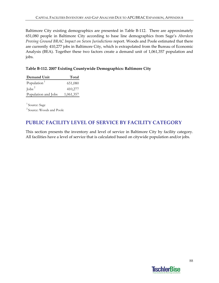Baltimore City existing demographics are presented in Table B-112. There are approximately 651,080 people in Baltimore City according to base line demographics from Sage's *Aberdeen Proving Ground BRAC Impact on Seven Jurisdictions* report. Woods and Poole estimated that there are currently 410,277 jobs in Baltimore City, which is extrapolated from the Bureau of Economic Analysis (BEA). Together these two factors create a demand unit of 1,061,357 population and jobs.

## **Table B‐112. 2007 Existing Countywide Demographics: Baltimore City**

| Demand Unit             | Total     |
|-------------------------|-----------|
| Population <sup>1</sup> | 651,080   |
| $\int$ obs <sup>2</sup> | 410,277   |
| Population and Jobs     | 1,061,357 |
|                         |           |

<sup>1</sup> Source: Sage 2 Source: Woods and Poole

# **PUBLIC FACILITY LEVEL OF SERVICE BY FACILITY CATEGORY**

This section presents the inventory and level of service in Baltimore City by facility category. All facilities have a level of service that is calculated based on citywide population and/or jobs.

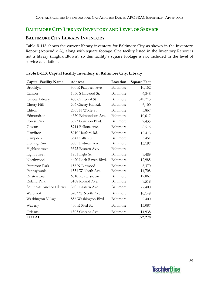# **BALTIMORE CITY LIBRARY INVENTORY AND LEVEL OF SERVICE**

### **BALTIMORE CITY LIBRARY INVENTORY**

Table B-113 shows the current library inventory for Baltimore City as shown in the Inventory Report (Appendix A), along with square footage. One facility listed in the Inventory Report is not a library (Highlandtown), so this facility's square footage is not included in the level of service calculation.

| <b>Capital Facility Name</b> | <b>Address</b>        | Location  | <b>Square Feet</b> |
|------------------------------|-----------------------|-----------|--------------------|
| Brooklyn                     | 300 E Patapsco Ave.   | Baltimore | 10,152             |
| Canton                       | 1030 S Ellwood St.    | Baltimore | 6,848              |
| Central Library              | 400 Cathedral St      | Baltimore | 349,713            |
| Cherry Hill                  | 606 Cherry Hill Rd.   | Baltimore | 6,100              |
| Clifton                      | 2001 N Wolfe St.      | Baltimore | 5,867              |
| Edmondson                    | 4330 Edmondson Ave.   | Baltimore | 10,617             |
| Forest Park                  | 3023 Garrison Blvd.   | Baltimore | 7,435              |
| Govans                       | 5714 Bellona Ave.     | Baltimore | 8,515              |
| Hamilton                     | 5910 Harford Rd.      | Baltimore | 12,473             |
| Hampden                      | 3641 Falls Rd.        | Baltimore | 5,451              |
| Herring Run                  | 3801 Erdman Ave.      | Baltimore | 13,197             |
| Highlandtown                 | 3323 Eastern Ave.     | Baltimore |                    |
| <b>Light Street</b>          | 1251 Light St.        | Baltimore | 9,489              |
| Northwood                    | 4420 Loch Raven Blvd. | Baltimore | 12,985             |
| Patterson Park               | 158 N Linwood         | Baltimore | 8,370              |
| Pennsylvania                 | 1531 W North Ave.     | Baltimore | 14,708             |
| Reisterstown                 | 6310 Reisterstown     | Baltimore | 12,867             |
| Roland Park                  | 5108 Roland Ave.      | Baltimore | 9,518              |
| Southeast Anchor Library     | 3601 Eastern Ave.     | Baltimore | 27,400             |
| Walbrook                     | 3203 W North Ave.     | Baltimore | 10,148             |
| Washington Village           | 856 Washington Blvd.  | Baltimore | 2,400              |
| Waverly                      | 400 E 33rd St.        | Baltimore | 13,087             |
| Orleans                      | 1303 Orleans Ave.     | Baltimore | 14,938             |
| <b>TOTAL</b>                 |                       |           | 572,278            |

#### **Table B‐113. Capital Facility Inventory in Baltimore City: Library**

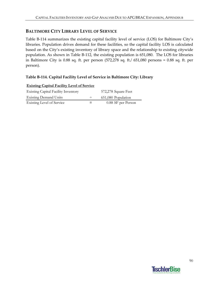# **BALTIMORE CITY LIBRARY LEVEL OF SERVICE**

Table B-114 summarizes the existing capital facility level of service (LOS) for Baltimore City's libraries. Population drives demand for these facilities, so the capital facility LOS is calculated based on the City's existing inventory of library space and the relationship to existing citywide population. As shown in Table B‐112, the existing population is 651,080. The LOS for libraries in Baltimore City is 0.88 sq. ft. per person (572,278 sq. ft./ 651,080 persons = 0.88 sq. ft. per person).

## **Table B‐114. Capital Facility Level of Service in Baltimore City: Library**

| <b>EXISTING CAPITAL FACILITY LEVEL OF SETVICE</b> |        |                     |
|---------------------------------------------------|--------|---------------------|
| <b>Existing Capital Facility Inventory</b>        |        | 572,278 Square Feet |
| <b>Existing Demand Units</b>                      | $\div$ | 651,080 Population  |
| Existing Level of Service                         |        | 0.88 SF per Person  |



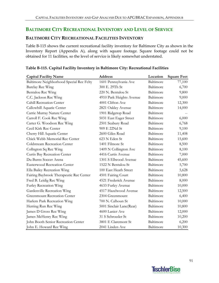# **BALTIMORE CITY RECREATIONAL INVENTORY AND LEVEL OF SERVICE**

### **BALTIMORE CITY RECREATIONAL FACILITIES INVENTORY**

Table B-115 shows the current recreational facility inventory for Baltimore City as shown in the Inventory Report (Appendix A), along with square footage. Square footage could not be obtained for 11 facilities, so the level of service is likely somewhat understated.

| <b>Capital Facility Name</b>             | <b>Address</b>           | Location  | <b>Square Feet</b> |
|------------------------------------------|--------------------------|-----------|--------------------|
| Baltimore Neighborhood Special Rec Fclty | 1601 Pennsylvania Ave    | Baltimore | 77,100             |
| Barclay Rec Wing                         | 300 E. 29Th St           | Baltimore | 6,700              |
| Bentalou Rec Wing                        | 220 N. Bentalou St       | Baltimore | 9,800              |
| C.C. Jackson Rec Wing                    | 4910 Park Heights Avenue | Baltimore | 9,000              |
| Cahill Recreation Center                 | 4001 Clifton Ave         | Baltimore | 12,300             |
| Callowhill Aquatic Center                | 2821 Oakley Avenue       | Baltimore | 14,000             |
| Carrie Murray Nature Center              | 1901 Ridgetop Road       | Baltimore |                    |
| Carroll F. Cook Rec Wing                 | 5031 East Eager Street   | Baltimore | 6,000              |
| Carter G. Woodson Rec Wing               | 2501 Seabury Road        | Baltimore | 6,768              |
| Cecil Kirk Rec Center                    | 909 E 22Nd St            | Baltimore | 9,100              |
| Cherry Hill Aquatic Center               | 2600 Giles Road          | Baltimore | 11,408             |
| Chick Webb Memorial Rec Center           | 623 N Eden St            | Baltimore | 15,600             |
| Coldstream Recreation Center             | 1401 Filmore St          | Baltimore | 8,500              |
| Collngton Sq Rec Wing                    | 1409 N Collington Ave    | Baltimore | 8,100              |
| Curtis Bay Recreation Center             | 4416 Curtis Avenue       | Baltimore | 7,000              |
| Du Burns Soccer Arena                    | 1301 S Ellwood Avenue    | Baltimore | 45,600             |
| <b>Easterwood Recreation Center</b>      | 1522 N Bentalou St       | Baltimore | 5,700              |
| Ella Bailey Recreation Wing              | 100 East Heath Street    | Baltimore | 5,628              |
| Fairing Baybrook Therapeutic Rec Center  | 4501 Fairing Court       | Baltimore | 10,800             |
| Fred B. Leidig Rec Wing                  | 4521 Frederick Avenue    | Baltimore | 8,000              |
| Furley Recreation Wing                   | 4633 Furley Avenue       | Baltimore | 10,000             |
| Gardenville Recreation Wing              | 4517 Hazelwood Avenue    | Baltimore | 12,500             |
| <b>Greenmount Recreation Center</b>      | 2304 Greenmount          | Baltimore | 6,400              |
| Harlem Park Recreation Wing              | 700 N. Calhoun St        | Baltimore | 10,000             |
| Herring Run Rec Wing                     | 5001 Sinclair Lane(Rear) | Baltimore | 10,800             |
| James D Gross Rec Wing                   | 4600 Lanier Ave          | Baltimore | 12,000             |
| James McHenry Rec Wing                   | 31 S Schroeder St        | Baltimore | 10,200             |
| John Booth Senior Recreation Center      | 3801 E Claremont St      | Baltimore | 6,200              |
| John E. Howard Rec Wing                  | 2041 Linden Ave          | Baltimore | 10,300             |

#### **Table B‐115. Capital Facility Inventory in Baltimore City: Recreational Facilities**

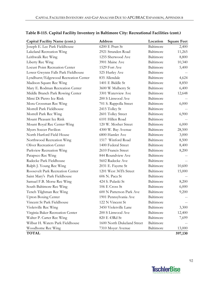| Capital Facility Name (cont.)        | <b>Address</b>             | Location  | <b>Square Feet</b> |
|--------------------------------------|----------------------------|-----------|--------------------|
| Joseph E. Lee Park Fieldhouse        | 6200 E Pratt St            | Baltimore | 2,400              |
| Lakeland Recreation Wing             | 2921 Stranden Road         | Baltimore | 11,265             |
| Leithwalk Rec Wing                   | 1255 Sherwood Ave          | Baltimore | 8,800              |
| Liberty Rec Wing                     | 3901 Maine Ave             | Baltimore | 10,340             |
| Locust Point Recreation Center       | 1529 Fort Ave              | Baltimore | 5,400              |
| Lower Gwynns Falls Park Fieldhouse   | 525 Hurley Ave             | Baltimore |                    |
| Lyndhurst/Edgewood Recreation Center | 835 Allendale              | Baltimore | 4,624              |
| Madison Square Rec Wing              | 1401 E Biddle St           | Baltimore | 8,850              |
| Mary E. Rodman Recreation Center     | 3600 W Mulberry St         | Baltimore | 6,400              |
| Middle Branch Park Rowing Center     | 3301 Waterview Ave         | Baltimore | 12,648             |
| Mimi Di Pietro Ice Rink              | 200 S Linwood Ave          | Baltimore |                    |
| Mora Crossman Rec Wing               | 701 S. Rappolla Street     | Baltimore | 6,000              |
| Morrell Park Fieldhouse              | 2415 Tolley St             | Baltimore |                    |
| Morrell Park Rec Wing                | 2601 Tolley Street         | Baltimore | 6,900              |
| Mount Pleasant Ice Rink              | 6101 Hillen Road           | Baltimore |                    |
| Mount Royal Rec Center-Wing          | 120 W. Mosher Street       | Baltimore | 6,000              |
| Myers Soccer Pavilion                | 4300 W. Bay Avenue         | Baltimore | 28,500             |
| North Harford Field House            | 6800 Hamlet Ave            | Baltimore | 3,000              |
| Northwood Recreation Wing            | 1517 Winford Road          | Baltimore | 8,500              |
| <b>Oliver Recreation Center</b>      | 1400 Federal Street        | Baltimore | 8,400              |
| Parkview Recreation Wing             | 2610 Francis Street        | Baltimore | 8,200              |
| Patapsco Rec Wing                    | 844 Roundview Ave          | Baltimore |                    |
| Radecke Park Fieldhouse              | 5602 Radecke Ave           | Baltimore |                    |
| Ralph J. Young Rec Wing              | 2031 E. Fayette St         | Baltimore | 10,600             |
| Roosevelt Park Recreation Center     | 1201 West 36Th Street      | Baltimore | 15,000             |
| Saint Mary's Park Fieldhouse         | 606 N. Paca St             | Baltimore |                    |
| Samuel F.B. Morse Rec Wing           | 424 S. Pulaski St          | Baltimore | 8,200              |
| South Baltimore Rec Wing             | 106 E Cross St             | Baltimore | 6,000              |
| Tench Tilghman Rec Wing              | 600 N Patterson Park Ave   | Baltimore | 9,200              |
| <b>Upton Boxing Center</b>           | 1901 Pennsylvania Ave      | Baltimore |                    |
| Vincent St Park Fieldhouse           | 122 N Vincent St           | Baltimore |                    |
| Violetville Rec Wing                 | 3450 Violetville Lane      | Baltimore | 3,300              |
| Virginia Baker Recreation Center     | 200 S Linwood Ave          | Baltimore | 12,400             |
| Walter P. Carter Rec Wing            | 820 E 43Rd St              | Baltimore | 7,699              |
| Wilbur H. Waters Park Fieldhouse     | 1600 North Dukeland Street | Baltimore |                    |
| Woodhome Rec Wing                    | 7310 Moyer Avenue          | Baltimore | 13,000             |
| <b>TOTAL</b>                         |                            |           | 597,130            |

## **Table B‐115. Capital Facility Inventory in Baltimore City: Recreational Facilities (cont.)**

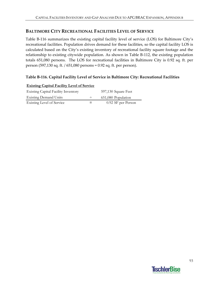# **BALTIMORE CITY RECREATIONAL FACILITIES LEVEL OF SERVICE**

Table B-116 summarizes the existing capital facility level of service (LOS) for Baltimore City's recreational facilities. Population drives demand for these facilities, so the capital facility LOS is calculated based on the City's existing inventory of recreational facility square footage and the relationship to existing citywide population. As shown in Table B‐112, the existing population totals 651,080 persons. The LOS for recreational facilities in Baltimore City is 0.92 sq. ft. per person (597,130 sq. ft. / 651,080 persons = 0.92 sq. ft. per person).

## **Table B‐116. Capital Facility Level of Service in Baltimore City: Recreational Facilities**

| <u>Existing Capital Pacifity Level of Service</u> |        |                     |
|---------------------------------------------------|--------|---------------------|
| <b>Existing Capital Facility Inventory</b>        |        | 597,130 Square Feet |
| <b>Existing Demand Units</b>                      | $\div$ | 651,080 Population  |
| Existing Level of Service                         | $=$    | 0.92 SF per Person  |

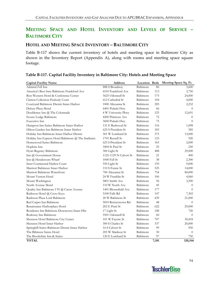# **MEETING SPACE AND HOTEL INVENTORY AND LEVELS OF SERVICE – BALTIMORE CITY**

### **HOTEL AND MEETING SPACE INVENTORY – BALTIMORE CITY**

Table B-117 shows the current inventory of hotels and meeting space in Baltimore City as shown in the Inventory Report (Appendix A), along with rooms and meeting space square footage.

| <b>Capital Facility Name</b>                       | <b>Address</b>         | Location Beds |       | Meeting Space Sq. Ft. |
|----------------------------------------------------|------------------------|---------------|-------|-----------------------|
| Admiral Fell Inn                                   | 888 S Broadway         | Baltimore     | 80    | 3,600                 |
| America's Best Inns Baltimore Frankford Ave        | 6510 Frankford Ave     | Baltimore     | 113   | 3,750                 |
| Best Western Hotel & Conference Center             | 5625 Odonnell St       | Baltimore     | 175   | 24,000                |
| Clarion Collection Peabody Court                   | 612 Cathedral St       | Baltimore     | 104   | 4,000                 |
| Courtyard Baltimore Dwntn Inner Harbor             | 1000 Aliceanna St      | Baltimore     | 205   | 2,252                 |
| Deluxe Plaza Motel                                 | 6401 Pulaski Hwy       | Baltimore     | 66    | $\theta$              |
| Doubletree Inn @ The Colonnade                     | 4 W University Pkwy    | Baltimore     | 125   | 12,691                |
| Econo Lodge Baltimore                              | 4200 Primrose Ave      | Baltimore     | 72    | $\Omega$              |
| Executive Inn                                      | 3600 Pulaski Hwy       | Baltimore     | 75    | $\Omega$              |
| Hampton Inn Suites Baltimore Inner Harbor          | 131 E Redwood St       | Baltimore     | 116   | 1,098                 |
| Hilton Garden Inn Baltimore Inner Harbor           | 625 S President St     | Baltimore     | 183   | 585                   |
| Holiday Inn Baltimore Inner Harbor Dwntn           | 301 W Lombard St       | Baltimore     | 375   | 13,000                |
| Holiday Inn Express Hotel Baltimore @ The Stadiums | 1701 Russell St        | Baltimore     | 123   | 920                   |
| Homewood Suites Baltimore                          | 625 S President St     | Baltimore     | 165   | 2,000                 |
| Hopkins Inn                                        | 3404 St Paul St        | Baltimore     | 25    | 250                   |
| Hyatt Regency Baltimore                            | 300 Light St           | Baltimore     | 488   | 29,000                |
| Inn @ Government House                             | 1125-1129 N Calvert St | Baltimore     | 21    | 400                   |
| Inn @ Hendersons Wharf                             | 1000 Fell St           | Baltimore     | 38    | 2,300                 |
| Inter-Continental Harbor Court                     | 550 Light St           | Baltimore     | 195   | 9,000                 |
| Marriott Baltimore Inner Harbor                    | 110 S Eutaw St         | Baltimore     | 525   | 14,000                |
| Marriott Baltimore Waterfront                      | 700 Aliceanna St       | Baltimore     | 754   | 80,000                |
| Mount Vernon Hotel                                 | 24 W Franklin St       | Baltimore     | 106   | 4,060                 |
| Mount Washington                                   | 5801 Smith Ave         | Baltimore     | 56    | 3,500                 |
| North Avenue Motel                                 | 110 W North Ave        | Baltimore     | 45    | $\Omega$              |
| Quality Inn Baltimore I 95 @ Caton Avenue          | 1401 Bloomfield Ave    | Baltimore     | 177   | $\Omega$              |
| Radisson Hotel @ Cross Keys                        | 5100 Falls Rd          | Baltimore     | 147   | 7,302                 |
| Radisson Plaza Lord Baltimore                      | 20 W Baltimore St      | Baltimore     | 439   | 21,000                |
| Red Carpet Inn Baltimore                           | 5810 Reisterstown Rd   | Baltimore     | 48    | $\theta$              |
| Renaissance Harborplace Hotel                      | 202 E Pratt St         | Baltimore     | 622   | 29,000                |
| Residence Inn Baltimore Downtown Inner Hbr         | 17 Light St            | Baltimore     | 188   | 720                   |
| Rodeway Inn Baltimore                              | 5501 Odonnell St       | Baltimore     | 60    | $\Omega$              |
| Sheraton Hotel Baltimore City Center               | 101 W Fayette St       | Baltimore     | 707   | 30,418                |
| Sheraton Hotel Inner Harbor                        | 300 S Charles St       | Baltimore     | 337   | 20,000                |
| Springhill Suites Baltimore Dwntn Inner Harbor     | 16 S Calvert St        | Baltimore     | 99    | 950                   |
| The Biltmore Suites Hotel                          | 205 W Madison St       | Baltimore     | 30    | $\theta$              |
| The Brookshire Inn & Suites                        | 120 E Lombard St       | Baltimore     | 97    | 750                   |
| <b>TOTAL</b>                                       |                        |               | 7,181 | 320,546               |

#### **Table B‐117. Capital Facility Inventory in Baltimore City: Hotels and Meeting Space**

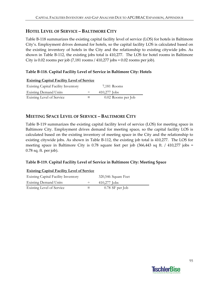# **HOTEL LEVEL OF SERVICE – BALTIMORE CITY**

Table B‐118 summarizes the existing capital facility level of service (LOS) for hotels in Baltimore City's. Employment drives demand for hotels, so the capital facility LOS is calculated based on the existing inventory of hotels in the City and the relationship to existing citywide jobs. As shown in Table B-112, the existing jobs total is 410,277. The LOS for hotel rooms in Baltimore City is 0.02 rooms per job  $(7,181 \text{ rooms} / 410,277 \text{ jobs} = 0.02 \text{ rooms per job}).$ 

## **Table B‐118. Capital Facility Level of Service in Baltimore City: Hotels**

| <b>Existing Capital Facility Level of Service</b> |  |                    |  |  |  |
|---------------------------------------------------|--|--------------------|--|--|--|
| <b>Existing Capital Facility Inventory</b>        |  | 7,181 Rooms        |  |  |  |
| <b>Existing Demand Units</b>                      |  | $410,277$ Jobs     |  |  |  |
| Existing Level of Service                         |  | 0.02 Rooms per Job |  |  |  |

# **MEETING SPACE LEVEL OF SERVICE – BALTIMORE CITY**

Table B‐119 summarizes the existing capital facility level of service (LOS) for meeting space in Baltimore City. Employment drives demand for meeting space, so the capital facility LOS is calculated based on the existing inventory of meeting space in the City and the relationship to existing citywide jobs. As shown in Table B‐112, the existing job total is 410,277. The LOS for meeting space in Baltimore City is 0.78 square feet per job (366,443 sq ft. / 410,277 jobs = 0.78 sq. ft. per job).

### **Table B‐119. Capital Facility Level of Service in Baltimore City: Meeting Space**

| <b>Existing Capital Facility Level of Service</b> |  |                     |  |  |  |
|---------------------------------------------------|--|---------------------|--|--|--|
| <b>Existing Capital Facility Inventory</b>        |  | 320,546 Square Feet |  |  |  |
| <b>Existing Demand Units</b>                      |  | $410,277$ Jobs      |  |  |  |
| Existing Level of Service                         |  | $0.78$ SF per Job   |  |  |  |

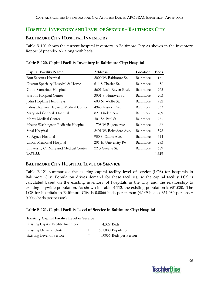# **HOSPITAL INVENTORY AND LEVEL OF SERVICE – BALTIMORE CITY**

## **BALTIMORE CITY HOSPITAL INVENTORY**

Table B‐120 shows the current hospital inventory in Baltimore City as shown in the Inventory Report (Appendix A), along with beds.

| <b>Capital Facility Name</b>          | <b>Address</b>         | Location  | <b>Beds</b> |
|---------------------------------------|------------------------|-----------|-------------|
| Bon Secours Hospital                  | 2000 W. Baltimore St.  | Baltimore | 151         |
| Deaton Specialty Hospital & Home      | 611 S Charles St.      | Baltimore | 180         |
| Good Samaritan Hospital               | 5601 Loch Raven Blvd.  | Baltimore | 265         |
| Harbor Hospital Center                | 3001 S. Hanover St.    | Baltimore | 203         |
| John Hopkins Health Sys.              | 600 N. Wolfe St.       | Baltimore | 982         |
| Johns Hopkins Bayview Medical Center  | 4940 Eastern Ave.      | Baltimore | 333         |
| Maryland General Hospital             | 827 Linden Ave         | Baltimore | 209         |
| Mercy Medical Center                  | 301 St. Paul St        | Baltimore | 235         |
| Mount Washington Pediatric Hospital   | 1708 W Rogers Ave      | Baltimore | 87          |
| Sinai Hospital                        | 2401 W. Belvedere Ave. | Baltimore | 398         |
| St. Agnes Hospital                    | 900 S. Caton Ave.      | Baltimore | 314         |
| Union Memorial Hospital               | 201 E. University Pw.  | Baltimore | 283         |
| University Of Maryland Medical Center | 22 S Greene St.        | Baltimore | 689         |
| <b>TOTAL</b>                          |                        |           | 4,329       |

#### **Table B‐120. Capital Facility Inventory in Baltimore City: Hospital**

### **BALTIMORE CITY HOSPITAL LEVEL OF SERVICE**

Table B-121 summarizes the existing capital facility level of service (LOS) for hospitals in Baltimore City. Population drives demand for these facilities, so the capital facility LOS is calculated based on the existing inventory of hospitals in the City and the relationship to existing citywide population. As shown in Table B‐112, the existing population is 651,080. The LOS for hospitals in Baltimore City is 0.0066 beds per person (4,149 beds / 651,080 persons = 0.0066 beds per person).

### **Table B‐121. Capital Facility Level of Service in Baltimore City: Hospital**

| <b>Existing Capital Facility Level of Service</b> |        |                        |  |
|---------------------------------------------------|--------|------------------------|--|
| <b>Existing Capital Facility Inventory</b>        |        | 4.329 Beds             |  |
| <b>Existing Demand Units</b>                      | $\div$ | 651,080 Population     |  |
| Existing Level of Service                         | $=$    | 0.0066 Beds per Person |  |

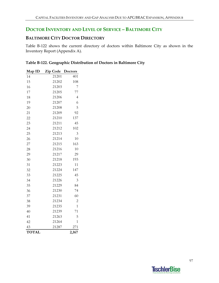# **DOCTOR INVENTORY AND LEVEL OF SERVICE – BALTIMORE CITY**

# **BALTIMORE CITY DOCTOR DIRECTORY**

Table B-122 shows the current directory of doctors within Baltimore City as shown in the Inventory Report (Appendix A).

| Table B-122. Geographic Distribution of Doctors in Baltimore City |  |  |  |
|-------------------------------------------------------------------|--|--|--|
|                                                                   |  |  |  |

| Map ID       | Zip Code | Doctors        |
|--------------|----------|----------------|
| 14           | 21201    | 401            |
| 15           | 21202    | 108            |
| 16           | 21203    | 7              |
| 17           | 21205    | 77             |
| 18           | 21206    | $\overline{4}$ |
| 19           | 21207    | 6              |
| 20           | 21208    | 5              |
| 21           | 21209    | 92             |
| 22           | 21210    | 137            |
| 23           | 21211    | 45             |
| 24           | 21212    | 102            |
| 25           | 21213    | 3              |
| 26           | 21214    | 10             |
| 27           | 21215    | 163            |
| 28           | 21216    | 10             |
| 29           | 21217    | 29             |
| 30           | 21218    | 193            |
| 31           | 21223    | 11             |
| 32           | 21224    | 147            |
| 33           | 21225    | 45             |
| 34           | 21226    | 3              |
| 35           | 21229    | 84             |
| 36           | 21230    | 74             |
| 37           | 21231    | 60             |
| 38           | 21234    | 2              |
| 39           | 21235    | $\mathbf{1}$   |
| 40           | 21239    | 71             |
| 41           | 21263    | 5              |
| 42           | 21264    | $\mathbf{1}$   |
| 43           | 21287    | 271            |
| <b>TOTAL</b> |          | 2,167          |

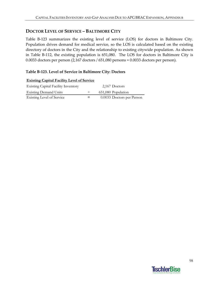## **DOCTOR LEVEL OF SERVICE – BALTIMORE CITY**

Table B-123 summarizes the existing level of service (LOS) for doctors in Baltimore City. Population drives demand for medical service, so the LOS is calculated based on the existing directory of doctors in the City and the relationship to existing citywide population. As shown in Table B-112, the existing population is 651,080. The LOS for doctors in Baltimore City is 0.0033 doctors per person (2,167 doctors / 651,080 persons = 0.0033 doctors per person).

### **Table B‐123. Level of Service in Baltimore City: Doctors**

| <b>Existing Capital Facility Level of Service</b> |  |                           |  |
|---------------------------------------------------|--|---------------------------|--|
| <b>Existing Capital Facility Inventory</b>        |  | 2,167 Doctors             |  |
| <b>Existing Demand Units</b>                      |  | 651,080 Population        |  |
| Existing Level of Service                         |  | 0.0033 Doctors per Person |  |

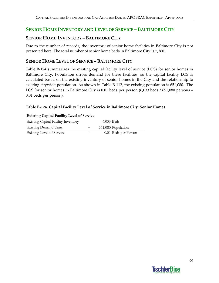# **SENIOR HOME INVENTORY AND LEVEL OF SERVICE – BALTIMORE CITY**

## **SENIOR HOME INVENTORY – BALTIMORE CITY**

Due to the number of records, the inventory of senior home facilities in Baltimore City is not presented here. The total number of senior home beds in Baltimore City is 5,360.

### **SENIOR HOME LEVEL OF SERVICE – BALTIMORE CITY**

Table B‐124 summarizes the existing capital facility level of service (LOS) for senior homes in Baltimore City. Population drives demand for these facilities, so the capital facility LOS is calculated based on the existing inventory of senior homes in the City and the relationship to existing citywide population. As shown in Table B‐112, the existing population is 651,080. The LOS for senior homes in Baltimore City is 0.01 beds per person (6,033 beds / 651,080 persons = 0.01 beds per person).

#### **Table B‐124. Capital Facility Level of Service in Baltimore City: Senior Homes**

| <b>Existing Capital Facility Inventory</b> | 6,033 Beds           |
|--------------------------------------------|----------------------|
| <b>Existing Demand Units</b>               | 651,080 Population   |
| Existing Level of Service                  | 0.01 Beds per Person |